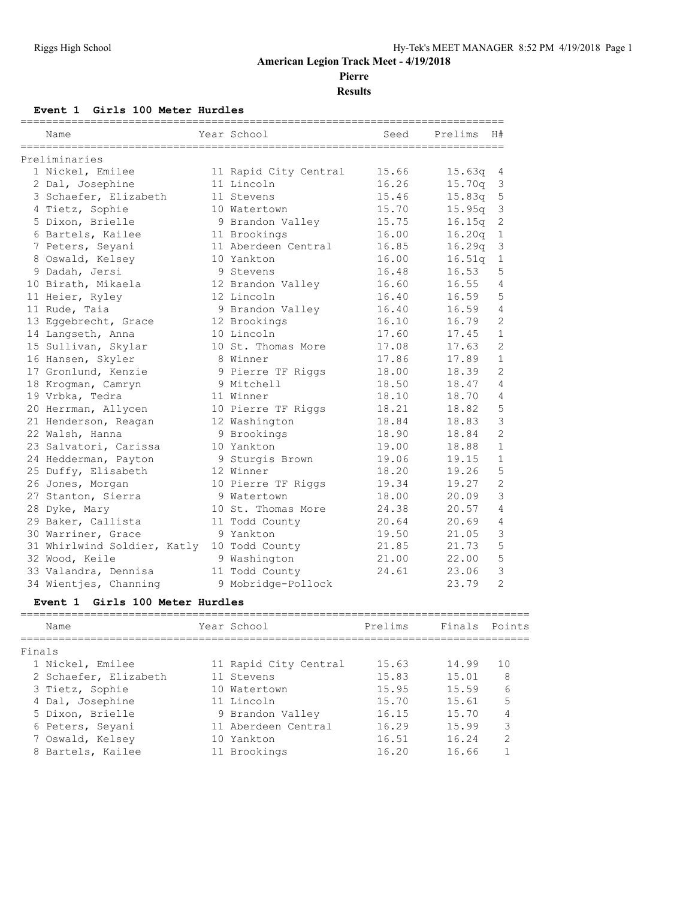**Pierre**

**Results**

#### **Event 1 Girls 100 Meter Hurdles**

| Name                                       | Year School           | Seed  | Prelims<br>H#           |
|--------------------------------------------|-----------------------|-------|-------------------------|
| Preliminaries                              |                       |       |                         |
| 1 Nickel, Emilee                           | 11 Rapid City Central | 15.66 | 15.63q<br>4             |
| 2 Dal, Josephine                           | 11 Lincoln            | 16.26 | 15.70q<br>3             |
| 3 Schaefer, Elizabeth                      | 11 Stevens            | 15.46 | 15.83q<br>5             |
| 4 Tietz, Sophie                            | 10 Watertown          | 15.70 | $15.95q$ 3              |
| 5 Dixon, Brielle                           | 9 Brandon Valley      | 15.75 | 16.15q<br>2             |
| 6 Bartels, Kailee                          | 11 Brookings          | 16.00 | 16.20q<br>$\mathbf{1}$  |
| 7 Peters, Seyani                           | 11 Aberdeen Central   | 16.85 | 16.29 <sub>q</sub><br>3 |
| 8 Oswald, Kelsey                           | 10 Yankton            | 16.00 | 16.51q<br>$\mathbf 1$   |
| 9 Dadah, Jersi                             | 9 Stevens             | 16.48 | 16.53<br>5              |
| 10 Birath, Mikaela                         | 12 Brandon Valley     | 16.60 | 16.55<br>4              |
| 11 Heier, Ryley                            | 12 Lincoln            | 16.40 | 5<br>16.59              |
| 11 Rude, Taia                              | 9 Brandon Valley      | 16.40 | 16.59<br>4              |
| 13 Eqqebrecht, Grace                       | 12 Brookings          | 16.10 | $\mathcal{L}$<br>16.79  |
| 14 Langseth, Anna                          | 10 Lincoln            | 17.60 | $\mathbf{1}$<br>17.45   |
| 15 Sullivan, Skylar                        | 10 St. Thomas More    | 17.08 | $\overline{2}$<br>17.63 |
| 16 Hansen, Skyler                          | 8 Winner              | 17.86 | 17.89<br>$\mathbf{1}$   |
| 17 Gronlund, Kenzie                        | 9 Pierre TF Riggs     | 18.00 | $\overline{2}$<br>18.39 |
| 18 Krogman, Camryn                         | 9 Mitchell            | 18.50 | 18.47<br>4              |
| 19 Vrbka, Tedra                            | 11 Winner             | 18.10 | 18.70<br>4              |
| 20 Herrman, Allycen                        | 10 Pierre TF Riggs    | 18.21 | 5<br>18.82              |
| 21 Henderson, Reagan                       | 12 Washington         | 18.84 | 3<br>18.83              |
| 22 Walsh, Hanna                            | 9 Brookings           | 18.90 | $\overline{2}$<br>18.84 |
| 23 Salvatori, Carissa                      | 10 Yankton            | 19.00 | $\mathbf{1}$<br>18.88   |
| 24 Hedderman, Payton                       | 9 Sturgis Brown       | 19.06 | 19.15<br>$\mathbf{1}$   |
| 25 Duffy, Elisabeth                        | 12 Winner             | 18.20 | 5<br>19.26              |
| 26 Jones, Morgan                           | 10 Pierre TF Riggs    | 19.34 | $\overline{2}$<br>19.27 |
| 27 Stanton, Sierra                         | 9 Watertown           | 18.00 | 3<br>20.09              |
| 28 Dyke, Mary                              | 10 St. Thomas More    | 24.38 | 20.57<br>4              |
| 29 Baker, Callista                         | 11 Todd County        | 20.64 | 20.69<br>4              |
| 30 Warriner, Grace                         | 9 Yankton             | 19.50 | 3<br>21.05              |
| 31 Whirlwind Soldier, Katly 10 Todd County |                       | 21.85 | 5<br>21.73              |
| 32 Wood, Keile                             | 9 Washington          | 21.00 | 5<br>22.00              |
| 33 Valandra, Dennisa                       | 11 Todd County        | 24.61 | 3<br>23.06              |
| 34 Wientjes, Channing                      | 9 Mobridge-Pollock    |       | $\overline{2}$<br>23.79 |

#### **Event 1 Girls 100 Meter Hurdles**

| Name                  | Year School           | Prelims | Finals Points |                |
|-----------------------|-----------------------|---------|---------------|----------------|
| Finals                |                       |         |               |                |
| 1 Nickel, Emilee      | 11 Rapid City Central | 15.63   | 14.99         | 10             |
| 2 Schaefer, Elizabeth | 11 Stevens            | 15.83   | 15.01         | 8              |
| 3 Tietz, Sophie       | 10 Watertown          | 15.95   | 15.59         | 6              |
| 4 Dal, Josephine      | 11 Lincoln            | 15.70   | 15.61         | 5              |
| 5 Dixon, Brielle      | 9 Brandon Valley      | 16.15   | 15.70         | 4              |
| 6 Peters, Seyani      | 11 Aberdeen Central   | 16.29   | 15.99         | 3              |
| 7 Oswald, Kelsey      | 10 Yankton            | 16.51   | 16.24         | $\mathfrak{D}$ |
| 8 Bartels, Kailee     | 11 Brookings          | 16.20   | 16.66         |                |
|                       |                       |         |               |                |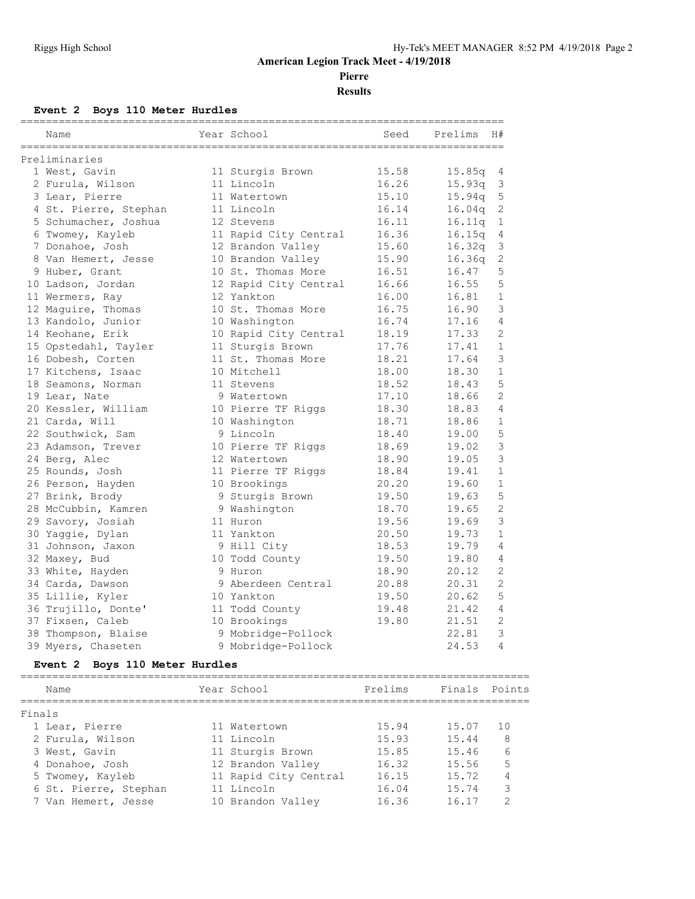**Pierre**

**Results**

#### **Event 2 Boys 110 Meter Hurdles**

| Name                           | Year School           | Seed    | Prelims       | H#             |
|--------------------------------|-----------------------|---------|---------------|----------------|
| Preliminaries                  |                       |         |               |                |
| 1 West, Gavin                  | 11 Sturgis Brown      | 15.58   | 15.85q        | 4              |
| 2 Furula, Wilson               | 11 Lincoln            | 16.26   | 15.93q        | 3              |
| 3 Lear, Pierre                 | 11 Watertown          | 15.10   | 15.94q        | 5              |
| 4 St. Pierre, Stephan          | 11 Lincoln            | 16.14   | 16.04q        | $\mathbf{2}$   |
| 5 Schumacher, Joshua           | 12 Stevens            | 16.11   | 16.11q        | $\mathbf{1}$   |
| 6 Twomey, Kayleb               | 11 Rapid City Central | 16.36   | 16.15q        | 4              |
| 7 Donahoe, Josh                | 12 Brandon Valley     | 15.60   | 16.32q        | 3              |
| 8 Van Hemert, Jesse            | 10 Brandon Valley     | 15.90   | 16.36q        | 2              |
| 9 Huber, Grant                 | 10 St. Thomas More    | 16.51   | 16.47         | 5              |
| 10 Ladson, Jordan              | 12 Rapid City Central | 16.66   | 16.55         | 5              |
| 11 Wermers, Ray                | 12 Yankton            | 16.00   | 16.81         | $\mathbf{1}$   |
| 12 Maquire, Thomas             | 10 St. Thomas More    | 16.75   | 16.90         | 3              |
| 13 Kandolo, Junior             | 10 Washington         | 16.74   | 17.16         | 4              |
| 14 Keohane, Erik               | 10 Rapid City Central | 18.19   | 17.33         | $\overline{2}$ |
| 15 Opstedahl, Tayler           | 11 Sturgis Brown      | 17.76   | 17.41         | $\mathbf{1}$   |
| 16 Dobesh, Corten              | 11 St. Thomas More    | 18.21   | 17.64         | 3              |
| 17 Kitchens, Isaac             | 10 Mitchell           | 18.00   | 18.30         | $\mathbf{1}$   |
| 18 Seamons, Norman             | 11 Stevens            | 18.52   | 18.43         | 5              |
| 19 Lear, Nate                  | 9 Watertown           | 17.10   | 18.66         | 2              |
| 20 Kessler, William            | 10 Pierre TF Riggs    | 18.30   | 18.83         | 4              |
| 21 Carda, Will                 | 10 Washington         | 18.71   | 18.86         | $\mathbf{1}$   |
| 22 Southwick, Sam              | 9 Lincoln             | 18.40   | 19.00         | 5              |
| 23 Adamson, Trever             | 10 Pierre TF Riggs    | 18.69   | 19.02         | 3              |
| 24 Berg, Alec                  | 12 Watertown          | 18.90   | 19.05         | 3              |
| 25 Rounds, Josh                | 11 Pierre TF Riggs    | 18.84   | 19.41         | $\mathbf{1}$   |
| 26 Person, Hayden              | 10 Brookings          | 20.20   | 19.60         | $\mathbf{1}$   |
| 27 Brink, Brody                | 9 Sturgis Brown       | 19.50   | 19.63         | 5              |
| 28 McCubbin, Kamren            | 9 Washington          | 18.70   | 19.65         | $\overline{2}$ |
| 29 Savory, Josiah              | 11 Huron              | 19.56   | 19.69         | 3              |
| 30 Yaqqie, Dylan               | 11 Yankton            | 20.50   | 19.73         | $\mathbf{1}$   |
| 31 Johnson, Jaxon              | 9 Hill City           | 18.53   | 19.79         | 4              |
| 32 Maxey, Bud                  | 10 Todd County        | 19.50   | 19.80         | 4              |
| 33 White, Hayden               | 9 Huron               | 18.90   | 20.12         | $\overline{2}$ |
| 34 Carda, Dawson               | 9 Aberdeen Central    | 20.88   | 20.31         | 2              |
| 35 Lillie, Kyler               | 10 Yankton            | 19.50   | 20.62         | 5              |
| 36 Trujillo, Donte'            | 11 Todd County        | 19.48   | 21.42         | 4              |
| 37 Fixsen, Caleb               | 10 Brookings          | 19.80   | 21.51         | $\mathbf{2}$   |
| 38 Thompson, Blaise            | 9 Mobridge-Pollock    |         | 22.81         | 3              |
| 39 Myers, Chaseten             | 9 Mobridge-Pollock    |         | 24.53         | 4              |
| Event 2 Boys 110 Meter Hurdles |                       |         |               |                |
| Name                           | Year School           | Prelims | Finals Points |                |

| Finals                |                       |       |       |                |
|-----------------------|-----------------------|-------|-------|----------------|
| 1 Lear, Pierre        | 11 Watertown          | 15.94 | 15.07 | 10             |
| 2 Furula, Wilson      | 11 Lincoln            | 15.93 | 15.44 | -8             |
| 3 West, Gavin         | 11 Sturgis Brown      | 15.85 | 15.46 | 6              |
| 4 Donahoe, Josh       | 12 Brandon Valley     | 16.32 | 15.56 | -5             |
| 5 Twomey, Kayleb      | 11 Rapid City Central | 16.15 | 15.72 | $\overline{4}$ |
| 6 St. Pierre, Stephan | 11 Lincoln            | 16.04 | 15.74 | $\mathcal{R}$  |
| 7 Van Hemert, Jesse   | 10 Brandon Valley     | 16.36 | 16.17 |                |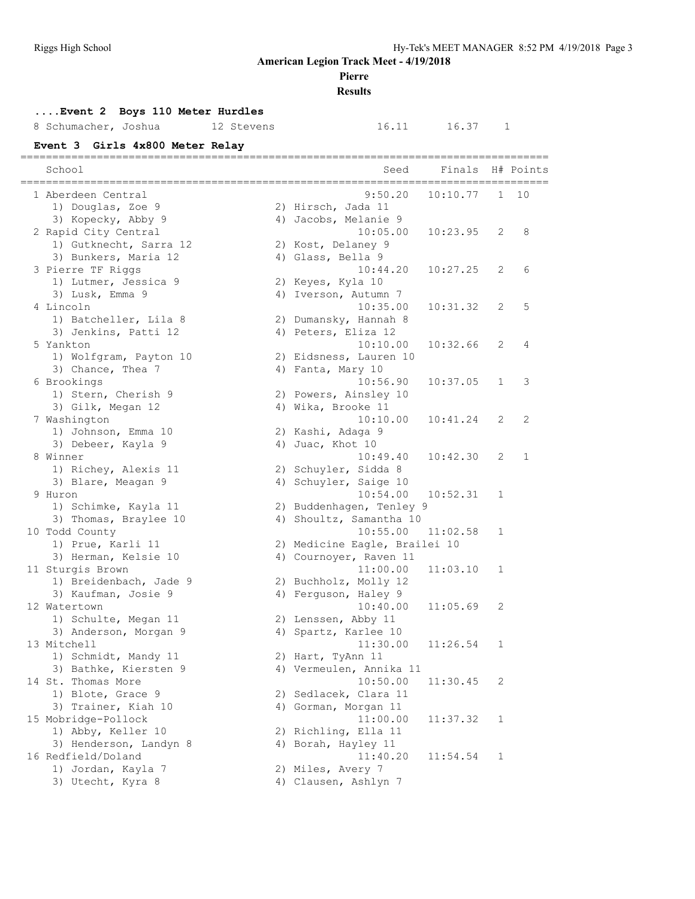#### **Pierre**

**Results**

#### **....Event 2 Boys 110 Meter Hurdles**

#### 8 Schumacher, Joshua 12 Stevens 16.11 16.37 1

**Event 3 Girls 4x800 Meter Relay**

| School                                              | Seed                          | Finals   |              | H# Points    |
|-----------------------------------------------------|-------------------------------|----------|--------------|--------------|
| =============================<br>1 Aberdeen Central | 9:50.20                       | 10:10.77 | 1            | 10           |
| 1) Douglas, Zoe 9                                   | 2) Hirsch, Jada 11            |          |              |              |
| 3) Kopecky, Abby 9                                  | 4) Jacobs, Melanie 9          |          |              |              |
| 2 Rapid City Central                                | 10:05.00                      | 10:23.95 | 2            | 8            |
| 1) Gutknecht, Sarra 12                              | 2) Kost, Delaney 9            |          |              |              |
| 3) Bunkers, Maria 12                                | 4) Glass, Bella 9             |          |              |              |
| 3 Pierre TF Riggs                                   | 10:44.20                      | 10:27.25 | 2            | 6            |
| 1) Lutmer, Jessica 9                                | 2) Keyes, Kyla 10             |          |              |              |
| 3) Lusk, Emma 9                                     | 4) Iverson, Autumn 7          |          |              |              |
| 4 Lincoln                                           | 10:35.00                      | 10:31.32 | 2            | 5            |
| 1) Batcheller, Lila 8                               | 2) Dumansky, Hannah 8         |          |              |              |
| 3) Jenkins, Patti 12                                | 4) Peters, Eliza 12           |          |              |              |
| 5 Yankton                                           | 10:10.00                      | 10:32.66 | 2            | 4            |
| 1) Wolfgram, Payton 10                              | 2) Eidsness, Lauren 10        |          |              |              |
| 3) Chance, Thea 7                                   | 4) Fanta, Mary 10             |          |              |              |
| 6 Brookings                                         | 10:56.90                      | 10:37.05 | $\mathbf{1}$ | 3            |
| 1) Stern, Cherish 9                                 | 2) Powers, Ainsley 10         |          |              |              |
| 3) Gilk, Megan 12                                   | 4) Wika, Brooke 11            |          |              |              |
| 7 Washington                                        | 10:10.00                      | 10:41.24 | 2            | 2            |
| 1) Johnson, Emma 10                                 | 2) Kashi, Adaga 9             |          |              |              |
| 3) Debeer, Kayla 9                                  | 4) Juac, Khot 10              |          |              |              |
| 8 Winner                                            | 10:49.40                      | 10:42.30 | 2            | $\mathbf{1}$ |
| 1) Richey, Alexis 11                                | 2) Schuyler, Sidda 8          |          |              |              |
| 3) Blare, Meagan 9                                  | 4) Schuyler, Saige 10         |          |              |              |
| 9 Huron                                             | 10:54.00                      | 10:52.31 | 1            |              |
| 1) Schimke, Kayla 11                                | 2) Buddenhagen, Tenley 9      |          |              |              |
| 3) Thomas, Braylee 10                               | 4) Shoultz, Samantha 10       |          |              |              |
| 10 Todd County                                      | 10:55.00                      | 11:02.58 | 1            |              |
| 1) Prue, Karli 11                                   | 2) Medicine Eagle, Brailei 10 |          |              |              |
| 3) Herman, Kelsie 10                                | 4) Cournoyer, Raven 11        |          |              |              |
| 11 Sturgis Brown                                    | 11:00.00                      | 11:03.10 | 1            |              |
| 1) Breidenbach, Jade 9                              | 2) Buchholz, Molly 12         |          |              |              |
| 3) Kaufman, Josie 9                                 | 4) Ferguson, Haley 9          |          |              |              |
| 12 Watertown                                        | 10:40.00                      | 11:05.69 | 2            |              |
| 1) Schulte, Megan 11                                | 2) Lenssen, Abby 11           |          |              |              |
| 3) Anderson, Morgan 9                               | 4) Spartz, Karlee 10          |          |              |              |
| 13 Mitchell                                         | 11:30.00                      | 11:26.54 | 1            |              |
| 1) Schmidt, Mandy 11                                | 2) Hart, TyAnn 11             |          |              |              |
| 3) Bathke, Kiersten 9                               | 4) Vermeulen, Annika 11       |          |              |              |
| 14 St. Thomas More                                  | 10:50.00                      | 11:30.45 | 2            |              |
|                                                     | 2) Sedlacek, Clara 11         |          |              |              |
| 1) Blote, Grace 9<br>3) Trainer, Kiah 10            | 4) Gorman, Morgan 11          |          |              |              |
|                                                     |                               |          |              |              |
| 15 Mobridge-Pollock                                 | 11:00.00                      | 11:37.32 | 1            |              |
| 1) Abby, Keller 10                                  | 2) Richling, Ella 11          |          |              |              |
| 3) Henderson, Landyn 8                              | 4) Borah, Hayley 11           |          |              |              |
| 16 Redfield/Doland                                  | 11:40.20                      | 11:54.54 | 1            |              |
| 1) Jordan, Kayla 7                                  | 2) Miles, Avery 7             |          |              |              |
| 3) Utecht, Kyra 8                                   | 4) Clausen, Ashlyn 7          |          |              |              |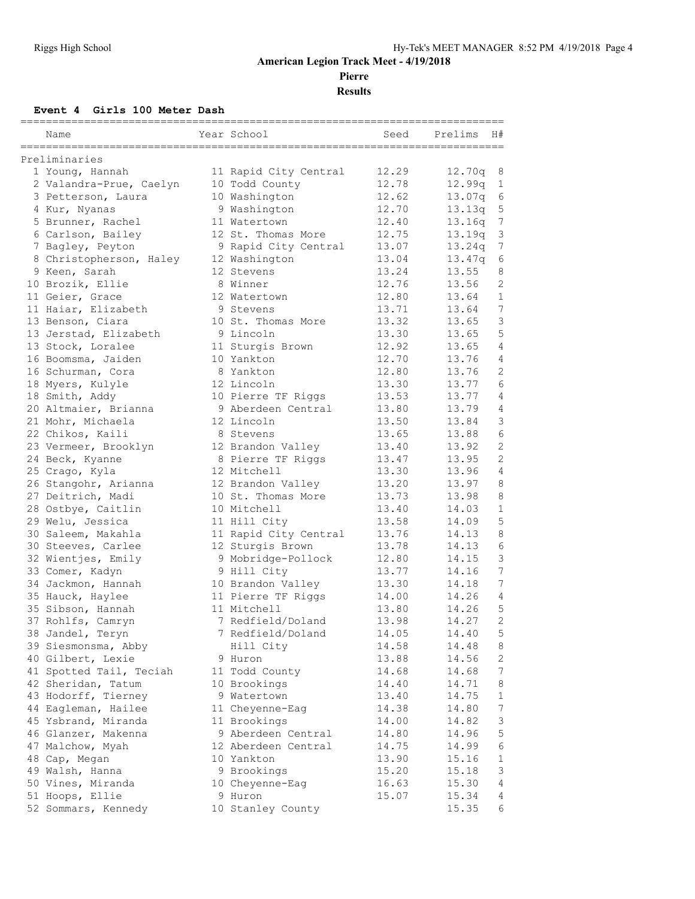**Pierre**

**Results**

#### **Event 4 Girls 100 Meter Dash**

| Name                    | Year School           | Seed  | Prelims<br>H#            |
|-------------------------|-----------------------|-------|--------------------------|
| Preliminaries           |                       |       |                          |
| 1 Young, Hannah         | 11 Rapid City Central | 12.29 | 12.70q<br>8              |
| 2 Valandra-Prue, Caelyn | 10 Todd County        | 12.78 | 12.99q<br>$\mathbf{1}$   |
| 3 Petterson, Laura      | 10 Washington         | 12.62 | 13.07q<br>6              |
| 4 Kur, Nyanas           | 9 Washington          | 12.70 | 13.13q<br>5              |
| 5 Brunner, Rachel       | 11 Watertown          | 12.40 | 7<br>13.16q              |
| 6 Carlson, Bailey       | 12 St. Thomas More    | 12.75 | 3<br>13.19q              |
| 7 Bagley, Peyton        | 9 Rapid City Central  | 13.07 | $\overline{7}$<br>13.24q |
| 8 Christopherson, Haley | 12 Washington         | 13.04 | 13.47q<br>6              |
| 9 Keen, Sarah           | 12 Stevens            | 13.24 | 13.55<br>8               |
| 10 Brozik, Ellie        | 8 Winner              | 12.76 | $\overline{c}$<br>13.56  |
| 11 Geier, Grace         | 12 Watertown          | 12.80 | 13.64<br>$\mathbf 1$     |
| 11 Haiar, Elizabeth     | 9 Stevens             | 13.71 | 7<br>13.64               |
| 13 Benson, Ciara        | 10 St. Thomas More    | 13.32 | 3<br>13.65               |
| 13 Jerstad, Elizabeth   | 9 Lincoln             | 13.30 | 5<br>13.65               |
| 13 Stock, Loralee       | 11 Sturgis Brown      | 12.92 | 13.65<br>4               |
| 16 Boomsma, Jaiden      | 10 Yankton            | 12.70 | 13.76<br>4               |
| 16 Schurman, Cora       | 8 Yankton             | 12.80 | 2<br>13.76               |
| 18 Myers, Kulyle        | 12 Lincoln            | 13.30 | 6<br>13.77               |
| 18 Smith, Addy          | 10 Pierre TF Riggs    | 13.53 | 4<br>13.77               |
| 20 Altmaier, Brianna    | 9 Aberdeen Central    | 13.80 | 13.79<br>4               |
| 21 Mohr, Michaela       | 12 Lincoln            | 13.50 | 3<br>13.84               |
| 22 Chikos, Kaili        | 8 Stevens             | 13.65 | 6<br>13.88               |
| 23 Vermeer, Brooklyn    | 12 Brandon Valley     | 13.40 | 2<br>13.92               |
| 24 Beck, Kyanne         | 8 Pierre TF Riggs     | 13.47 | $\overline{2}$<br>13.95  |
| 25 Crago, Kyla          | 12 Mitchell           | 13.30 | $\overline{4}$<br>13.96  |
| 26 Stangohr, Arianna    | 12 Brandon Valley     | 13.20 | 13.97<br>8               |
| 27 Deitrich, Madi       | 10 St. Thomas More    | 13.73 | 13.98<br>8               |
| 28 Ostbye, Caitlin      | 10 Mitchell           | 13.40 | $\mathbf{1}$<br>14.03    |
| 29 Welu, Jessica        | 11 Hill City          | 13.58 | 5<br>14.09               |
| 30 Saleem, Makahla      | 11 Rapid City Central | 13.76 | 8<br>14.13               |
| 30 Steeves, Carlee      | 12 Sturgis Brown      | 13.78 | $\epsilon$<br>14.13      |
| 32 Wientjes, Emily      | 9 Mobridge-Pollock    | 12.80 | 3<br>14.15               |
| 33 Comer, Kadyn         | 9 Hill City           | 13.77 | 7<br>14.16               |
| 34 Jackmon, Hannah      | 10 Brandon Valley     | 13.30 | 7<br>14.18               |
| 35 Hauck, Haylee        | 11 Pierre TF Riggs    | 14.00 | 14.26<br>4               |
| 35 Sibson, Hannah       | 11 Mitchell           | 13.80 | 5<br>14.26               |
| 37 Rohlfs, Camryn       | 7 Redfield/Doland     | 13.98 | $\overline{2}$<br>14.27  |
| 38 Jandel, Teryn        | 7 Redfield/Doland     | 14.05 | 14.40<br>5               |
| 39 Siesmonsma, Abby     | Hill City             | 14.58 | 14.48<br>8               |
| 40 Gilbert, Lexie       | 9 Huron               | 13.88 | 14.56<br>2               |
| 41 Spotted Tail, Teciah | 11 Todd County        | 14.68 | 7<br>14.68               |
| 42 Sheridan, Tatum      | 10 Brookings          | 14.40 | 14.71<br>8               |
| 43 Hodorff, Tierney     | 9 Watertown           | 13.40 | $\mathbf{1}$<br>14.75    |
| 44 Eagleman, Hailee     | 11 Cheyenne-Eag       | 14.38 | 7<br>14.80               |
| 45 Ysbrand, Miranda     | 11 Brookings          | 14.00 | $\mathsf 3$<br>14.82     |
| 46 Glanzer, Makenna     | 9 Aberdeen Central    | 14.80 | 5<br>14.96               |
| 47 Malchow, Myah        | 12 Aberdeen Central   | 14.75 | 6<br>14.99               |
| 48 Cap, Megan           | 10 Yankton            | 13.90 | 15.16<br>$\mathbf{1}$    |
| 49 Walsh, Hanna         | 9 Brookings           | 15.20 | 15.18<br>3               |
| 50 Vines, Miranda       | 10 Cheyenne-Eag       | 16.63 | 15.30<br>$\overline{4}$  |
| 51 Hoops, Ellie         | 9 Huron               | 15.07 | 15.34<br>4               |
| 52 Sommars, Kennedy     | 10 Stanley County     |       | 15.35<br>6               |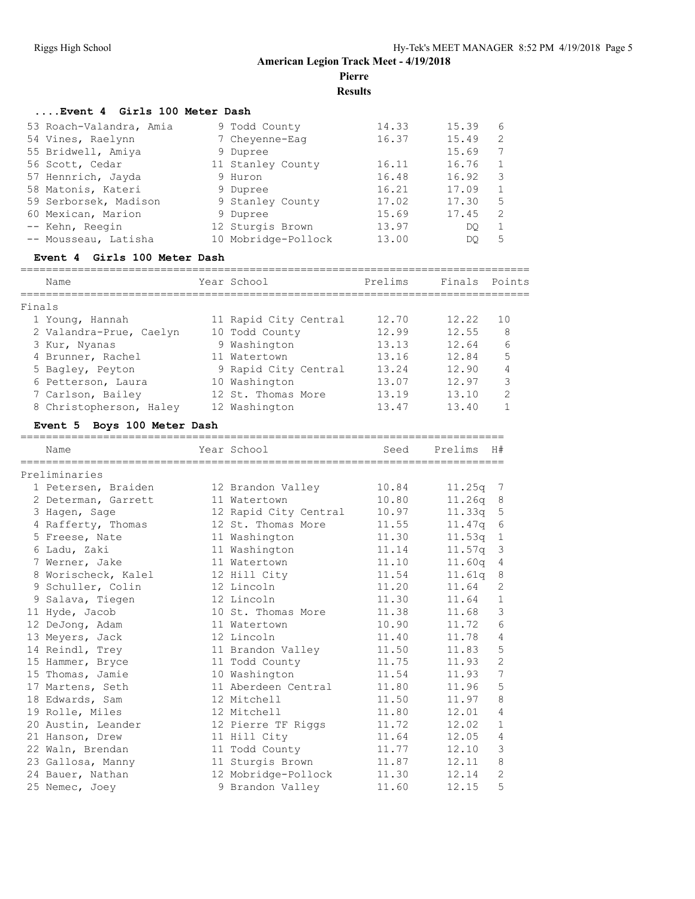**Pierre**

**Results**

#### **....Event 4 Girls 100 Meter Dash**

| 53 Roach-Valandra, Amia | 9 Todd County       | 14.33 | 15.39 | 6            |
|-------------------------|---------------------|-------|-------|--------------|
| 54 Vines, Raelynn       | 7 Chevenne-Eag      | 16.37 | 15.49 | 2            |
| 55 Bridwell, Amiya      | 9 Dupree            |       | 15.69 | 7            |
| 56 Scott, Cedar         | 11 Stanley County   | 16.11 | 16.76 | $\mathbf{1}$ |
| 57 Hennrich, Jayda      | 9 Huron             | 16.48 | 16.92 | 3            |
| 58 Matonis, Kateri      | 9 Dupree            | 16.21 | 17.09 | 1            |
| 59 Serborsek, Madison   | 9 Stanley County    | 17.02 | 17.30 | 5            |
| 60 Mexican, Marion      | 9 Dupree            | 15.69 | 17.45 | 2            |
| -- Kehn, Reegin         | 12 Sturgis Brown    | 13.97 | DO    | 1            |
| -- Mousseau, Latisha    | 10 Mobridge-Pollock | 13.00 | DO    | 5            |

#### **Event 4 Girls 100 Meter Dash**

|        | Name                    | Year School           | Prelims | Finals | Points        |
|--------|-------------------------|-----------------------|---------|--------|---------------|
| Finals |                         |                       |         |        |               |
|        | 1 Young, Hannah         | 11 Rapid City Central | 12.70   | 12.22  | 1 O           |
|        | 2 Valandra-Prue, Caelyn | 10 Todd County        | 12.99   | 12.55  | 8             |
|        | 3 Kur, Nyanas           | 9 Washington          | 13.13   | 12.64  | 6             |
|        | 4 Brunner, Rachel       | 11 Watertown          | 13.16   | 12.84  | 5             |
|        | 5 Bagley, Peyton        | 9 Rapid City Central  | 13.24   | 12.90  | 4             |
|        | 6 Petterson, Laura      | 10 Washington         | 13.07   | 12.97  | 3             |
|        | 7 Carlson, Bailey       | 12 St. Thomas More    | 13.19   | 13.10  | $\mathcal{P}$ |
|        | 8 Christopherson, Haley | 12 Washington         | 13.47   | 13.40  |               |

#### **Event 5 Boys 100 Meter Dash**

| Name                | Year School           | Seed  | Prelims            | H#              |
|---------------------|-----------------------|-------|--------------------|-----------------|
| Preliminaries       |                       |       |                    |                 |
| 1 Petersen, Braiden | 12 Brandon Valley     | 10.84 | 11.25q             | $\overline{7}$  |
| 2 Determan, Garrett | 11 Watertown          | 10.80 | 11.26 <sub>q</sub> | 8               |
| 3 Hagen, Sage       | 12 Rapid City Central | 10.97 | 11.33a             | 5               |
| 4 Rafferty, Thomas  | 12 St. Thomas More    | 11.55 | 11.47q             | 6               |
| 5 Freese, Nate      | 11 Washington         | 11.30 | 11.53q             | $\mathbf{1}$    |
| 6 Ladu, Zaki        | 11 Washington         | 11.14 | 11.57q             | 3               |
| 7 Werner, Jake      | 11 Watertown          | 11.10 | 11.60q             | 4               |
| 8 Worischeck, Kalel | 12 Hill City          | 11.54 | 11.61q             | 8               |
| 9 Schuller, Colin   | 12 Lincoln            | 11.20 | 11.64              | $\overline{2}$  |
| 9 Salava, Tiegen    | 12 Lincoln            | 11.30 | 11.64              | $\mathbf{1}$    |
| 11 Hyde, Jacob      | 10 St. Thomas More    | 11.38 | 11.68              | 3               |
| 12 DeJong, Adam     | 11 Watertown          | 10.90 | 11.72              | 6               |
| 13 Meyers, Jack     | 12 Lincoln            | 11.40 | 11.78              | 4               |
| 14 Reindl, Trey     | 11 Brandon Valley     | 11.50 | 11.83              | 5               |
| 15 Hammer, Bryce    | 11 Todd County        | 11.75 | 11.93              | $\mathbf{2}$    |
| 15 Thomas, Jamie    | 10 Washington         | 11.54 | 11.93              | $7\phantom{.0}$ |
| 17 Martens, Seth    | 11 Aberdeen Central   | 11.80 | 11.96              | 5               |
| 18 Edwards, Sam     | 12 Mitchell           | 11.50 | 11.97              | 8               |
| 19 Rolle, Miles     | 12 Mitchell           | 11.80 | 12.01              | 4               |
| 20 Austin, Leander  | 12 Pierre TF Riggs    | 11.72 | 12.02              | $\mathbf{1}$    |
| 21 Hanson, Drew     | 11 Hill City          | 11.64 | 12.05              | $\overline{4}$  |
| 22 Waln, Brendan    | 11 Todd County        | 11.77 | 12.10              | $\mathcal{S}$   |
| 23 Gallosa, Manny   | 11 Sturgis Brown      | 11.87 | 12.11              | 8               |
| 24 Bauer, Nathan    | 12 Mobridge-Pollock   | 11.30 | 12.14              | $\overline{2}$  |
| 25 Nemec, Joey      | 9 Brandon Valley      | 11.60 | 12.15              | 5               |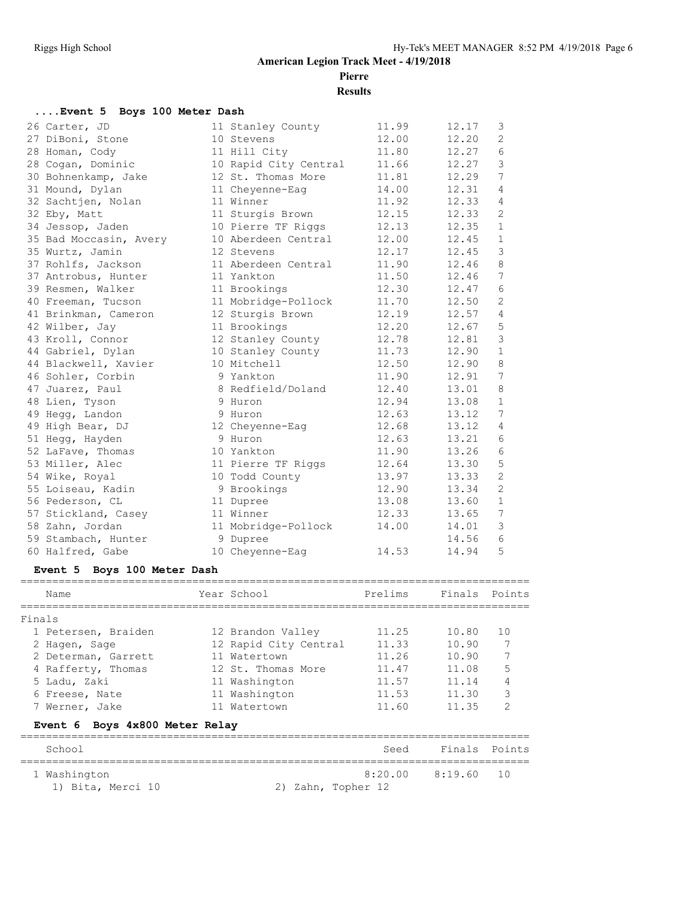**Pierre**

**Results**

| Event 5 Boys 100 Meter Dash |                       |       |                          |  |  |  |  |  |  |
|-----------------------------|-----------------------|-------|--------------------------|--|--|--|--|--|--|
| 26 Carter, JD               | 11 Stanley County     | 11.99 | 12.17<br>3               |  |  |  |  |  |  |
| 27 DiBoni, Stone            | 10 Stevens            | 12.00 | 2<br>12.20               |  |  |  |  |  |  |
| 28 Homan, Cody              | 11 Hill City          | 11.80 | 6<br>12.27               |  |  |  |  |  |  |
| 28 Cogan, Dominic           | 10 Rapid City Central | 11.66 | 3<br>12.27               |  |  |  |  |  |  |
| 30 Bohnenkamp, Jake         | 12 St. Thomas More    | 11.81 | 7<br>12.29               |  |  |  |  |  |  |
| 31 Mound, Dylan             | 11 Cheyenne-Eaq       | 14.00 | 12.31<br>4               |  |  |  |  |  |  |
| 32 Sachtjen, Nolan          | 11 Winner             | 11.92 | 12.33<br>$\overline{4}$  |  |  |  |  |  |  |
| 32 Eby, Matt                | 11 Sturgis Brown      | 12.15 | 12.33<br>2               |  |  |  |  |  |  |
| 34 Jessop, Jaden            | 10 Pierre TF Riggs    | 12.13 | 12.35<br>$\mathbf{1}$    |  |  |  |  |  |  |
| 35 Bad Moccasin, Avery      | 10 Aberdeen Central   | 12.00 | 12.45<br>$\mathbf{1}$    |  |  |  |  |  |  |
| 35 Wurtz, Jamin             | 12 Stevens            | 12.17 | 3<br>12.45               |  |  |  |  |  |  |
| 37 Rohlfs, Jackson          | 11 Aberdeen Central   | 11.90 | $\,8\,$<br>12.46         |  |  |  |  |  |  |
| 37 Antrobus, Hunter         | 11 Yankton            | 11.50 | 7<br>12.46               |  |  |  |  |  |  |
| 39 Resmen, Walker           | 11 Brookings          | 12.30 | 6<br>12.47               |  |  |  |  |  |  |
| 40 Freeman, Tucson          | 11 Mobridge-Pollock   | 11.70 | $\mathbf{2}$<br>12.50    |  |  |  |  |  |  |
| 41 Brinkman, Cameron        | 12 Sturgis Brown      | 12.19 | 12.57<br>$\overline{4}$  |  |  |  |  |  |  |
| 42 Wilber, Jay              | 11 Brookings          | 12.20 | 5<br>12.67               |  |  |  |  |  |  |
| 43 Kroll, Connor            | 12 Stanley County     | 12.78 | $\mathcal{S}$<br>12.81   |  |  |  |  |  |  |
| 44 Gabriel, Dylan           | 10 Stanley County     | 11.73 | $\mathbf{1}$<br>12.90    |  |  |  |  |  |  |
| 44 Blackwell, Xavier        | 10 Mitchell           | 12.50 | 8<br>12.90               |  |  |  |  |  |  |
| 46 Sohler, Corbin           | 9 Yankton             | 11.90 | 7<br>12.91               |  |  |  |  |  |  |
| 47 Juarez, Paul             | 8 Redfield/Doland     | 12.40 | 8<br>13.01               |  |  |  |  |  |  |
| 48 Lien, Tyson              | 9 Huron               | 12.94 | 13.08<br>$\mathbf{1}$    |  |  |  |  |  |  |
| 49 Hegg, Landon             | 9 Huron               | 12.63 | 7<br>13.12               |  |  |  |  |  |  |
| 49 High Bear, DJ            | 12 Cheyenne-Eag       | 12.68 | 13.12<br>4               |  |  |  |  |  |  |
| 51 Hegg, Hayden             | 9 Huron               | 12.63 | $6\overline{6}$<br>13.21 |  |  |  |  |  |  |
| 52 LaFave, Thomas           | 10 Yankton            | 11.90 | 6<br>13.26               |  |  |  |  |  |  |
| 53 Miller, Alec             | 11 Pierre TF Riggs    | 12.64 | 5<br>13.30               |  |  |  |  |  |  |
| 54 Wike, Royal              | 10 Todd County        | 13.97 | $\mathbf{2}$<br>13.33    |  |  |  |  |  |  |
| 55 Loiseau, Kadin           | 9 Brookings           | 12.90 | $\mathbf{2}$<br>13.34    |  |  |  |  |  |  |
| 56 Pederson, CL             | 11 Dupree             | 13.08 | $\mathbf{1}$<br>13.60    |  |  |  |  |  |  |
| 57 Stickland, Casey         | 11 Winner             | 12.33 | 7<br>13.65               |  |  |  |  |  |  |
| 58 Zahn, Jordan             | 11 Mobridge-Pollock   | 14.00 | 3<br>14.01               |  |  |  |  |  |  |
| 59 Stambach, Hunter         | 9 Dupree              |       | 6<br>14.56               |  |  |  |  |  |  |
| 60 Halfred, Gabe            | 10 Cheyenne-Eag       | 14.53 | 5<br>14.94               |  |  |  |  |  |  |

#### **Event 5 Boys 100 Meter Dash**

| Name                           | Year School           | Prelims | Finals Points |               |
|--------------------------------|-----------------------|---------|---------------|---------------|
| Finals                         |                       |         |               |               |
| 1 Petersen, Braiden            | 12 Brandon Valley     | 11.25   | 10.80         | 1 O           |
| 2 Hagen, Sage                  | 12 Rapid City Central | 11.33   | 10.90         |               |
| 2 Determan, Garrett            | 11 Watertown          | 11.26   | 10.90         | 7             |
| 4 Rafferty, Thomas             | 12 St. Thomas More    | 11.47   | 11.08         | 5             |
| 5 Ladu, Zaki                   | 11 Washington         | 11.57   | 11.14         | 4             |
| 6 Freese, Nate                 | 11 Washington         | 11.53   | 11.30         | 3             |
| 7 Werner, Jake                 | 11 Watertown          | 11.60   | 11.35         | $\mathcal{P}$ |
| Event 6 Boys 4x800 Meter Relay |                       |         |               |               |
| School                         |                       | Seed    | Finals        | Points        |

| 1 Washington      |                    | 8:20.00 8:19.60 10 |  |
|-------------------|--------------------|--------------------|--|
| 1) Bita, Merci 10 | 2) Zahn, Topher 12 |                    |  |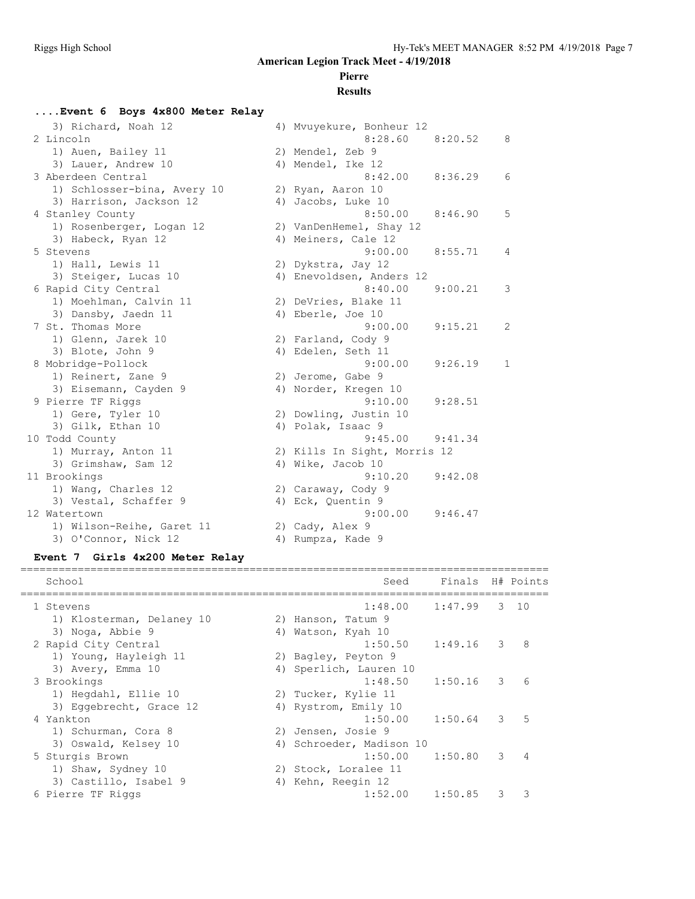# **Pierre**

#### **Results**

| Event 6 Boys 4x800 Meter Relay             |                                                   |              |
|--------------------------------------------|---------------------------------------------------|--------------|
| 3) Richard, Noah 12                        | 4) Mvuyekure, Bonheur 12                          |              |
| 2 Lincoln                                  | 8:28.60<br>8:20.52                                | 8            |
| 1) Auen, Bailey 11                         | 2) Mendel, Zeb 9                                  |              |
| 3) Lauer, Andrew 10                        | 4) Mendel, Ike 12                                 |              |
| 3 Aberdeen Central                         | 8:42.00<br>8:36.29                                | 6            |
| 1) Schlosser-bina, Avery 10                | 2) Ryan, Aaron 10                                 |              |
| 3) Harrison, Jackson 12                    | 4) Jacobs, Luke 10                                |              |
| 4 Stanley County                           | 8:50.00<br>8:46.90                                | 5            |
| 1) Rosenberger, Logan 12                   | 2) VanDenHemel, Shay 12                           |              |
| 3) Habeck, Ryan 12                         | 4) Meiners, Cale 12                               |              |
| 5 Stevens                                  | 9:00.00<br>8:55.71                                | 4            |
| 1) Hall, Lewis 11                          | 2) Dykstra, Jay 12                                |              |
| 3) Steiger, Lucas 10                       | 4) Enevoldsen, Anders 12                          |              |
| 6 Rapid City Central                       | 8:40.00<br>9:00.21                                | 3            |
| 1) Moehlman, Calvin 11                     | 2) DeVries, Blake 11                              |              |
| 3) Dansby, Jaedn 11                        | 4) Eberle, Joe 10                                 |              |
| 7 St. Thomas More                          | 9:00.00<br>9:15.21                                | 2            |
| 1) Glenn, Jarek 10                         | 2) Farland, Cody 9                                |              |
| 3) Blote, John 9                           | 4) Edelen, Seth 11                                |              |
| 8 Mobridge-Pollock                         | 9:00.00<br>9:26.19                                | $\mathbf{1}$ |
| 1) Reinert, Zane 9                         | 2) Jerome, Gabe 9                                 |              |
| 3) Eisemann, Cayden 9                      | 4) Norder, Kregen 10                              |              |
| 9 Pierre TF Riggs                          | 9:10.00<br>9:28.51                                |              |
| 1) Gere, Tyler 10                          | 2) Dowling, Justin 10                             |              |
| 3) Gilk, Ethan 10                          | 4) Polak, Isaac 9<br>9:45.00<br>9:41.34           |              |
| 10 Todd County                             |                                                   |              |
| 1) Murray, Anton 11<br>3) Grimshaw, Sam 12 | 2) Kills In Sight, Morris 12<br>4) Wike, Jacob 10 |              |
| 11 Brookings                               | 9:10.20<br>9:42.08                                |              |
| 1) Wang, Charles 12                        | 2) Caraway, Cody 9                                |              |
| 3) Vestal, Schaffer 9                      | 4) Eck, Quentin 9                                 |              |
| 12 Watertown                               | 9:00.00<br>9:46.47                                |              |
| 1) Wilson-Reihe, Garet 11                  | 2) Cady, Alex 9                                   |              |
| 3) O'Connor, Nick 12                       | 4) Rumpza, Kade 9                                 |              |
|                                            |                                                   |              |

#### **Event 7 Girls 4x200 Meter Relay**

| School                    |    | Seed                   | Finals H# Points |   |              |
|---------------------------|----|------------------------|------------------|---|--------------|
| 1 Stevens                 |    | 1:48.00                | 1:47.99          |   | $3 \quad 10$ |
| 1) Klosterman, Delaney 10 |    | 2) Hanson, Tatum 9     |                  |   |              |
| 3) Noga, Abbie 9          |    | 4) Watson, Kyah 10     |                  |   |              |
| 2 Rapid City Central      |    | 1:50.50                | 1:49.16          | 3 | 8            |
| 1) Young, Hayleigh 11     |    | 2) Bagley, Peyton 9    |                  |   |              |
| 3) Avery, Emma 10         |    | 4) Sperlich, Lauren 10 |                  |   |              |
| 3 Brookings               |    | 1:48.50                | 1:50.16          | 3 | 6            |
| 1) Hegdahl, Ellie 10      |    | 2) Tucker, Kylie 11    |                  |   |              |
| 3) Eqqebrecht, Grace 12   |    | 4) Rystrom, Emily 10   |                  |   |              |
| 4 Yankton                 |    | 1:50.00                | 1:50.64          | 3 | 5            |
| 1) Schurman, Cora 8       |    | 2) Jensen, Josie 9     |                  |   |              |
| 3) Oswald, Kelsey 10      | 4) | Schroeder, Madison 10  |                  |   |              |
| 5 Sturgis Brown           |    | 1:50.00                | 1:50.80          | 3 |              |
| 1) Shaw, Sydney 10        |    | 2) Stock, Loralee 11   |                  |   |              |
| 3) Castillo, Isabel 9     | 4) | Kehn, Reegin 12        |                  |   |              |
| 6 Pierre TF Riggs         |    | 1:52.00                | 1:50.85          | 3 | ς            |
|                           |    |                        |                  |   |              |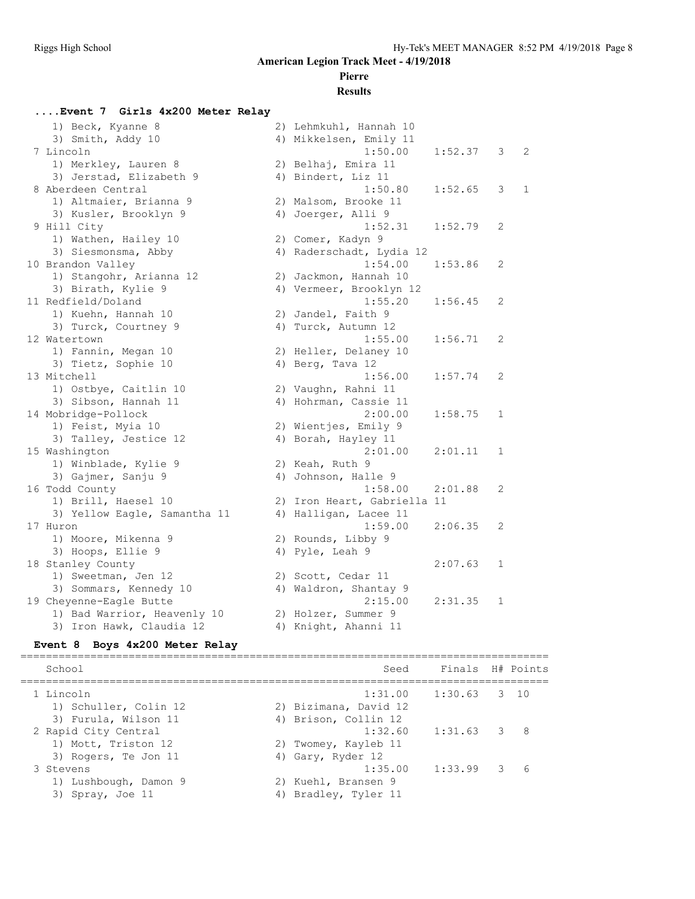#### **Pierre**

#### **Results**

#### **....Event 7 Girls 4x200 Meter Relay** 1) Beck, Kyanne 8 2) Lehmkuhl, Hannah 10 3) Smith, Addy 10 4) Mikkelsen, Emily 11 7 Lincoln 1:50.00 1:52.37 3 2 1) Merkley, Lauren 8 2) Belhaj, Emira 11 3) Jerstad, Elizabeth 9 (4) Bindert, Liz 11 8 Aberdeen Central 1:50.80 1:52.65 3 1 1) Altmaier, Brianna 9 2) Malsom, Brooke 11 3) Kusler, Brooklyn 9 1944 (4) Joerger, Alli 9 Hill City 1:52.31 1:52.79 2 1) Wathen, Hailey 10  $\hskip1cm 2)$  Comer, Kadyn 9 3) Siesmonsma, Abby 4) Raderschadt, Lydia 12 10 Brandon Valley 1:54.00 1:53.86 2 1) Stangohr, Arianna 12 2) Jackmon, Hannah 10 3) Birath, Kylie 9 4) Vermeer, Brooklyn 12 11 Redfield/Doland 1:55.20 1:56.45 2 1) Kuehn, Hannah 10 2) Jandel, Faith 9 3) Turck, Courtney 9 (4) Turck, Autumn 12 12 Watertown 1:55.00 1:56.71 2 1) Fannin, Megan 10 2) Heller, Delaney 10 3) Tietz, Sophie 10 (4) Berg, Tava 12 13 Mitchell 1:56.00 1:57.74 2 1) Ostbye, Caitlin 10 2) Vaughn, Rahni 11 3) Sibson, Hannah 11 4) Hohrman, Cassie 11 14 Mobridge-Pollock 2:00.00 1:58.75 1 1) Feist, Myia 10 2) Wientjes, Emily 9 3) Talley, Jestice 12 (4) Borah, Hayley 11 15 Washington 2:01.00 2:01.11 1 1) Winblade, Kylie 9 2) Keah, Ruth 9 3) Gajmer, Sanju 9 19 4) Johnson, Halle 9 16 Todd County 1:58.00 2:01.88 2 1) Brill, Haesel 10 2) Iron Heart, Gabriella 11 3) Yellow Eagle, Samantha 11 4) Halligan, Lacee 11 17 Huron 1:59.00 2:06.35 2 1) Moore, Mikenna 9 2) Rounds, Libby 9 3) Hoops, Ellie 9 4) Pyle, Leah 9 18 Stanley County 2:07.63 1 1) Sweetman, Jen 12 2) Scott, Cedar 11 3) Sommars, Kennedy 10 4) Waldron, Shantay 9 19 Cheyenne-Eagle Butte 2:15.00 2:31.35 1 1) Bad Warrior, Heavenly 10 2) Holzer, Summer 9 3) Iron Hawk, Claudia 12 (4) Knight, Ahanni 11

#### **Event 8 Boys 4x200 Meter Relay**

=================================================================================== School School Seed Finals H# Points =================================================================================== 1 Lincoln 1:31.00 1:30.63 3 10 1) Schuller, Colin 12 2) Bizimana, David 12 3) Furula, Wilson 11 (4) Brison, Collin 12 2 Rapid City Central 1:32.60 1:31.63 3 8 1) Mott, Triston 12 2) Twomey, Kayleb 11 3) Rogers, Te Jon 11 4) Gary, Ryder 12 3 Stevens 1:35.00 1:33.99 3 6 1) Lushbough, Damon 9 2) Kuehl, Bransen 9 3) Spray, Joe 11 4) Bradley, Tyler 11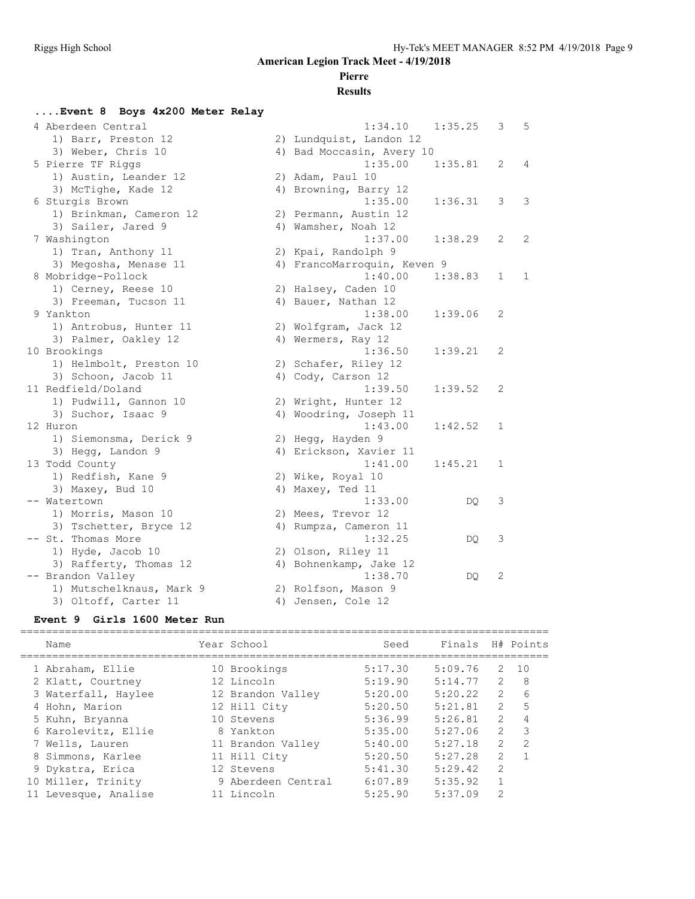## **Pierre**

#### **Results**

#### **....Event 8 Boys 4x200 Meter Relay**

| 4 Aberdeen Central       | 1:34.10                     | 1:35.25 | 3            | 5            |
|--------------------------|-----------------------------|---------|--------------|--------------|
| 1) Barr, Preston 12      | 2) Lundquist, Landon 12     |         |              |              |
| 3) Weber, Chris 10       | 4) Bad Moccasin, Avery 10   |         |              |              |
| 5 Pierre TF Riggs        | 1:35.00                     | 1:35.81 | 2            | 4            |
| 1) Austin, Leander 12    | 2) Adam, Paul 10            |         |              |              |
| 3) McTighe, Kade 12      | 4) Browning, Barry 12       |         |              |              |
| 6 Sturgis Brown          | 1:35.00                     | 1:36.31 | 3            | 3            |
| 1) Brinkman, Cameron 12  | 2) Permann, Austin 12       |         |              |              |
| 3) Sailer, Jared 9       | 4) Wamsher, Noah 12         |         |              |              |
| 7 Washington             | 1:37.00                     | 1:38.29 | 2            | 2            |
| 1) Tran, Anthony 11      | 2) Kpai, Randolph 9         |         |              |              |
| 3) Megosha, Menase 11    | 4) FrancoMarroquin, Keven 9 |         |              |              |
| 8 Mobridge-Pollock       | 1:40.00                     | 1:38.83 | $\mathbf{1}$ | $\mathbf{1}$ |
| 1) Cerney, Reese 10      | 2) Halsey, Caden 10         |         |              |              |
| 3) Freeman, Tucson 11    | 4) Bauer, Nathan 12         |         |              |              |
| 9 Yankton                | 1:38.00                     | 1:39.06 | 2            |              |
| 1) Antrobus, Hunter 11   | 2) Wolfgram, Jack 12        |         |              |              |
| 3) Palmer, Oakley 12     | 4) Wermers, Ray 12          |         |              |              |
| 10 Brookings             | 1:36.50                     | 1:39.21 | 2            |              |
| 1) Helmbolt, Preston 10  | 2) Schafer, Riley 12        |         |              |              |
| 3) Schoon, Jacob 11      | 4) Cody, Carson 12          |         |              |              |
| 11 Redfield/Doland       | 1:39.50                     | 1:39.52 | 2            |              |
| 1) Pudwill, Gannon 10    | 2) Wright, Hunter 12        |         |              |              |
| 3) Suchor, Isaac 9       | 4) Woodring, Joseph 11      |         |              |              |
| 12 Huron                 | 1:43.00                     | 1:42.52 | $\mathbf 1$  |              |
| 1) Siemonsma, Derick 9   | 2) Hegg, Hayden 9           |         |              |              |
| 3) Hegg, Landon 9        | 4) Erickson, Xavier 11      |         |              |              |
| 13 Todd County           | 1:41.00                     | 1:45.21 | 1            |              |
| 1) Redfish, Kane 9       | 2) Wike, Royal 10           |         |              |              |
| 3) Maxey, Bud 10         | 4) Maxey, Ted 11            |         |              |              |
| -- Watertown             | 1:33.00                     | DQ      | 3            |              |
| 1) Morris, Mason 10      | 2) Mees, Trevor 12          |         |              |              |
| 3) Tschetter, Bryce 12   | 4) Rumpza, Cameron 11       |         |              |              |
| -- St. Thomas More       | 1:32.25                     | DO      | 3            |              |
| 1) Hyde, Jacob 10        | 2) Olson, Riley 11          |         |              |              |
| 3) Rafferty, Thomas 12   | 4) Bohnenkamp, Jake 12      |         |              |              |
| -- Brandon Valley        | 1:38.70                     | DQ.     | 2            |              |
| 1) Mutschelknaus, Mark 9 | 2) Rolfson, Mason 9         |         |              |              |
| 3) Oltoff, Carter 11     | 4) Jensen, Cole 12          |         |              |              |

#### **Event 9 Girls 1600 Meter Run**

| Name                 | Year School        | Seed    | Finals  |                | H# Points     |
|----------------------|--------------------|---------|---------|----------------|---------------|
| 1 Abraham, Ellie     | 10 Brookings       | 5:17.30 | 5:09.76 | 2              | 10            |
| 2 Klatt, Courtney    | 12 Lincoln         | 5:19.90 | 5:14.77 | $\mathcal{P}$  | 8             |
| 3 Waterfall, Haylee  | 12 Brandon Valley  | 5:20.00 | 5:20.22 | $\overline{2}$ | 6             |
| 4 Hohn, Marion       | 12 Hill City       | 5:20.50 | 5:21.81 | 2              | 5             |
| 5 Kuhn, Bryanna      | 10 Stevens         | 5:36.99 | 5:26.81 | $\mathcal{L}$  |               |
| 6 Karolevitz, Ellie  | 8 Yankton          | 5:35.00 | 5:27.06 | $\mathcal{L}$  | 3             |
| 7 Wells, Lauren      | 11 Brandon Valley  | 5:40.00 | 5:27.18 | 2              | $\mathcal{P}$ |
| 8 Simmons, Karlee    | 11 Hill City       | 5:20.50 | 5:27.28 | $\overline{2}$ |               |
| 9 Dykstra, Erica     | 12 Stevens         | 5:41.30 | 5:29.42 | 2              |               |
| 10 Miller, Trinity   | 9 Aberdeen Central | 6:07.89 | 5:35.92 | $\mathbf{1}$   |               |
| 11 Levesque, Analise | 11 Lincoln         | 5:25.90 | 5:37.09 | 2              |               |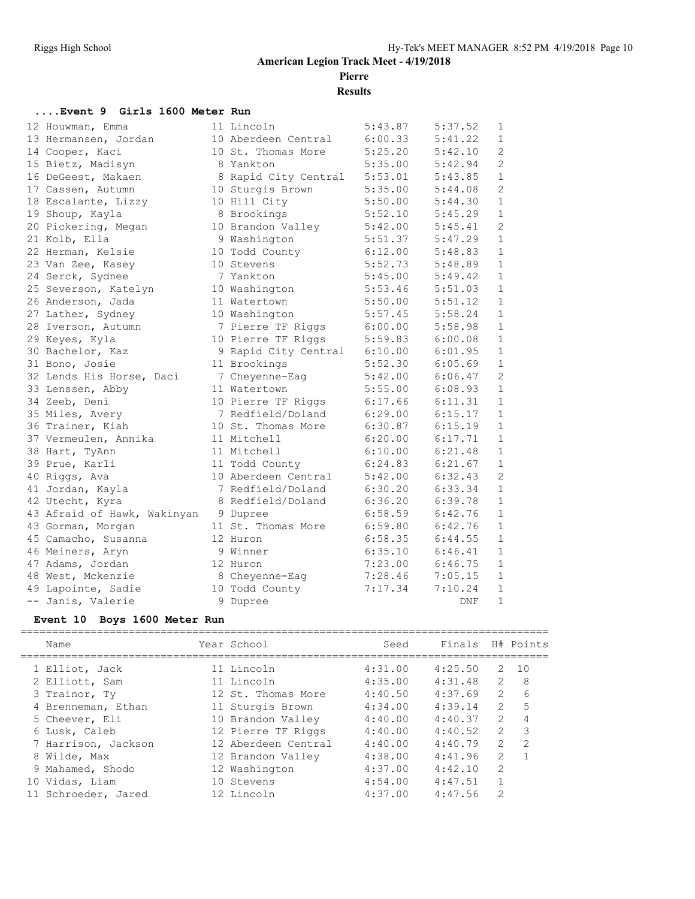**Pierre**

**Results**

#### **....Event 9 Girls 1600 Meter Run**

| 12 Houwman, Emma            | 11 Lincoln           | 5:43.87 | 5:37.52 | 1              |
|-----------------------------|----------------------|---------|---------|----------------|
| 13 Hermansen, Jordan        | 10 Aberdeen Central  | 6:00.33 | 5:41.22 | $\mathbf{1}$   |
| 14 Cooper, Kaci             | 10 St. Thomas More   | 5:25.20 | 5:42.10 | $\overline{2}$ |
| 15 Bietz, Madisyn           | 8 Yankton            | 5:35.00 | 5:42.94 | $\overline{c}$ |
| 16 DeGeest, Makaen          | 8 Rapid City Central | 5:53.01 | 5:43.85 | $\mathbf{1}$   |
| 17 Cassen, Autumn           | 10 Sturgis Brown     | 5:35.00 | 5:44.08 | $\mathbf{2}$   |
| 18 Escalante, Lizzy         | 10 Hill City         | 5:50.00 | 5:44.30 | $\mathbf{1}$   |
| 19 Shoup, Kayla             | 8 Brookings          | 5:52.10 | 5:45.29 | $\mathbf{1}$   |
| 20 Pickering, Megan         | 10 Brandon Valley    | 5:42.00 | 5:45.41 | $\overline{2}$ |
| 21 Kolb, Ella               | 9 Washington         | 5:51.37 | 5:47.29 | $\mathbf{1}$   |
| 22 Herman, Kelsie           | 10 Todd County       | 6:12.00 | 5:48.83 | $\mathbf 1$    |
| 23 Van Zee, Kasey           | 10 Stevens           | 5:52.73 | 5:48.89 | $\mathbf{1}$   |
| 24 Serck, Sydnee            | 7 Yankton            | 5:45.00 | 5:49.42 | $\mathbf{1}$   |
| 25 Severson, Katelyn        | 10 Washington        | 5:53.46 | 5:51.03 | $\mathbf{1}$   |
| 26 Anderson, Jada           | 11 Watertown         | 5:50.00 | 5:51.12 | $\mathbf{1}$   |
| 27 Lather, Sydney           | 10 Washington        | 5:57.45 | 5:58.24 | $\mathbf{1}$   |
| 28 Iverson, Autumn          | 7 Pierre TF Riggs    | 6:00.00 | 5:58.98 | 1              |
| 29 Keyes, Kyla              | 10 Pierre TF Riggs   | 5:59.83 | 6:00.08 | 1              |
| 30 Bachelor, Kaz            | 9 Rapid City Central | 6:10.00 | 6:01.95 | $\mathbf{1}$   |
| 31 Bono, Josie              | 11 Brookings         | 5:52.30 | 6:05.69 | $\mathbf{1}$   |
| 32 Lends His Horse, Daci    | 7 Cheyenne-Eag       | 5:42.00 | 6:06.47 | $\overline{2}$ |
| 33 Lenssen, Abby            | 11 Watertown         | 5:55.00 | 6:08.93 | $\mathbf 1$    |
| 34 Zeeb, Deni               | 10 Pierre TF Riggs   | 6:17.66 | 6:11.31 | $\mathbf{1}$   |
| 35 Miles, Avery             | 7 Redfield/Doland    | 6:29.00 | 6:15.17 | $\mathbf{1}$   |
| 36 Trainer, Kiah            | 10 St. Thomas More   | 6:30.87 | 6:15.19 | $\mathbf{1}$   |
| 37 Vermeulen, Annika        | 11 Mitchell          | 6:20.00 | 6:17.71 | $\mathbf{1}$   |
| 38 Hart, TyAnn              | 11 Mitchell          | 6:10.00 | 6:21.48 | $\mathbf{1}$   |
| 39 Prue, Karli              | 11 Todd County       | 6:24.83 | 6:21.67 | $\mathbf{1}$   |
| 40 Riggs, Ava               | 10 Aberdeen Central  | 5:42.00 | 6:32.43 | $\overline{2}$ |
| 41 Jordan, Kayla            | 7 Redfield/Doland    | 6:30.20 | 6:33.34 | $\mathbf{1}$   |
| 42 Utecht, Kyra             | 8 Redfield/Doland    | 6:36.20 | 6:39.78 | $\mathbf{1}$   |
| 43 Afraid of Hawk, Wakinyan | 9 Dupree             | 6:58.59 | 6:42.76 | $\mathbf{1}$   |
| 43 Gorman, Morgan           | 11 St. Thomas More   | 6:59.80 | 6:42.76 | $\mathbf{1}$   |
| 45 Camacho, Susanna         | 12 Huron             | 6:58.35 | 6:44.55 | $\mathbf{1}$   |
| 46 Meiners, Aryn            | 9 Winner             | 6:35.10 | 6:46.41 | $\mathbf 1$    |
| 47 Adams, Jordan            | 12 Huron             | 7:23.00 | 6:46.75 | $\mathbf 1$    |
| 48 West, Mckenzie           | 8 Cheyenne-Eag       | 7:28.46 | 7:05.15 | $\mathbf{1}$   |
| 49 Lapointe, Sadie          | 10 Todd County       | 7:17.34 | 7:10.24 | $\mathbf{1}$   |
| -- Janis, Valerie           | 9 Dupree             |         | DNF     | $\mathbf 1$    |

#### **Event 10 Boys 1600 Meter Run**

| Name                | Year School         | Seed    | Finals  |                | H# Points |
|---------------------|---------------------|---------|---------|----------------|-----------|
| 1 Elliot, Jack      | 11 Lincoln          | 4:31.00 | 4:25.50 | 2              | 1 O       |
| 2 Elliott, Sam      | 11 Lincoln          | 4:35.00 | 4:31.48 | $\mathcal{L}$  | 8         |
| 3 Trainor, Ty       | 12 St. Thomas More  | 4:40.50 | 4:37.69 | $\overline{2}$ | 6         |
| 4 Brenneman, Ethan  | 11 Sturgis Brown    | 4:34.00 | 4:39.14 | $\mathcal{L}$  | 5         |
| 5 Cheever, Eli      | 10 Brandon Valley   | 4:40.00 | 4:40.37 | 2              | 4         |
| 6 Lusk, Caleb       | 12 Pierre TF Riggs  | 4:40.00 | 4:40.52 | $\mathcal{L}$  | 3         |
| 7 Harrison, Jackson | 12 Aberdeen Central | 4:40.00 | 4:40.79 | 2              | 2         |
| 8 Wilde, Max        | 12 Brandon Valley   | 4:38.00 | 4:41.96 | 2              |           |
| 9 Mahamed, Shodo    | 12 Washington       | 4:37.00 | 4:42.10 | 2              |           |
| 10 Vidas, Liam      | 10 Stevens          | 4:54.00 | 4:47.51 |                |           |
| 11 Schroeder, Jared | 12 Lincoln          | 4:37.00 | 4:47.56 | $\mathcal{L}$  |           |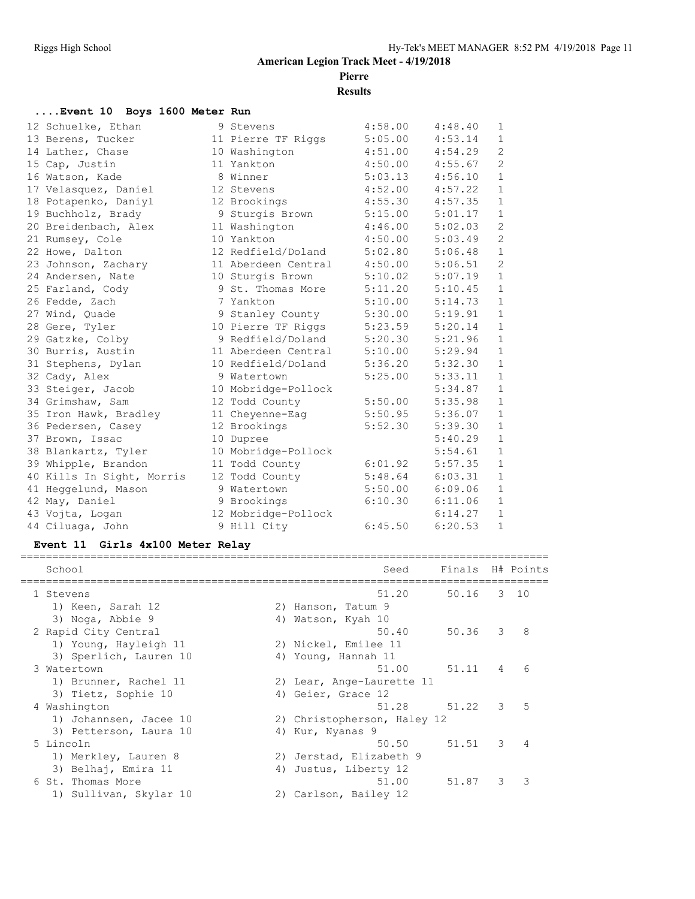**Pierre**

**Results**

#### **....Event 10 Boys 1600 Meter Run**

| 12 Schuelke, Ethan        | 9 Stevens           | 4:58.00 | 4:48.40 | 1            |
|---------------------------|---------------------|---------|---------|--------------|
| 13 Berens, Tucker         | 11 Pierre TF Riggs  | 5:05.00 | 4:53.14 | $\mathbf{1}$ |
| 14 Lather, Chase          | 10 Washington       | 4:51.00 | 4:54.29 | 2            |
| 15 Cap, Justin            | 11 Yankton          | 4:50.00 | 4:55.67 | $\mathbf{2}$ |
| 16 Watson, Kade           | 8 Winner            | 5:03.13 | 4:56.10 | $\mathbf{1}$ |
| 17 Velasquez, Daniel      | 12 Stevens          | 4:52.00 | 4:57.22 | $\mathbf{1}$ |
| 18 Potapenko, Daniyl      | 12 Brookings        | 4:55.30 | 4:57.35 | $\mathbf{1}$ |
| 19 Buchholz, Brady        | 9 Sturgis Brown     | 5:15.00 | 5:01.17 | $\mathbf{1}$ |
| 20 Breidenbach, Alex      | 11 Washington       | 4:46.00 | 5:02.03 | $\mathbf{2}$ |
| 21 Rumsey, Cole           | 10 Yankton          | 4:50.00 | 5:03.49 | 2            |
| 22 Howe, Dalton           | 12 Redfield/Doland  | 5:02.80 | 5:06.48 | $\mathbf{1}$ |
| 23 Johnson, Zachary       | 11 Aberdeen Central | 4:50.00 | 5:06.51 | $\mathbf{2}$ |
| 24 Andersen, Nate         | 10 Sturgis Brown    | 5:10.02 | 5:07.19 | $\mathbf{1}$ |
| 25 Farland, Cody          | 9 St. Thomas More   | 5:11.20 | 5:10.45 | $\mathbf{1}$ |
| 26 Fedde, Zach            | 7 Yankton           | 5:10.00 | 5:14.73 | $\mathbf{1}$ |
| 27 Wind, Quade            | 9 Stanley County    | 5:30.00 | 5:19.91 | $\mathbf{1}$ |
| 28 Gere, Tyler            | 10 Pierre TF Riggs  | 5:23.59 | 5:20.14 | $\mathbf{1}$ |
| 29 Gatzke, Colby          | 9 Redfield/Doland   | 5:20.30 | 5:21.96 | $\mathbf{1}$ |
| 30 Burris, Austin         | 11 Aberdeen Central | 5:10.00 | 5:29.94 | $\mathbf{1}$ |
| 31 Stephens, Dylan        | 10 Redfield/Doland  | 5:36.20 | 5:32.30 | $\mathbf{1}$ |
| 32 Cady, Alex             | 9 Watertown         | 5:25.00 | 5:33.11 | $\mathbf{1}$ |
| 33 Steiger, Jacob         | 10 Mobridge-Pollock |         | 5:34.87 | $\mathbf{1}$ |
| 34 Grimshaw, Sam          | 12 Todd County      | 5:50.00 | 5:35.98 | $\mathbf{1}$ |
| 35 Iron Hawk, Bradley     | 11 Cheyenne-Eag     | 5:50.95 | 5:36.07 | $\mathbf{1}$ |
| 36 Pedersen, Casey        | 12 Brookings        | 5:52.30 | 5:39.30 | $\mathbf{1}$ |
| 37 Brown, Issac           | 10 Dupree           |         | 5:40.29 | $\mathbf{1}$ |
| 38 Blankartz, Tyler       | 10 Mobridge-Pollock |         | 5:54.61 | $\mathbf{1}$ |
| 39 Whipple, Brandon       | 11 Todd County      | 6:01.92 | 5:57.35 | $\mathbf{1}$ |
| 40 Kills In Sight, Morris | 12 Todd County      | 5:48.64 | 6:03.31 | $\mathbf{1}$ |
| 41 Heggelund, Mason       | 9 Watertown         | 5:50.00 | 6:09.06 | $1\,$        |
| 42 May, Daniel            | 9 Brookings         | 6:10.30 | 6:11.06 | $\mathbf{1}$ |
| 43 Vojta, Logan           | 12 Mobridge-Pollock |         | 6:14.27 | $\mathbf{1}$ |
| 44 Ciluaga, John          | 9 Hill City         | 6:45.50 | 6:20.53 | $\mathbf{1}$ |

# **Event 11 Girls 4x100 Meter Relay**

| School                 |    | Seed                        | Finals H# Points |   |              |
|------------------------|----|-----------------------------|------------------|---|--------------|
| 1 Stevens              |    | 51.20                       | 50.16            |   | $3 \quad 10$ |
| 1) Keen, Sarah 12      |    | 2) Hanson, Tatum 9          |                  |   |              |
| 3) Noga, Abbie 9       |    | 4) Watson, Kyah 10          |                  |   |              |
| 2 Rapid City Central   |    | 50.40                       | 50.36            | 3 | 8            |
| 1) Young, Hayleigh 11  |    | 2) Nickel, Emilee 11        |                  |   |              |
| 3) Sperlich, Lauren 10 |    | 4) Young, Hannah 11         |                  |   |              |
| 3 Watertown            |    | 51.00                       | 51.11            | 4 | 6            |
| 1) Brunner, Rachel 11  |    | 2) Lear, Ange-Laurette 11   |                  |   |              |
| 3) Tietz, Sophie 10    |    | 4) Geier, Grace 12          |                  |   |              |
| 4 Washington           |    | 51.28                       | 51.22            | 3 | 5            |
| 1) Johannsen, Jacee 10 |    | 2) Christopherson, Haley 12 |                  |   |              |
| 3) Petterson, Laura 10 |    | 4) Kur, Nyanas 9            |                  |   |              |
| 5 Lincoln              |    | 50.50                       | 51.51            | 3 | 4            |
| 1) Merkley, Lauren 8   |    | 2) Jerstad, Elizabeth 9     |                  |   |              |
| 3) Belhaj, Emira 11    | 4) | Justus, Liberty 12          |                  |   |              |
| 6 St. Thomas More      |    | 51.00                       | 51.87            | 3 | २            |
| 1) Sullivan, Skylar 10 |    | 2) Carlson, Bailey 12       |                  |   |              |
|                        |    |                             |                  |   |              |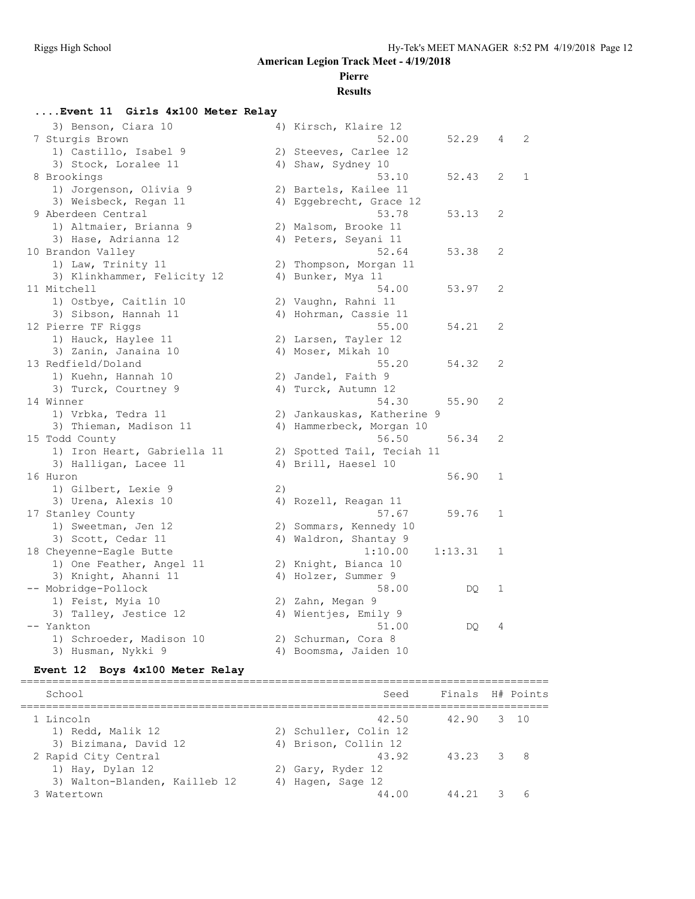# **Pierre**

# **Results**

#### **....Event 11 Girls 4x100 Meter Relay**

| 3) Benson, Ciara 10         |    | 4) Kirsch, Klaire 12       |         |             |   |
|-----------------------------|----|----------------------------|---------|-------------|---|
| 7 Sturgis Brown             |    | 52.00                      | 52.29   | 4           | 2 |
| 1) Castillo, Isabel 9       |    | 2) Steeves, Carlee 12      |         |             |   |
| 3) Stock, Loralee 11        |    | 4) Shaw, Sydney 10         |         |             |   |
| 8 Brookings                 |    | 53.10                      | 52.43   | 2           | 1 |
| 1) Jorgenson, Olivia 9      |    | 2) Bartels, Kailee 11      |         |             |   |
| 3) Weisbeck, Regan 11       |    | 4) Eggebrecht, Grace 12    |         |             |   |
| 9 Aberdeen Central          |    | 53.78                      | 53.13   | 2           |   |
| 1) Altmaier, Brianna 9      |    | 2) Malsom, Brooke 11       |         |             |   |
| 3) Hase, Adrianna 12        |    | 4) Peters, Seyani 11       |         |             |   |
| 10 Brandon Valley           |    | 52.64                      | 53.38   | 2           |   |
| 1) Law, Trinity 11          |    | 2) Thompson, Morgan 11     |         |             |   |
| 3) Klinkhammer, Felicity 12 |    | 4) Bunker, Mya 11          |         |             |   |
| 11 Mitchell                 |    | 54.00                      | 53.97   | 2           |   |
| 1) Ostbye, Caitlin 10       |    | 2) Vaughn, Rahni 11        |         |             |   |
| 3) Sibson, Hannah 11        |    | 4) Hohrman, Cassie 11      |         |             |   |
| 12 Pierre TF Riggs          |    | 55.00                      | 54.21   | 2           |   |
| 1) Hauck, Haylee 11         |    | 2) Larsen, Tayler 12       |         |             |   |
| 3) Zanin, Janaina 10        |    | 4) Moser, Mikah 10         |         |             |   |
| 13 Redfield/Doland          |    | 55.20                      | 54.32   | 2           |   |
| 1) Kuehn, Hannah 10         |    | 2) Jandel, Faith 9         |         |             |   |
| 3) Turck, Courtney 9        |    | 4) Turck, Autumn 12        |         |             |   |
| 14 Winner                   |    | 54.30                      | 55.90   | 2           |   |
| 1) Vrbka, Tedra 11          |    | 2) Jankauskas, Katherine 9 |         |             |   |
| 3) Thieman, Madison 11      |    | 4) Hammerbeck, Morgan 10   |         |             |   |
| 15 Todd County              |    | 56.50                      | 56.34   | 2           |   |
| 1) Iron Heart, Gabriella 11 |    | 2) Spotted Tail, Teciah 11 |         |             |   |
| 3) Halligan, Lacee 11       |    | 4) Brill, Haesel 10        |         |             |   |
| 16 Huron                    |    |                            | 56.90   | $\mathbf 1$ |   |
| 1) Gilbert, Lexie 9         | 2) |                            |         |             |   |
| 3) Urena, Alexis 10         |    | 4) Rozell, Reagan 11       |         |             |   |
| 17 Stanley County           |    | 57.67                      | 59.76   | $\mathbf 1$ |   |
| 1) Sweetman, Jen 12         |    | 2) Sommars, Kennedy 10     |         |             |   |
| 3) Scott, Cedar 11          |    | 4) Waldron, Shantay 9      |         |             |   |
| 18 Cheyenne-Eagle Butte     |    | 1:10.00                    | 1:13.31 | 1           |   |
| 1) One Feather, Angel 11    |    | 2) Knight, Bianca 10       |         |             |   |
| 3) Knight, Ahanni 11        |    | 4) Holzer, Summer 9        |         |             |   |
| -- Mobridge-Pollock         |    | 58.00                      | DQ.     | 1           |   |
| 1) Feist, Myia 10           |    | 2) Zahn, Megan 9           |         |             |   |
| 3) Talley, Jestice 12       |    | 4) Wientjes, Emily 9       |         |             |   |
| -- Yankton                  |    | 51.00                      | DQ.     | 4           |   |
| 1) Schroeder, Madison 10    |    | 2) Schurman, Cora 8        |         |             |   |
| 3) Husman, Nykki 9          |    | 4) Boomsma, Jaiden 10      |         |             |   |
|                             |    |                            |         |             |   |

# **Event 12 Boys 4x100 Meter Relay**

| School                        | Seed                  |       | Finals H# Points |  |
|-------------------------------|-----------------------|-------|------------------|--|
| 1 Lincoln                     | 42.50                 | 42.90 | 3 10             |  |
| 1) Redd, Malik 12             | 2) Schuller, Colin 12 |       |                  |  |
| 3) Bizimana, David 12         | 4) Brison, Collin 12  |       |                  |  |
| 2 Rapid City Central          | 43.92                 | 43.23 | - 8<br>3         |  |
| 1) Hay, Dylan 12              | 2) Gary, Ryder 12     |       |                  |  |
| 3) Walton-Blanden, Kailleb 12 | 4) Hagen, Sage 12     |       |                  |  |
| Watertown                     | 44.00                 | 44.21 |                  |  |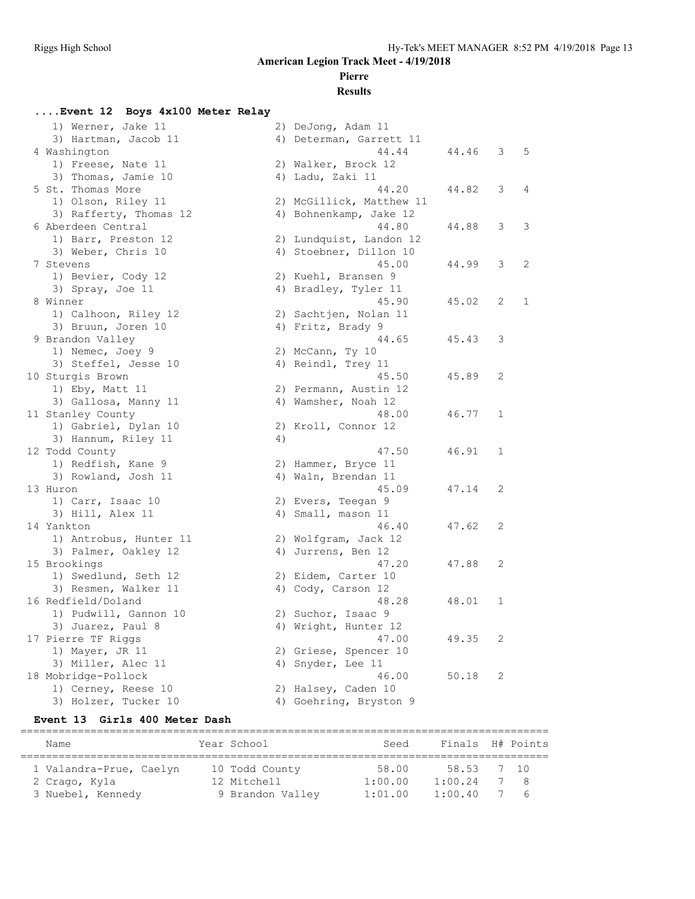### **Pierre**

#### **Results**

#### **....Event 12 Boys 4x100 Meter Relay** 1) Werner, Jake 11 2) DeJong, Adam 11<br>3) Hartman, Jacob 11 4) Determan, Garrett 11 3) Hartman, Jacob 11 4) Determan, Garrett 11 4 Washington 1980 1991 1992 1994 1996 1997 1998 1999 1999 1994 1994 1995 1996 1997 1998 1999 1999 1999 1999 19 1) Freese, Nate 11 2) Walker, Brock 12 3) Thomas, Jamie 10 (4) Ladu, Zaki 11 5 St. Thomas More 44.20 44.82 3 4 1) Olson, Riley 11 2) McGillick, Matthew 11 3) Rafferty, Thomas 12 4) Bohnenkamp, Jake 12 6 Aberdeen Central 44.80 44.88 3 3 1) Barr, Preston 12 2) Lundquist, Landon 12 3) Weber, Chris 10 4) Stoebner, Dillon 10 7 Stevens 45.00 44.99 3 2 1) Bevier, Cody 12 2) Kuehl, Bransen 9 3) Spray, Joe 11 4) Bradley, Tyler 11 8 Winner 45.90 45.02 2 1 1) Calhoon, Riley 12 2) Sachtjen, Nolan 11 3) Bruun, Joren 10 (4) Fritz, Brady 9 9 Brandon Valley 44.65 45.43 3 1) Nemec, Joey 9 2) McCann, Ty 10 3) Steffel, Jesse 10 4) Reindl, Trey 11 10 Sturgis Brown 45.50 45.89 2 1) Eby, Matt 11 2) Permann, Austin 12 3) Gallosa, Manny 11 (4) Wamsher, Noah 12 11 Stanley County 48.00 46.77 1 1) Gabriel, Dylan 10 2) Kroll, Connor 12 and the country of the country of the country of the country of the country of the country of the country of the country of the country of the country of the country of the country of the country of the country of the coun 12 Todd County 47.50 46.91 1 1) Redfish, Kane 9 2) Hammer, Bryce 11 3) Rowland, Josh 11 4) Waln, Brendan 11 13 Huron 45.09 47.14 2 1) Carr, Isaac 10 2) Evers, Teegan 9 3) Hill, Alex 11 4) Small, mason 11 14 Yankton 46.40 47.62 2 1) Antrobus, Hunter 11 2) Wolfgram, Jack 12 3) Palmer, Oakley 12 (4) Jurrens, Ben 12 15 Brookings 47.20 47.88 2 1) Swedlund, Seth 12 2) Eidem, Carter 10 3) Resmen, Walker 11 4) Cody, Carson 12 16 Redfield/Doland 48.28 48.01 1 1) Pudwill, Gannon 10 2) Suchor, Isaac 9 3) Juarez, Paul 8 4) Wright, Hunter 12 17 Pierre TF Riggs 47.00 49.35 2 1) Mayer, JR 11 2) Griese, Spencer 10 3) Miller, Alec 11 4) Snyder, Lee 11 18 Mobridge-Pollock 46.00 50.18 2 1) Cerney, Reese 10 2) Halsey, Caden 10 3) Holzer, Tucker 10 4) Goehring, Bryston 9

#### **Event 13 Girls 400 Meter Dash**

| Name                    | Year School      | Seed    | Finals H# Points |      |
|-------------------------|------------------|---------|------------------|------|
|                         |                  |         |                  |      |
| 1 Valandra-Prue, Caelyn | 10 Todd County   | 58.00   | 58.53            | 7 10 |
| 2 Crago, Kyla           | 12 Mitchell      | 1:00.00 | 1:00.24          | -8   |
| 3 Nuebel, Kennedy       | 9 Brandon Valley | 1:01.00 | 1:00.40          | -6   |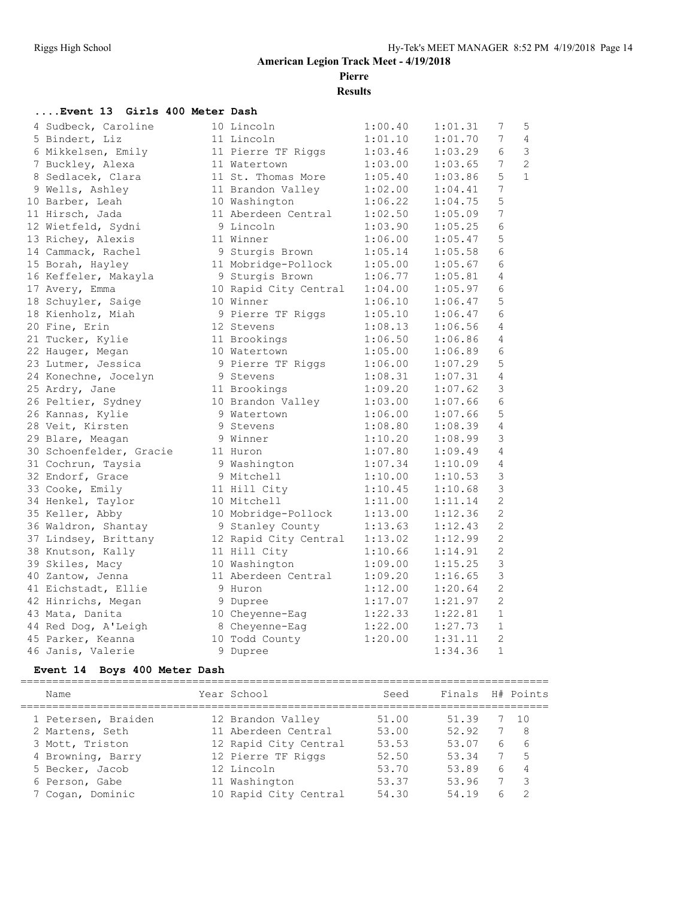**Pierre**

**Results**

#### **....Event 13 Girls 400 Meter Dash**

| 4 Sudbeck, Caroline     | 10 Lincoln            | 1:00.40 | 1:01.31 | 7               | $\mathsf S$    |
|-------------------------|-----------------------|---------|---------|-----------------|----------------|
| 5 Bindert, Liz          | 11 Lincoln            | 1:01.10 | 1:01.70 | 7               | $\overline{4}$ |
| 6 Mikkelsen, Emily      | 11 Pierre TF Riggs    | 1:03.46 | 1:03.29 | 6               | $\mathcal{E}$  |
| 7 Buckley, Alexa        | 11 Watertown          | 1:03.00 | 1:03.65 | 7               | $\overline{2}$ |
| 8 Sedlacek, Clara       | 11 St. Thomas More    | 1:05.40 | 1:03.86 | 5               | $\mathbf{1}$   |
| 9 Wells, Ashley         | 11 Brandon Valley     | 1:02.00 | 1:04.41 | $\overline{7}$  |                |
| 10 Barber, Leah         | 10 Washington         | 1:06.22 | 1:04.75 | 5               |                |
| 11 Hirsch, Jada         | 11 Aberdeen Central   | 1:02.50 | 1:05.09 | $\overline{7}$  |                |
| 12 Wietfeld, Sydni      | 9 Lincoln             | 1:03.90 | 1:05.25 | 6               |                |
| 13 Richey, Alexis       | 11 Winner             | 1:06.00 | 1:05.47 | 5               |                |
| 14 Cammack, Rachel      | 9 Sturgis Brown       | 1:05.14 | 1:05.58 | 6               |                |
| 15 Borah, Hayley        | 11 Mobridge-Pollock   | 1:05.00 | 1:05.67 | 6               |                |
| 16 Keffeler, Makayla    | 9 Sturgis Brown       | 1:06.77 | 1:05.81 | 4               |                |
| 17 Avery, Emma          | 10 Rapid City Central | 1:04.00 | 1:05.97 | 6               |                |
| 18 Schuyler, Saige      | 10 Winner             | 1:06.10 | 1:06.47 | 5               |                |
| 18 Kienholz, Miah       | 9 Pierre TF Riggs     | 1:05.10 | 1:06.47 | 6               |                |
| 20 Fine, Erin           | 12 Stevens            | 1:08.13 | 1:06.56 | 4               |                |
| 21 Tucker, Kylie        | 11 Brookings          | 1:06.50 | 1:06.86 | 4               |                |
| 22 Hauger, Megan        | 10 Watertown          | 1:05.00 | 1:06.89 | 6               |                |
| 23 Lutmer, Jessica      | 9 Pierre TF Riggs     | 1:06.00 | 1:07.29 | 5               |                |
| 24 Konechne, Jocelyn    | 9 Stevens             | 1:08.31 | 1:07.31 | $\overline{4}$  |                |
| 25 Ardry, Jane          | 11 Brookings          | 1:09.20 | 1:07.62 | 3               |                |
| 26 Peltier, Sydney      | 10 Brandon Valley     | 1:03.00 | 1:07.66 | $6\phantom{.}6$ |                |
| 26 Kannas, Kylie        | 9 Watertown           | 1:06.00 | 1:07.66 | 5               |                |
| 28 Veit, Kirsten        | 9 Stevens             | 1:08.80 | 1:08.39 | $\overline{4}$  |                |
| 29 Blare, Meagan        | 9 Winner              | 1:10.20 | 1:08.99 | 3               |                |
| 30 Schoenfelder, Gracie | 11 Huron              | 1:07.80 | 1:09.49 | 4               |                |
| 31 Cochrun, Taysia      | 9 Washington          | 1:07.34 | 1:10.09 | $\overline{4}$  |                |
| 32 Endorf, Grace        | 9 Mitchell            | 1:10.00 | 1:10.53 | 3               |                |
| 33 Cooke, Emily         | 11 Hill City          | 1:10.45 | 1:10.68 | 3               |                |
| 34 Henkel, Taylor       | 10 Mitchell           | 1:11.00 | 1:11.14 | $\overline{2}$  |                |
| 35 Keller, Abby         | 10 Mobridge-Pollock   | 1:13.00 | 1:12.36 | $\overline{c}$  |                |
| 36 Waldron, Shantay     | 9 Stanley County      | 1:13.63 | 1:12.43 | $\overline{2}$  |                |
| 37 Lindsey, Brittany    | 12 Rapid City Central | 1:13.02 | 1:12.99 | $\overline{c}$  |                |
| 38 Knutson, Kally       | 11 Hill City          | 1:10.66 | 1:14.91 | $\overline{2}$  |                |
| 39 Skiles, Macy         | 10 Washington         | 1:09.00 | 1:15.25 | 3               |                |
| 40 Zantow, Jenna        | 11 Aberdeen Central   | 1:09.20 | 1:16.65 | $\mathcal{S}$   |                |
| 41 Eichstadt, Ellie     | 9 Huron               | 1:12.00 | 1:20.64 | $\overline{c}$  |                |
| 42 Hinrichs, Megan      | 9 Dupree              | 1:17.07 | 1:21.97 | $\overline{2}$  |                |
| 43 Mata, Danita         | 10 Cheyenne-Eag       | 1:22.33 | 1:22.81 | $\mathbf{1}$    |                |
| 44 Red Dog, A'Leigh     | 8 Cheyenne-Eag        | 1:22.00 | 1:27.73 | $\mathbf{1}$    |                |
| 45 Parker, Keanna       | 10 Todd County        | 1:20.00 | 1:31.11 | $\overline{2}$  |                |
| 46 Janis, Valerie       | 9 Dupree              |         | 1:34.36 | $\mathbf{1}$    |                |

#### **Event 14 Boys 400 Meter Dash**

| Name                | Year School           | Seed  | Finals |   | H# Points      |
|---------------------|-----------------------|-------|--------|---|----------------|
| 1 Petersen, Braiden | 12 Brandon Valley     | 51.00 | 51.39  | 7 | 10             |
| 2 Martens, Seth     | 11 Aberdeen Central   | 53.00 | 52.92  | 7 | -8             |
| 3 Mott, Triston     | 12 Rapid City Central | 53.53 | 53.07  | 6 | 6              |
| 4 Browning, Barry   | 12 Pierre TF Riggs    | 52.50 | 53.34  | 7 | 5              |
| 5 Becker, Jacob     | 12 Lincoln            | 53.70 | 53.89  | 6 | $\overline{4}$ |
| 6 Person, Gabe      | 11 Washington         | 53.37 | 53.96  |   | 3              |
| 7 Cogan, Dominic    | 10 Rapid City Central | 54.30 | 54.19  | 6 | $\mathcal{D}$  |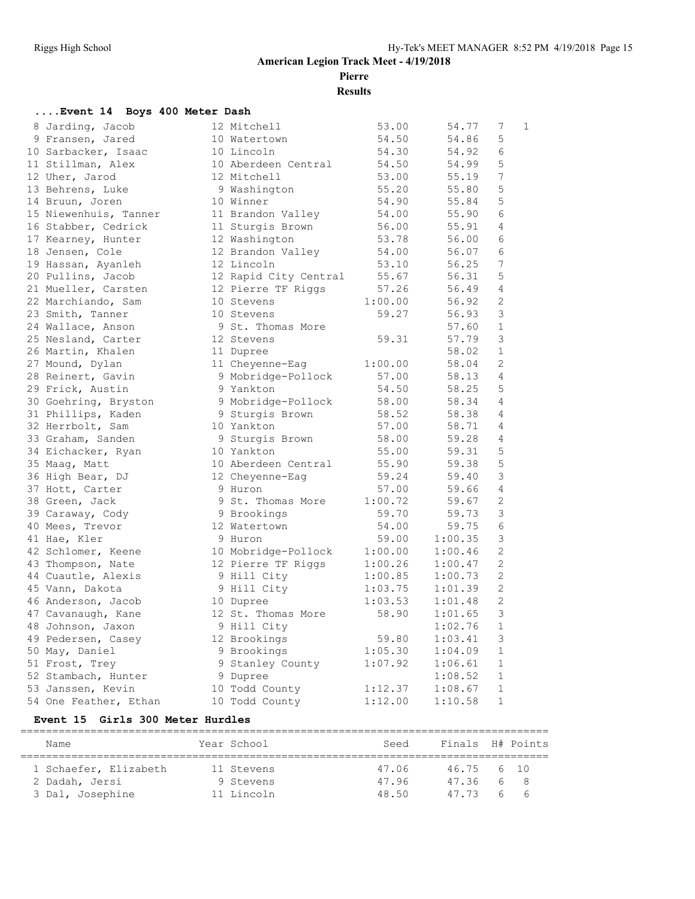**Pierre**

**Results**

#### **....Event 14 Boys 400 Meter Dash**

| 8 Jarding, Jacob      | 12 Mitchell           | 53.00   | 54.77   | 7              | 1 |
|-----------------------|-----------------------|---------|---------|----------------|---|
| 9 Fransen, Jared      | 10 Watertown          | 54.50   | 54.86   | 5              |   |
| 10 Sarbacker, Isaac   | 10 Lincoln            | 54.30   | 54.92   | 6              |   |
| 11 Stillman, Alex     | 10 Aberdeen Central   | 54.50   | 54.99   | 5              |   |
| 12 Uher, Jarod        | 12 Mitchell           | 53.00   | 55.19   | 7              |   |
| 13 Behrens, Luke      | 9 Washington          | 55.20   | 55.80   | 5              |   |
| 14 Bruun, Joren       | 10 Winner             | 54.90   | 55.84   | 5              |   |
| 15 Niewenhuis, Tanner | 11 Brandon Valley     | 54.00   | 55.90   | 6              |   |
| 16 Stabber, Cedrick   | 11 Sturgis Brown      | 56.00   | 55.91   | 4              |   |
| 17 Kearney, Hunter    | 12 Washington         | 53.78   | 56.00   | 6              |   |
| 18 Jensen, Cole       | 12 Brandon Valley     | 54.00   | 56.07   | 6              |   |
| 19 Hassan, Ayanleh    | 12 Lincoln            | 53.10   | 56.25   | 7              |   |
| 20 Pullins, Jacob     | 12 Rapid City Central | 55.67   | 56.31   | 5              |   |
| 21 Mueller, Carsten   | 12 Pierre TF Riggs    | 57.26   | 56.49   | 4              |   |
| 22 Marchiando, Sam    | 10 Stevens            | 1:00.00 | 56.92   | 2              |   |
| 23 Smith, Tanner      | 10 Stevens            | 59.27   | 56.93   | 3              |   |
| 24 Wallace, Anson     | 9 St. Thomas More     |         | 57.60   | $\mathbf{1}$   |   |
| 25 Nesland, Carter    | 12 Stevens            | 59.31   | 57.79   | 3              |   |
| 26 Martin, Khalen     | 11 Dupree             |         | 58.02   | $\mathbf{1}$   |   |
| 27 Mound, Dylan       | 11 Cheyenne-Eag       | 1:00.00 | 58.04   | 2              |   |
| 28 Reinert, Gavin     | 9 Mobridge-Pollock    | 57.00   | 58.13   | 4              |   |
| 29 Frick, Austin      | 9 Yankton             | 54.50   | 58.25   | 5              |   |
| 30 Goehring, Bryston  | 9 Mobridge-Pollock    | 58.00   | 58.34   | $\overline{4}$ |   |
| 31 Phillips, Kaden    | 9 Sturgis Brown       | 58.52   | 58.38   | 4              |   |
| 32 Herrbolt, Sam      | 10 Yankton            | 57.00   | 58.71   | 4              |   |
| 33 Graham, Sanden     | 9 Sturgis Brown       | 58.00   | 59.28   | 4              |   |
| 34 Eichacker, Ryan    | 10 Yankton            | 55.00   | 59.31   | 5              |   |
| 35 Maag, Matt         | 10 Aberdeen Central   | 55.90   | 59.38   | 5              |   |
| 36 High Bear, DJ      | 12 Cheyenne-Eag       | 59.24   | 59.40   | 3              |   |
| 37 Hott, Carter       | 9 Huron               | 57.00   | 59.66   | 4              |   |
| 38 Green, Jack        | 9 St. Thomas More     | 1:00.72 | 59.67   | 2              |   |
| 39 Caraway, Cody      | 9 Brookings           | 59.70   | 59.73   | 3              |   |
| 40 Mees, Trevor       | 12 Watertown          | 54.00   | 59.75   | 6              |   |
| 41 Hae, Kler          | 9 Huron               | 59.00   | 1:00.35 | 3              |   |
| 42 Schlomer, Keene    | 10 Mobridge-Pollock   | 1:00.00 | 1:00.46 | $\mathbf{2}$   |   |
| 43 Thompson, Nate     | 12 Pierre TF Riggs    | 1:00.26 | 1:00.47 | 2              |   |
| 44 Cuautle, Alexis    | 9 Hill City           | 1:00.85 | 1:00.73 | 2              |   |
| 45 Vann, Dakota       | 9 Hill City           | 1:03.75 | 1:01.39 | $\overline{2}$ |   |
| 46 Anderson, Jacob    | 10 Dupree             | 1:03.53 | 1:01.48 | $\mathbf{2}$   |   |
| 47 Cavanaugh, Kane    | 12 St. Thomas More    | 58.90   | 1:01.65 | 3              |   |
| 48 Johnson, Jaxon     | 9 Hill City           |         | 1:02.76 | $\mathbf{1}$   |   |
| 49 Pedersen, Casey    | 12 Brookings          | 59.80   | 1:03.41 | 3              |   |
| 50 May, Daniel        | 9 Brookings           | 1:05.30 | 1:04.09 | $\mathbf{1}$   |   |
| 51 Frost, Trey        | 9 Stanley County      | 1:07.92 | 1:06.61 | $\mathbf{1}$   |   |
| 52 Stambach, Hunter   | 9 Dupree              |         | 1:08.52 | $\mathbf{1}$   |   |
| 53 Janssen, Kevin     | 10 Todd County        | 1:12.37 | 1:08.67 | $\mathbf 1$    |   |
| 54 One Feather, Ethan | 10 Todd County        | 1:12.00 | 1:10.58 | $\mathbf{1}$   |   |

#### **Event 15 Girls 300 Meter Hurdles**

| Name                  | Year School | Seed  | Finals H# Points |     |
|-----------------------|-------------|-------|------------------|-----|
|                       |             |       |                  |     |
| 1 Schaefer, Elizabeth | 11 Stevens  | 47.06 | 46.75 6 10       |     |
| 2 Dadah, Jersi        | 9 Stevens   | 47.96 | 47.36            | 6 8 |
| 3 Dal, Josephine      | 11 Lincoln  | 48.50 | 47 73            | 6 6 |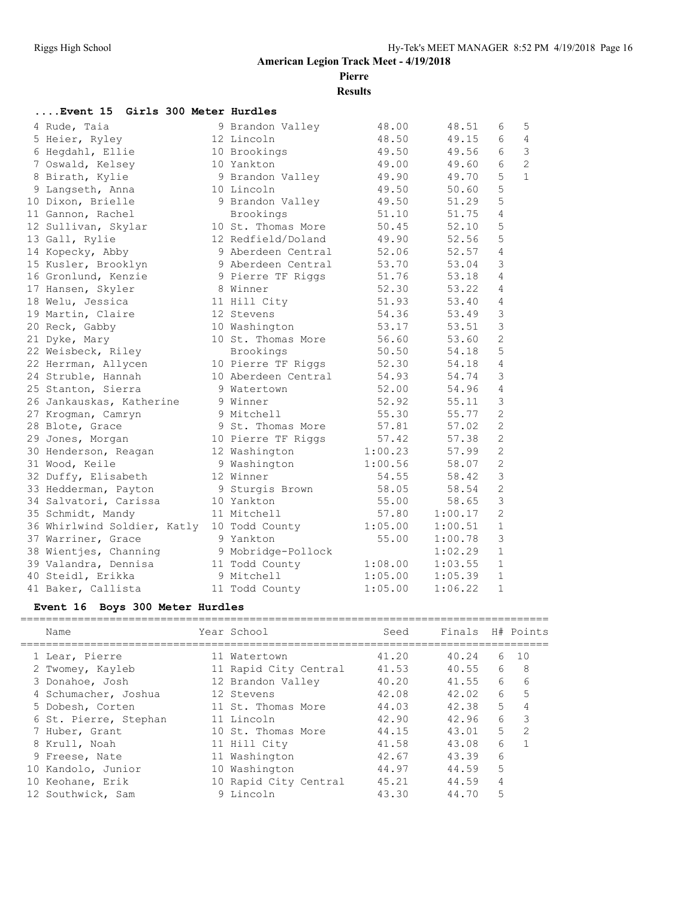**Pierre**

**Results**

| Event 15 Girls 300 Meter Hurdles |                     |         |         |                |                |
|----------------------------------|---------------------|---------|---------|----------------|----------------|
| 4 Rude, Taia                     | 9 Brandon Valley    | 48.00   | 48.51   | 6              | 5              |
| 5 Heier, Ryley                   | 12 Lincoln          | 48.50   | 49.15   | 6              | 4              |
| 6 Hegdahl, Ellie                 | 10 Brookings        | 49.50   | 49.56   | 6              | 3              |
| 7 Oswald, Kelsey                 | 10 Yankton          | 49.00   | 49.60   | 6              | $\overline{c}$ |
| 8 Birath, Kylie                  | 9 Brandon Valley    | 49.90   | 49.70   | 5              | $\mathbf{1}$   |
| 9 Langseth, Anna                 | 10 Lincoln          | 49.50   | 50.60   | 5              |                |
| 10 Dixon, Brielle                | 9 Brandon Valley    | 49.50   | 51.29   | 5              |                |
| 11 Gannon, Rachel                | Brookings           | 51.10   | 51.75   | $\overline{4}$ |                |
| 12 Sullivan, Skylar              | 10 St. Thomas More  | 50.45   | 52.10   | 5              |                |
| 13 Gall, Rylie                   | 12 Redfield/Doland  | 49.90   | 52.56   | 5              |                |
| 14 Kopecky, Abby                 | 9 Aberdeen Central  | 52.06   | 52.57   | $\overline{4}$ |                |
| 15 Kusler, Brooklyn              | 9 Aberdeen Central  | 53.70   | 53.04   | 3              |                |
| 16 Gronlund, Kenzie              | 9 Pierre TF Riggs   | 51.76   | 53.18   | $\overline{4}$ |                |
| 17 Hansen, Skyler                | 8 Winner            | 52.30   | 53.22   | 4              |                |
| 18 Welu, Jessica                 | 11 Hill City        | 51.93   | 53.40   | 4              |                |
| 19 Martin, Claire                | 12 Stevens          | 54.36   | 53.49   | 3              |                |
| 20 Reck, Gabby                   | 10 Washington       | 53.17   | 53.51   | $\mathfrak{Z}$ |                |
| 21 Dyke, Mary                    | 10 St. Thomas More  | 56.60   | 53.60   | $\overline{c}$ |                |
| 22 Weisbeck, Riley               | Brookings           | 50.50   | 54.18   | 5              |                |
| 22 Herrman, Allycen              | 10 Pierre TF Riggs  | 52.30   | 54.18   | $\overline{4}$ |                |
| 24 Struble, Hannah               | 10 Aberdeen Central | 54.93   | 54.74   | 3              |                |
| 25 Stanton, Sierra               | 9 Watertown         | 52.00   | 54.96   | $\overline{4}$ |                |
| 26 Jankauskas, Katherine         | 9 Winner            | 52.92   | 55.11   | 3              |                |
| 27 Kroqman, Camryn               | 9 Mitchell          | 55.30   | 55.77   | $\mathbf{2}$   |                |
| 28 Blote, Grace                  | 9 St. Thomas More   | 57.81   | 57.02   | $\overline{2}$ |                |
| 29 Jones, Morgan                 | 10 Pierre TF Riggs  | 57.42   | 57.38   | $\overline{c}$ |                |
| 30 Henderson, Reagan             | 12 Washington       | 1:00.23 | 57.99   | $\overline{2}$ |                |
| 31 Wood, Keile                   | 9 Washington        | 1:00.56 | 58.07   | $\overline{c}$ |                |
| 32 Duffy, Elisabeth              | 12 Winner           | 54.55   | 58.42   | $\mathfrak{Z}$ |                |
| 33 Hedderman, Payton             | 9 Sturgis Brown     | 58.05   | 58.54   | $\mathbf{2}$   |                |
| 34 Salvatori, Carissa            | 10 Yankton          | 55.00   | 58.65   | 3              |                |
| 35 Schmidt, Mandy                | 11 Mitchell         | 57.80   | 1:00.17 | 2              |                |
| 36 Whirlwind Soldier, Katly      | 10 Todd County      | 1:05.00 | 1:00.51 | $\mathbf{1}$   |                |
| 37 Warriner, Grace               | 9 Yankton           | 55.00   | 1:00.78 | 3              |                |
| 38 Wientjes, Channing            | 9 Mobridge-Pollock  |         | 1:02.29 | $\mathbf{1}$   |                |
| 39 Valandra, Dennisa             | 11 Todd County      | 1:08.00 | 1:03.55 | $\mathbf{1}$   |                |
| 40 Steidl, Erikka                | 9 Mitchell          | 1:05.00 | 1:05.39 | $\mathbf{1}$   |                |
| 41 Baker, Callista               | 11 Todd County      | 1:05.00 | 1:06.22 | $\mathbf{1}$   |                |

### **Event 16 Boys 300 Meter Hurdles**

| Name                  | Year School           | Seed  | Finals |    | H# Points |
|-----------------------|-----------------------|-------|--------|----|-----------|
|                       |                       |       |        |    |           |
| 1 Lear, Pierre        | 11 Watertown          | 41.20 | 40.24  | 6  | 1 O       |
| 2 Twomey, Kayleb      | 11 Rapid City Central | 41.53 | 40.55  | 6  | 8         |
| 3 Donahoe, Josh       | 12 Brandon Valley     | 40.20 | 41.55  | 6  | 6         |
| 4 Schumacher, Joshua  | 12 Stevens            | 42.08 | 42.02  | 6  | 5         |
| 5 Dobesh, Corten      | 11 St. Thomas More    | 44.03 | 42.38  | 5. | 4         |
| 6 St. Pierre, Stephan | 11 Lincoln            | 42.90 | 42.96  | 6  | 3         |
| 7 Huber, Grant        | 10 St. Thomas More    | 44.15 | 43.01  | 5  | 2         |
| 8 Krull, Noah         | 11 Hill City          | 41.58 | 43.08  | 6  |           |
| 9 Freese, Nate        | 11 Washington         | 42.67 | 43.39  | 6  |           |
| 10 Kandolo, Junior    | 10 Washington         | 44.97 | 44.59  | 5  |           |
| 10 Keohane, Erik      | 10 Rapid City Central | 45.21 | 44.59  | 4  |           |
| 12 Southwick, Sam     | 9 Lincoln             | 43.30 | 44.70  | 5  |           |
|                       |                       |       |        |    |           |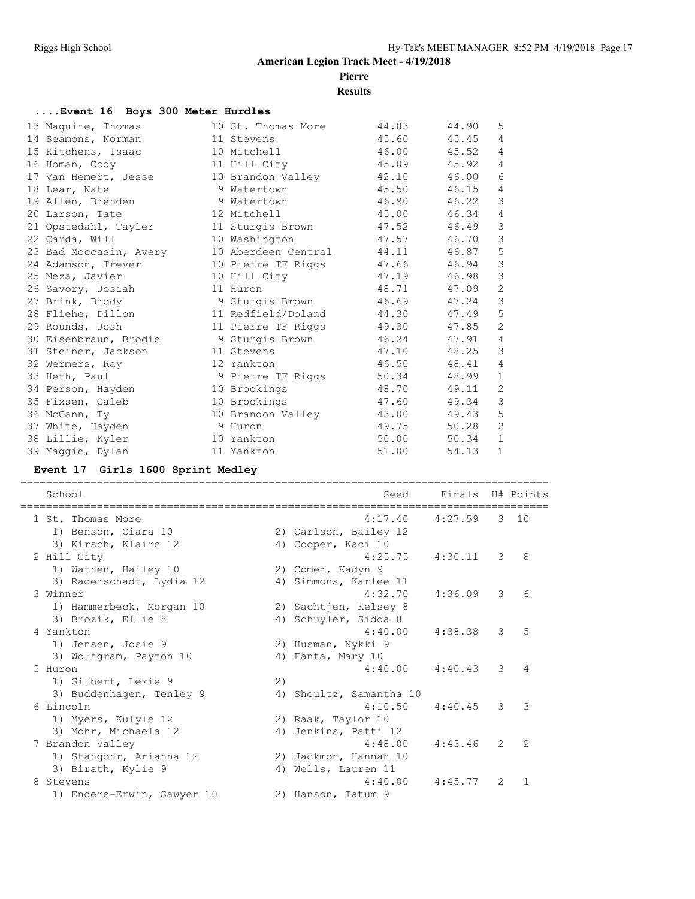### **Pierre**

**Results**

#### **....Event 16 Boys 300 Meter Hurdles**

| 13 Maquire, Thomas     | 10 St. Thomas More  | 44.83 | 44.90 | 5              |
|------------------------|---------------------|-------|-------|----------------|
| 14 Seamons, Norman     | 11 Stevens          | 45.60 | 45.45 | $\overline{4}$ |
| 15 Kitchens, Isaac     | 10 Mitchell         | 46.00 | 45.52 | 4              |
| 16 Homan, Cody         | 11 Hill City        | 45.09 | 45.92 | 4              |
| 17 Van Hemert, Jesse   | 10 Brandon Valley   | 42.10 | 46.00 | 6              |
| 18 Lear, Nate          | 9 Watertown         | 45.50 | 46.15 | 4              |
| 19 Allen, Brenden      | 9 Watertown         | 46.90 | 46.22 | 3              |
| 20 Larson, Tate        | 12 Mitchell         | 45.00 | 46.34 | 4              |
| 21 Opstedahl, Tayler   | 11 Sturgis Brown    | 47.52 | 46.49 | 3              |
| 22 Carda, Will         | 10 Washington       | 47.57 | 46.70 | 3              |
| 23 Bad Moccasin, Avery | 10 Aberdeen Central | 44.11 | 46.87 | 5              |
| 24 Adamson, Trever     | 10 Pierre TF Riggs  | 47.66 | 46.94 | 3              |
| 25 Meza, Javier        | 10 Hill City        | 47.19 | 46.98 | 3              |
| 26 Savory, Josiah      | 11 Huron            | 48.71 | 47.09 | 2              |
| 27 Brink, Brody        | 9 Sturgis Brown     | 46.69 | 47.24 | 3              |
| 28 Fliehe, Dillon      | 11 Redfield/Doland  | 44.30 | 47.49 | 5              |
| 29 Rounds, Josh        | 11 Pierre TF Riggs  | 49.30 | 47.85 | $\overline{c}$ |
| 30 Eisenbraun, Brodie  | 9 Sturgis Brown     | 46.24 | 47.91 | 4              |
| 31 Steiner, Jackson    | 11 Stevens          | 47.10 | 48.25 | 3              |
| 32 Wermers, Ray        | 12 Yankton          | 46.50 | 48.41 | 4              |
| 33 Heth, Paul          | 9 Pierre TF Riggs   | 50.34 | 48.99 | $\mathbf{1}$   |
| 34 Person, Hayden      | 10 Brookings        | 48.70 | 49.11 | $\overline{2}$ |
| 35 Fixsen, Caleb       | 10 Brookings        | 47.60 | 49.34 | 3              |
| 36 McCann, Ty          | 10 Brandon Valley   | 43.00 | 49.43 | 5              |
| 37 White, Hayden       | 9 Huron             | 49.75 | 50.28 | $\overline{2}$ |
| 38 Lillie, Kyler       | 10 Yankton          | 50.00 | 50.34 | $\mathbf{1}$   |
| 39 Yaggie, Dylan       | 11 Yankton          | 51.00 | 54.13 | $\mathbf{1}$   |

#### **Event 17 Girls 1600 Sprint Medley**

School Seed Finals H# Points =================================================================================== 1 St. Thomas More 6 1 27.59 3 10 1) Benson, Ciara 10 2) Carlson, Bailey 12 3) Kirsch, Klaire 12 (4) Cooper, Kaci 10 2 Hill City 4:25.75 4:30.11 3 8 1) Wathen, Hailey 10 2) Comer, Kadyn 9 3) Raderschadt, Lydia 12 4) Simmons, Karlee 11 3 Winner 4:32.70 4:36.09 3 6 1) Hammerbeck, Morgan 10 2) Sachtjen, Kelsey 8 3) Brozik, Ellie 8 4) Schuyler, Sidda 8 4 Yankton 4:40.00 4:38.38 3 5 1) Jensen, Josie 9 2) Husman, Nykki 9 3) Wolfgram, Payton 10 (4) Fanta, Mary 10 5 Huron 4:40.00 4:40.43 3 4 1) Gilbert, Lexie 9 2) 3) Buddenhagen, Tenley 9 4) Shoultz, Samantha 10 6 Lincoln 4:10.50 4:40.45 3 3 1) Myers, Kulyle 12 2) Raak, Taylor 10 3) Mohr, Michaela 12 (4) Jenkins, Patti 12 7 Brandon Valley 4:48.00 4:43.46 2 2 1) Stangohr, Arianna 12 2) Jackmon, Hannah 10 3) Birath, Kylie 9 4) Wells, Lauren 11 8 Stevens 4:40.00 4:45.77 2 1 1) Enders-Erwin, Sawyer 10 2) Hanson, Tatum 9

===================================================================================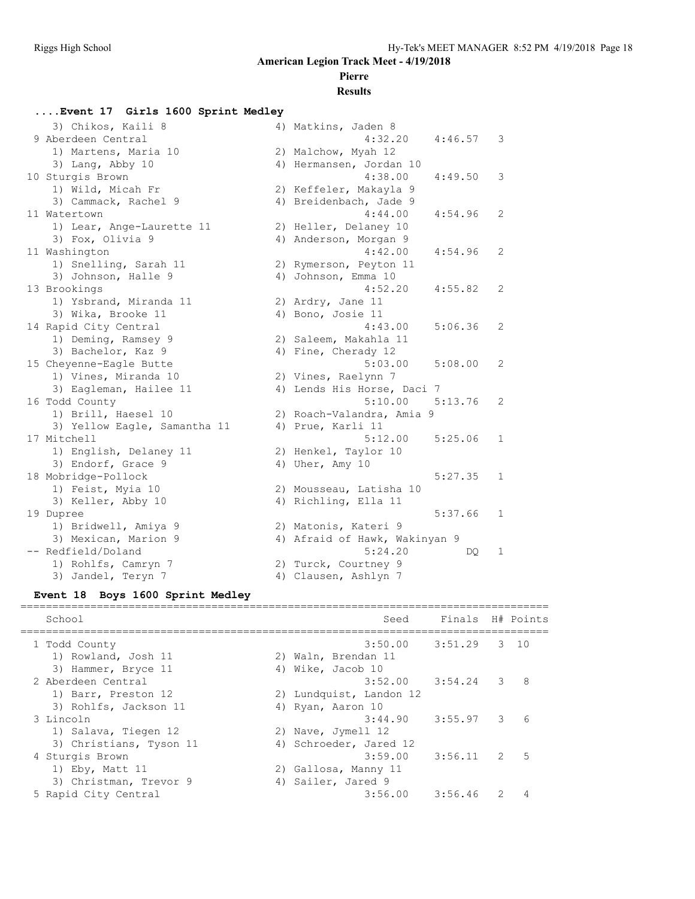# **Pierre**

#### **Results**

**....Event 17 Girls 1600 Sprint Medley**

| 3) Chikos, Kaili 8           | 4) Matkins, Jaden 8           |         |                |
|------------------------------|-------------------------------|---------|----------------|
| 9 Aberdeen Central           | 4:32.20                       | 4:46.57 | 3              |
| 1) Martens, Maria 10         | 2) Malchow, Myah 12           |         |                |
| 3) Lang, Abby 10             | 4) Hermansen, Jordan 10       |         |                |
| 10 Sturgis Brown             | 4:38.00                       | 4:49.50 | 3              |
| 1) Wild, Micah Fr            | 2) Keffeler, Makayla 9        |         |                |
| 3) Cammack, Rachel 9         | 4) Breidenbach, Jade 9        |         |                |
| 11 Watertown                 | 4:44.00                       | 4:54.96 | 2              |
| 1) Lear, Ange-Laurette 11    | 2) Heller, Delaney 10         |         |                |
| 3) Fox, Olivia 9             | 4) Anderson, Morgan 9         |         |                |
| 11 Washington                | 4:42.00                       | 4:54.96 | 2              |
| 1) Snelling, Sarah 11        | 2) Rymerson, Peyton 11        |         |                |
| 3) Johnson, Halle 9          | 4) Johnson, Emma 10           |         |                |
| 13 Brookings                 | 4:52.20                       | 4:55.82 | 2              |
| 1) Ysbrand, Miranda 11       | 2) Ardry, Jane 11             |         |                |
| 3) Wika, Brooke 11           | 4) Bono, Josie 11             |         |                |
| 14 Rapid City Central        | 4:43.00                       | 5:06.36 | 2              |
| 1) Deming, Ramsey 9          | 2) Saleem, Makahla 11         |         |                |
| 3) Bachelor, Kaz 9           | 4) Fine, Cherady 12           |         |                |
| 15 Cheyenne-Eagle Butte      | 5:03.00                       | 5:08.00 | 2              |
| 1) Vines, Miranda 10         | 2) Vines, Raelynn 7           |         |                |
| 3) Eagleman, Hailee 11       | 4) Lends His Horse, Daci 7    |         |                |
| 16 Todd County               | 5:10.00                       | 5:13.76 | $\overline{c}$ |
| 1) Brill, Haesel 10          | 2) Roach-Valandra, Amia 9     |         |                |
| 3) Yellow Eagle, Samantha 11 | 4) Prue, Karli 11             |         |                |
| 17 Mitchell                  | 5:12.00                       | 5:25.06 | $\mathbf{1}$   |
| 1) English, Delaney 11       | 2) Henkel, Taylor 10          |         |                |
| 3) Endorf, Grace 9           | 4) Uher, Amy 10               |         |                |
| 18 Mobridge-Pollock          |                               | 5:27.35 | $\mathbf{1}$   |
| 1) Feist, Myia 10            | 2) Mousseau, Latisha 10       |         |                |
| 3) Keller, Abby 10           | 4) Richling, Ella 11          |         |                |
| 19 Dupree                    |                               | 5:37.66 | 1              |
| 1) Bridwell, Amiya 9         | 2) Matonis, Kateri 9          |         |                |
| 3) Mexican, Marion 9         | 4) Afraid of Hawk, Wakinyan 9 |         |                |
| -- Redfield/Doland           | 5:24.20                       | DQ.     | $\mathbf{1}$   |
| 1) Rohlfs, Camryn 7          | 2) Turck, Courtney 9          |         |                |
| 3) Jandel, Teryn 7           | 4) Clausen, Ashlyn 7          |         |                |
|                              |                               |         |                |

#### **Event 18 Boys 1600 Sprint Medley**

| School                  | Seed                    | Finals H# Points |      |
|-------------------------|-------------------------|------------------|------|
| 1 Todd County           | $3:50.00$ $3:51.29$     |                  | 3 10 |
| 1) Rowland, Josh 11     | 2) Waln, Brendan 11     |                  |      |
| 3) Hammer, Bryce 11     | 4) Wike, Jacob 10       |                  |      |
| 2 Aberdeen Central      | 3:52.00                 | 3:54.24 3        | 8    |
| 1) Barr, Preston 12     | 2) Lundquist, Landon 12 |                  |      |
| 3) Rohlfs, Jackson 11   | 4) Ryan, Aaron 10       |                  |      |
| 3 Lincoln               | 3:44.90                 | $3:55.97$ 3      | 6    |
| 1) Salava, Tiegen 12    | 2) Nave, Jymell 12      |                  |      |
| 3) Christians, Tyson 11 | 4) Schroeder, Jared 12  |                  |      |
| 4 Sturgis Brown         | 3:59.00                 | $3:56.11$ 2      | 5    |
| 1) $Eby$ , Matt 11      | 2) Gallosa, Manny 11    |                  |      |
| 3) Christman, Trevor 9  | 4) Sailer, Jared 9      |                  |      |
| 5 Rapid City Central    | 3:56.00                 | 3:56.46          |      |
|                         |                         |                  |      |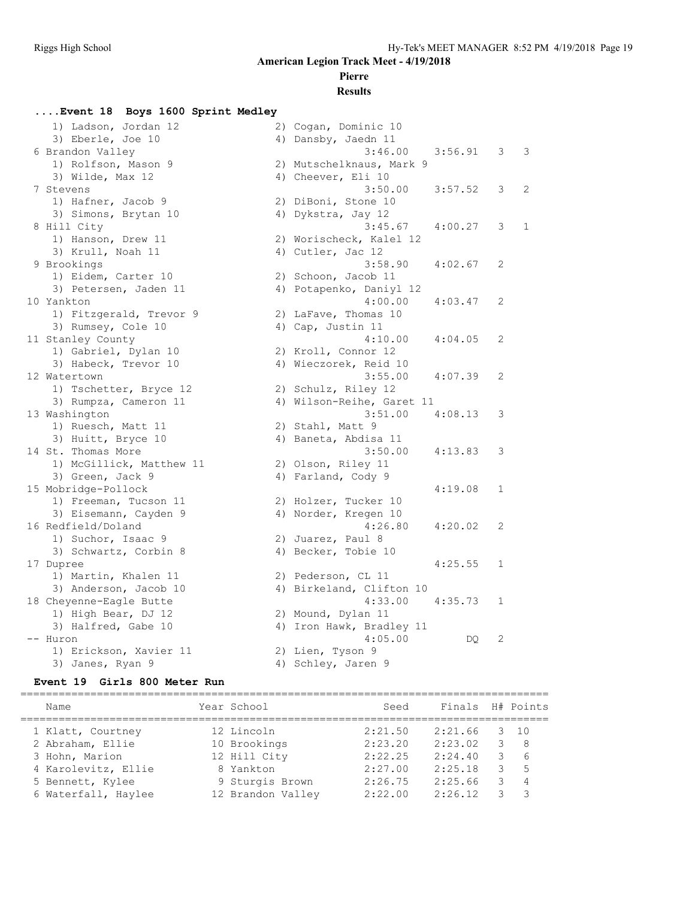# **Pierre**

### **Results**

#### **....Event 18 Boys 1600 Sprint Medley**

| 1) Ladson, Jordan 12     | 2) Cogan, Dominic 10      |             |              |                |
|--------------------------|---------------------------|-------------|--------------|----------------|
| 3) Eberle, Joe 10        | 4) Dansby, Jaedn 11       |             |              |                |
| 6 Brandon Valley         | 3:46.00                   | $3:56.91$ 3 |              | 3              |
| 1) Rolfson, Mason 9      | 2) Mutschelknaus, Mark 9  |             |              |                |
| 3) Wilde, Max 12         | 4) Cheever, Eli 10        |             |              |                |
| 7 Stevens                | 3:50.00                   | 3:57.52     | 3            | $\overline{2}$ |
| 1) Hafner, Jacob 9       | 2) DiBoni, Stone 10       |             |              |                |
| 3) Simons, Brytan 10     | 4) Dykstra, Jay 12        |             |              |                |
| 8 Hill City              | 3:45.67                   | 4:00.27     | 3            | $\mathbf{1}$   |
| 1) Hanson, Drew 11       | 2) Worischeck, Kalel 12   |             |              |                |
| 3) Krull, Noah 11        | 4) Cutler, Jac 12         |             |              |                |
| 9 Brookings              | 3:58.90                   | 4:02.67     | 2            |                |
| 1) Eidem, Carter 10      | 2) Schoon, Jacob 11       |             |              |                |
| 3) Petersen, Jaden 11    | 4) Potapenko, Daniyl 12   |             |              |                |
| 10 Yankton               | 4:00.00                   | 4:03.47     | 2            |                |
| 1) Fitzgerald, Trevor 9  | 2) LaFave, Thomas 10      |             |              |                |
| 3) Rumsey, Cole 10       | 4) Cap, Justin 11         |             |              |                |
| 11 Stanley County        | 4:10.00                   | 4:04.05     | 2            |                |
| 1) Gabriel, Dylan 10     | 2) Kroll, Connor 12       |             |              |                |
| 3) Habeck, Trevor 10     | 4) Wieczorek, Reid 10     |             |              |                |
| 12 Watertown             | 3:55.00                   | 4:07.39     | 2            |                |
| 1) Tschetter, Bryce 12   | 2) Schulz, Riley 12       |             |              |                |
| 3) Rumpza, Cameron 11    | 4) Wilson-Reihe, Garet 11 |             |              |                |
| 13 Washington            | $3:51.00$ $4:08.13$       |             | 3            |                |
| 1) Ruesch, Matt 11       | 2) Stahl, Matt 9          |             |              |                |
| 3) Huitt, Bryce 10       | 4) Baneta, Abdisa 11      |             |              |                |
| 14 St. Thomas More       | 3:50.00                   | 4:13.83     | 3            |                |
| 1) McGillick, Matthew 11 | 2) Olson, Riley 11        |             |              |                |
| 3) Green, Jack 9         | 4) Farland, Cody 9        |             |              |                |
| 15 Mobridge-Pollock      |                           | 4:19.08     | 1            |                |
| 1) Freeman, Tucson 11    | 2) Holzer, Tucker 10      |             |              |                |
| 3) Eisemann, Cayden 9    | 4) Norder, Kregen 10      |             |              |                |
| 16 Redfield/Doland       | 4:26.80                   | 4:20.02     | 2            |                |
| 1) Suchor, Isaac 9       | 2) Juarez, Paul 8         |             |              |                |
| 3) Schwartz, Corbin 8    | 4) Becker, Tobie 10       |             |              |                |
| 17 Dupree                |                           | 4:25.55     | $\mathbf{1}$ |                |
| 1) Martin, Khalen 11     | 2) Pederson, CL 11        |             |              |                |
| 3) Anderson, Jacob 10    | 4) Birkeland, Clifton 10  |             |              |                |
| 18 Cheyenne-Eagle Butte  | 4:33.00                   | 4:35.73     | 1            |                |
| 1) High Bear, DJ 12      | 2) Mound, Dylan 11        |             |              |                |
| 3) Halfred, Gabe 10      | 4) Iron Hawk, Bradley 11  |             |              |                |
| -- Huron                 | 4:05.00                   | DQ.         | 2            |                |
| 1) Erickson, Xavier 11   | 2) Lien, Tyson 9          |             |              |                |
| 3) Janes, Ryan 9         | 4) Schley, Jaren 9        |             |              |                |

#### **Event 19 Girls 800 Meter Run**

| Name                | Year School       | Seed    | Finals H# Points |    |                |
|---------------------|-------------------|---------|------------------|----|----------------|
| 1 Klatt, Courtney   | 12 Lincoln        | 2:21.50 | 2:21.66          | 3. | 10             |
| 2 Abraham, Ellie    | 10 Brookings      | 2:23.20 | 2:23.02          |    | - 8            |
| 3 Hohn, Marion      | 12 Hill City      | 2:22.25 | 2:24.40          | 3  | 6              |
| 4 Karolevitz, Ellie | 8 Yankton         | 2:27.00 | 2:25.18          | 3  | 5              |
| 5 Bennett, Kylee    | 9 Sturgis Brown   | 2:26.75 | 2:25.66          | 3. | $\overline{4}$ |
| 6 Waterfall, Haylee | 12 Brandon Valley | 2:22.00 | 2:26.12          |    | 3              |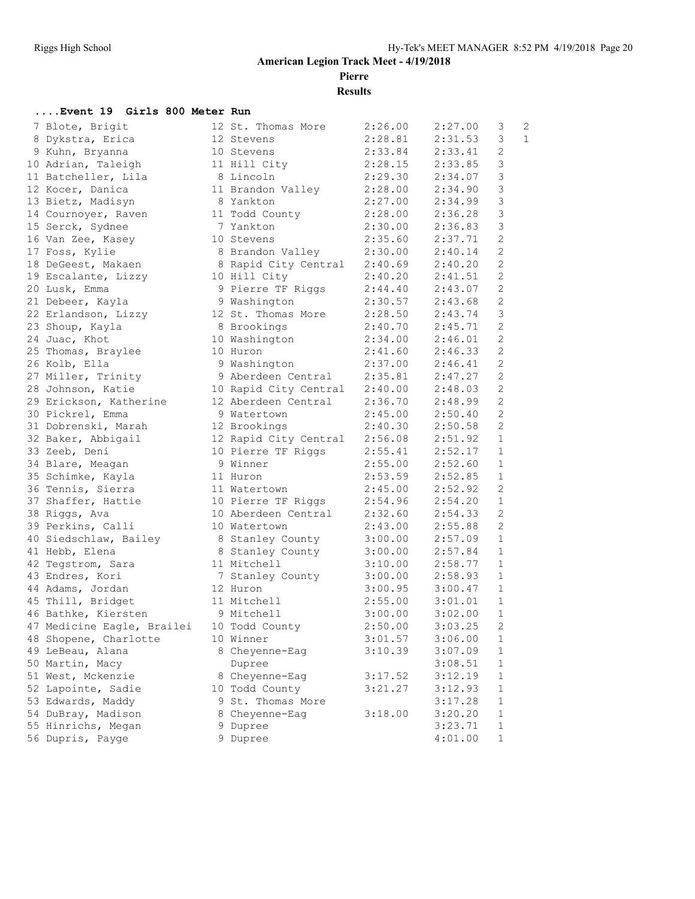**Pierre**

**Results**

#### **....Event 19 Girls 800 Meter Run**

| 7 Blote, Brigit                           | 12 St. Thomas More    | 2:26.00 | 2:27.00               | 3              | $\overline{2}$ |
|-------------------------------------------|-----------------------|---------|-----------------------|----------------|----------------|
| 8 Dykstra, Erica                          | 12 Stevens            | 2:28.81 | 2:31.53               | 3              | $\mathbf{1}$   |
| 9 Kuhn, Bryanna                           | 10 Stevens            | 2:33.84 | 2:33.41               | $\mathbf{2}$   |                |
| 10 Adrian, Taleigh                        | 11 Hill City          | 2:28.15 | 2:33.85               | 3              |                |
| 11 Batcheller, Lila                       | 8 Lincoln             | 2:29.30 | 2:34.07               | $\mathfrak{Z}$ |                |
| 12 Kocer, Danica                          | 11 Brandon Valley     | 2:28.00 | 2:34.90               | 3              |                |
| 13 Bietz, Madisyn                         | 8 Yankton             | 2:27.00 | 2:34.99               | $\mathfrak{Z}$ |                |
| 14 Cournoyer, Raven                       | 11 Todd County        | 2:28.00 | 2:36.28               | $\mathfrak{Z}$ |                |
| 15 Serck, Sydnee                          | 7 Yankton             | 2:30.00 | 2:36.83               | $\mathfrak{Z}$ |                |
| 16 Van Zee, Kasey                         | 10 Stevens            | 2:35.60 | 2:37.71               | 2              |                |
| 17 Foss, Kylie                            | 8 Brandon Valley      | 2:30.00 | 2:40.14               | 2              |                |
| 18 DeGeest, Makaen                        | 8 Rapid City Central  | 2:40.69 | 2:40.20               | 2              |                |
| 19 Escalante, Lizzy                       | 10 Hill City          | 2:40.20 | 2:41.51               | 2              |                |
| 20 Lusk, Emma                             | 9 Pierre TF Riggs     | 2:44.40 | 2:43.07               | 2              |                |
| 21 Debeer, Kayla                          | 9 Washington          | 2:30.57 | 2:43.68               | $\mathbf{2}$   |                |
| 22 Erlandson, Lizzy                       | 12 St. Thomas More    | 2:28.50 | 2:43.74               | $\mathfrak{Z}$ |                |
| 23 Shoup, Kayla                           | 8 Brookings           | 2:40.70 | 2:45.71               | 2              |                |
| 24 Juac, Khot                             | 10 Washington         | 2:34.00 | 2:46.01               | 2              |                |
| 25 Thomas, Braylee                        | 10 Huron              | 2:41.60 | 2:46.33               | $\mathbf{2}$   |                |
| 26 Kolb, Ella                             | 9 Washington          | 2:37.00 | 2:46.41               | $\overline{c}$ |                |
| 27 Miller, Trinity                        | 9 Aberdeen Central    | 2:35.81 | 2:47.27               | $\mathbf{2}$   |                |
| 28 Johnson, Katie                         | 10 Rapid City Central | 2:40.00 | 2:48.03               | 2              |                |
| 29 Erickson, Katherine                    | 12 Aberdeen Central   | 2:36.70 | 2:48.99               | 2              |                |
| 30 Pickrel, Emma                          | 9 Watertown           | 2:45.00 | 2:50.40               | 2              |                |
| 31 Dobrenski, Marah                       | 12 Brookings          | 2:40.30 | 2:50.58               | 2              |                |
| 32 Baker, Abbigail                        | 12 Rapid City Central | 2:56.08 |                       | $\mathbf{1}$   |                |
| 33 Zeeb, Deni                             | 10 Pierre TF Riggs    | 2:55.41 | $2:51.2$<br>$2:52.17$ | $\mathbf{1}$   |                |
| 34 Blare, Meagan                          | 9 Winner              | 2:55.00 | 2:52.60               | $\mathbf{1}$   |                |
| 35 Schimke, Kayla                         | 11 Huron              | 2:53.59 | 2:52.85               | $\mathbf{1}$   |                |
| 36 Tennis, Sierra                         | 11 Watertown          | 2:45.00 | 2:52.92               | 2              |                |
| 37 Shaffer, Hattie                        | 10 Pierre TF Riggs    | 2:54.96 | 2:54.20               | $\mathbf{1}$   |                |
| 38 Riggs, Ava                             | 10 Aberdeen Central   | 2:32.60 | 2:54.33               | 2              |                |
| 39 Perkins, Calli                         | 10 Watertown          | 2:43.00 | 2:55.88               | $\overline{2}$ |                |
| 40 Siedschlaw, Bailey                     | 8 Stanley County      | 3:00.00 | 2:57.09               | $\mathbf{1}$   |                |
| 41 Hebb, Elena                            | 8 Stanley County      | 3:00.00 | 2:57.84               | $\mathbf{1}$   |                |
| 42 Tegstrom, Sara                         | 11 Mitchell           | 3:10.00 | 2:58.77               | $\mathbf{1}$   |                |
| 43 Endres, Kori                           | 7 Stanley County      | 3:00.00 | 2:58.93               | $\mathbf{1}$   |                |
| 44 Adams, Jordan                          | 12 Huron              | 3:00.95 | 3:00.47               | $\mathbf{1}$   |                |
| 45 Thill, Bridget                         | 11 Mitchell           | 2:55.00 | 3:01.01               | $\mathbf{1}$   |                |
| 46 Bathke, Kiersten                       | 9 Mitchell            | 3:00.00 | 3:02.00               | $\mathbf{1}$   |                |
| 47 Medicine Eagle, Brailei 10 Todd County |                       | 2:50.00 | 3:03.25               | $\overline{2}$ |                |
| 48 Shopene, Charlotte                     | 10 Winner             | 3:01.57 | 3:06.00               | 1              |                |
| 49 LeBeau, Alana                          | 8 Cheyenne-Eag        | 3:10.39 | 3:07.09               | 1              |                |
| 50 Martin, Macy                           | Dupree                |         | 3:08.51               | $\mathbf{1}$   |                |
| 51 West, Mckenzie                         | 8 Cheyenne-Eag        | 3:17.52 | 3:12.19               | $\mathbf 1$    |                |
| 52 Lapointe, Sadie                        | 10 Todd County        | 3:21.27 | 3:12.93               | 1              |                |
| 53 Edwards, Maddy                         | 9 St. Thomas More     |         | 3:17.28               | 1              |                |
| 54 DuBray, Madison                        |                       | 3:18.00 | 3:20.20               | 1              |                |
| 55 Hinrichs, Megan                        | 8 Cheyenne-Eag        |         | 3:23.71               | 1              |                |
|                                           | 9 Dupree              |         |                       |                |                |
| 56 Dupris, Payge                          | 9 Dupree              |         | 4:01.00               | 1              |                |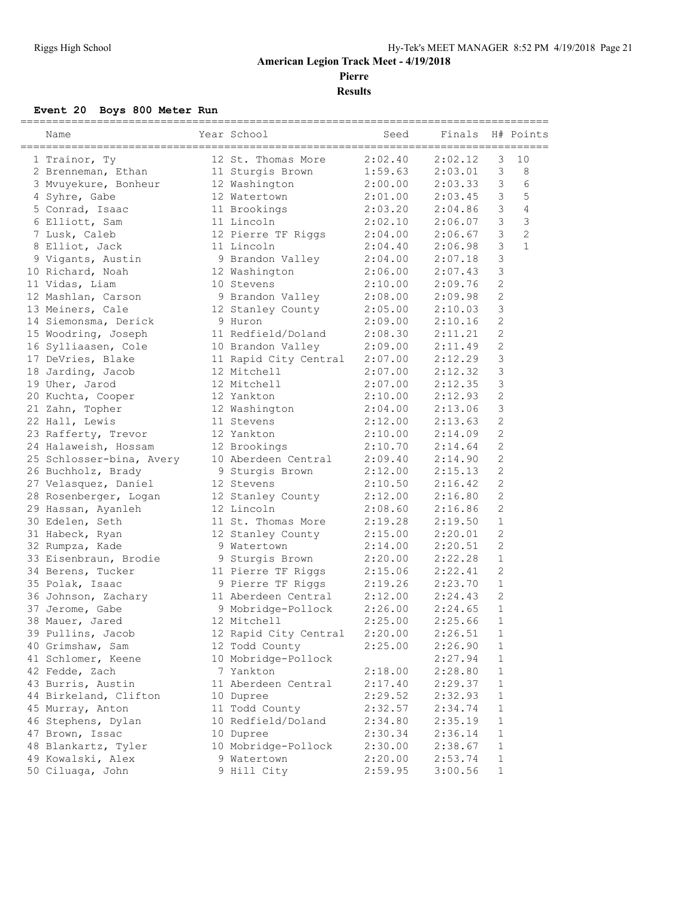**Pierre**

**Results**

#### **Event 20 Boys 800 Meter Run**

| 12 St. Thomas More<br>2:02.40<br>2:02.12<br>3<br>10<br>1 Trainor, Ty<br>3<br>8<br>11 Sturgis Brown<br>1:59.63<br>2:03.01<br>2 Brenneman, Ethan<br>3<br>3 Mvuyekure, Bonheur<br>2:03.33<br>6<br>12 Washington<br>2:00.00<br>3<br>5<br>4 Syhre, Gabe<br>12 Watertown<br>2:01.00<br>2:03.45<br>$\mathfrak{Z}$<br>$\overline{4}$<br>5 Conrad, Isaac<br>2:03.20<br>2:04.86<br>11 Brookings<br>$\mathsf 3$<br>3<br>11 Lincoln<br>2:02.10<br>6 Elliott, Sam<br>2:06.07<br>$\overline{c}$<br>$\mathfrak{Z}$<br>7 Lusk, Caleb<br>12 Pierre TF Riggs<br>2:04.00<br>2:06.67<br>3<br>$\mathbf{1}$<br>8 Elliot, Jack<br>2:04.40<br>2:06.98<br>11 Lincoln<br>3<br>2:04.00<br>2:07.18<br>9 Vigants, Austin<br>9 Brandon Valley<br>3<br>10 Richard, Noah<br>2:06.00<br>2:07.43<br>12 Washington<br>2<br>11 Vidas, Liam<br>2:10.00<br>2:09.76<br>10 Stevens<br>$\mathbf{2}$<br>2:09.98<br>12 Mashlan, Carson<br>9 Brandon Valley<br>2:08.00<br>3<br>13 Meiners, Cale<br>2:05.00<br>2:10.03<br>12 Stanley County<br>$\overline{c}$<br>14 Siemonsma, Derick<br>2:09.00<br>2:10.16<br>9 Huron<br>$\mathbf{2}$<br>2:08.30<br>15 Woodring, Joseph<br>11 Redfield/Doland<br>2:11.21<br>$\overline{2}$<br>16 Sylliaasen, Cole<br>10 Brandon Valley<br>2:09.00<br>2:11.49<br>3<br>17 DeVries, Blake<br>11 Rapid City Central<br>2:07.00<br>2:12.29<br>$\mathcal{S}$<br>12 Mitchell<br>2:12.32<br>18 Jarding, Jacob<br>2:07.00<br>3<br>19 Uher, Jarod<br>12 Mitchell<br>2:07.00<br>2:12.35<br>$\overline{c}$<br>2:10.00<br>2:12.93<br>20 Kuchta, Cooper<br>12 Yankton<br>3<br>2:04.00<br>2:13.06<br>21 Zahn, Topher<br>12 Washington<br>$\mathbf{2}$<br>22 Hall, Lewis<br>11 Stevens<br>2:12.00<br>2:13.63<br>2<br>2:10.00<br>2:14.09<br>23 Rafferty, Trevor<br>12 Yankton<br>$\mathbf{2}$<br>2:10.70<br>2:14.64<br>24 Halaweish, Hossam<br>12 Brookings<br>$\overline{2}$<br>25 Schlosser-bina, Avery<br>10 Aberdeen Central<br>2:09.40<br>2:14.90<br>$\overline{c}$<br>26 Buchholz, Brady<br>2:12.00<br>2:15.13<br>9 Sturgis Brown<br>$\overline{2}$<br>2:10.50<br>2:16.42<br>27 Velasquez, Daniel<br>12 Stevens<br>$\overline{2}$<br>28 Rosenberger, Logan<br>2:12.00<br>2:16.80<br>12 Stanley County<br>2<br>29 Hassan, Ayanleh<br>2:08.60<br>12 Lincoln<br>2:16.86<br>$\mathbf{1}$<br>2:19.28<br>30 Edelen, Seth<br>11 St. Thomas More<br>2:19.50<br>$\mathbf{2}$<br>31 Habeck, Ryan<br>2:15.00<br>2:20.01<br>12 Stanley County<br>2<br>2:14.00<br>2:20.51<br>32 Rumpza, Kade<br>9 Watertown<br>$\mathbf{1}$<br>2:20.00<br>2:22.28<br>33 Eisenbraun, Brodie<br>9 Sturgis Brown<br>2:15.06<br>$\overline{c}$<br>34 Berens, Tucker<br>11 Pierre TF Riggs<br>2:22.41<br>$\mathbf{1}$<br>9 Pierre TF Riggs<br>2:19.26<br>2:23.70<br>35 Polak, Isaac<br>$\mathbf{2}$<br>11 Aberdeen Central<br>2:12.00<br>2:24.43<br>36 Johnson, Zachary<br>$\mathbf{1}$<br>2:26.00<br>2:24.65<br>37 Jerome, Gabe<br>9 Mobridge-Pollock<br>$\mathbf{1}$<br>38 Mauer, Jared<br>12 Mitchell<br>2:25.00<br>2:25.66<br>39 Pullins, Jacob<br>12 Rapid City Central<br>2:26.51<br>2:20.00<br>1<br>12 Todd County<br>40 Grimshaw, Sam<br>2:25.00<br>2:26.90<br>$\mathbf 1$<br>41 Schlomer, Keene<br>10 Mobridge-Pollock<br>2:27.94<br>$\mathbf 1$<br>42 Fedde, Zach<br>7 Yankton<br>2:18.00<br>2:28.80<br>$\mathbf 1$<br>43 Burris, Austin<br>11 Aberdeen Central<br>2:17.40<br>2:29.37<br>$\mathbf 1$<br>$\mathbf{1}$<br>44 Birkeland, Clifton<br>2:29.52<br>2:32.93<br>10 Dupree<br>11 Todd County<br>$\mathbf{1}$<br>45 Murray, Anton<br>2:32.57<br>2:34.74<br>46 Stephens, Dylan<br>10 Redfield/Doland<br>2:34.80<br>2:35.19<br>$\mathbf{1}$<br>47 Brown, Issac<br>2:36.14<br>$\mathbf{1}$<br>10 Dupree<br>2:30.34<br>10 Mobridge-Pollock<br>$\mathbf{1}$<br>48 Blankartz, Tyler<br>2:30.00<br>2:38.67<br>49 Kowalski, Alex<br>2:20.00<br>$\mathbf{1}$<br>9 Watertown<br>2:53.74<br>50 Ciluaga, John<br>9 Hill City<br>2:59.95<br>3:00.56<br>$\mathbf{1}$ | Name | Year School | Seed | Finals | H# Points |
|--------------------------------------------------------------------------------------------------------------------------------------------------------------------------------------------------------------------------------------------------------------------------------------------------------------------------------------------------------------------------------------------------------------------------------------------------------------------------------------------------------------------------------------------------------------------------------------------------------------------------------------------------------------------------------------------------------------------------------------------------------------------------------------------------------------------------------------------------------------------------------------------------------------------------------------------------------------------------------------------------------------------------------------------------------------------------------------------------------------------------------------------------------------------------------------------------------------------------------------------------------------------------------------------------------------------------------------------------------------------------------------------------------------------------------------------------------------------------------------------------------------------------------------------------------------------------------------------------------------------------------------------------------------------------------------------------------------------------------------------------------------------------------------------------------------------------------------------------------------------------------------------------------------------------------------------------------------------------------------------------------------------------------------------------------------------------------------------------------------------------------------------------------------------------------------------------------------------------------------------------------------------------------------------------------------------------------------------------------------------------------------------------------------------------------------------------------------------------------------------------------------------------------------------------------------------------------------------------------------------------------------------------------------------------------------------------------------------------------------------------------------------------------------------------------------------------------------------------------------------------------------------------------------------------------------------------------------------------------------------------------------------------------------------------------------------------------------------------------------------------------------------------------------------------------------------------------------------------------------------------------------------------------------------------------------------------------------------------------------------------------------------------------------------------------------------------------------------------------------------------------------------------------------------------------------------------------------------------------------------------------------------------------------------------------------------------------------------------------------------------------------------------------------------------------------------------------------------------------------------------------------------------------------|------|-------------|------|--------|-----------|
|                                                                                                                                                                                                                                                                                                                                                                                                                                                                                                                                                                                                                                                                                                                                                                                                                                                                                                                                                                                                                                                                                                                                                                                                                                                                                                                                                                                                                                                                                                                                                                                                                                                                                                                                                                                                                                                                                                                                                                                                                                                                                                                                                                                                                                                                                                                                                                                                                                                                                                                                                                                                                                                                                                                                                                                                                                                                                                                                                                                                                                                                                                                                                                                                                                                                                                                                                                                                                                                                                                                                                                                                                                                                                                                                                                                                                                                                                                              |      |             |      |        |           |
|                                                                                                                                                                                                                                                                                                                                                                                                                                                                                                                                                                                                                                                                                                                                                                                                                                                                                                                                                                                                                                                                                                                                                                                                                                                                                                                                                                                                                                                                                                                                                                                                                                                                                                                                                                                                                                                                                                                                                                                                                                                                                                                                                                                                                                                                                                                                                                                                                                                                                                                                                                                                                                                                                                                                                                                                                                                                                                                                                                                                                                                                                                                                                                                                                                                                                                                                                                                                                                                                                                                                                                                                                                                                                                                                                                                                                                                                                                              |      |             |      |        |           |
|                                                                                                                                                                                                                                                                                                                                                                                                                                                                                                                                                                                                                                                                                                                                                                                                                                                                                                                                                                                                                                                                                                                                                                                                                                                                                                                                                                                                                                                                                                                                                                                                                                                                                                                                                                                                                                                                                                                                                                                                                                                                                                                                                                                                                                                                                                                                                                                                                                                                                                                                                                                                                                                                                                                                                                                                                                                                                                                                                                                                                                                                                                                                                                                                                                                                                                                                                                                                                                                                                                                                                                                                                                                                                                                                                                                                                                                                                                              |      |             |      |        |           |
|                                                                                                                                                                                                                                                                                                                                                                                                                                                                                                                                                                                                                                                                                                                                                                                                                                                                                                                                                                                                                                                                                                                                                                                                                                                                                                                                                                                                                                                                                                                                                                                                                                                                                                                                                                                                                                                                                                                                                                                                                                                                                                                                                                                                                                                                                                                                                                                                                                                                                                                                                                                                                                                                                                                                                                                                                                                                                                                                                                                                                                                                                                                                                                                                                                                                                                                                                                                                                                                                                                                                                                                                                                                                                                                                                                                                                                                                                                              |      |             |      |        |           |
|                                                                                                                                                                                                                                                                                                                                                                                                                                                                                                                                                                                                                                                                                                                                                                                                                                                                                                                                                                                                                                                                                                                                                                                                                                                                                                                                                                                                                                                                                                                                                                                                                                                                                                                                                                                                                                                                                                                                                                                                                                                                                                                                                                                                                                                                                                                                                                                                                                                                                                                                                                                                                                                                                                                                                                                                                                                                                                                                                                                                                                                                                                                                                                                                                                                                                                                                                                                                                                                                                                                                                                                                                                                                                                                                                                                                                                                                                                              |      |             |      |        |           |
|                                                                                                                                                                                                                                                                                                                                                                                                                                                                                                                                                                                                                                                                                                                                                                                                                                                                                                                                                                                                                                                                                                                                                                                                                                                                                                                                                                                                                                                                                                                                                                                                                                                                                                                                                                                                                                                                                                                                                                                                                                                                                                                                                                                                                                                                                                                                                                                                                                                                                                                                                                                                                                                                                                                                                                                                                                                                                                                                                                                                                                                                                                                                                                                                                                                                                                                                                                                                                                                                                                                                                                                                                                                                                                                                                                                                                                                                                                              |      |             |      |        |           |
|                                                                                                                                                                                                                                                                                                                                                                                                                                                                                                                                                                                                                                                                                                                                                                                                                                                                                                                                                                                                                                                                                                                                                                                                                                                                                                                                                                                                                                                                                                                                                                                                                                                                                                                                                                                                                                                                                                                                                                                                                                                                                                                                                                                                                                                                                                                                                                                                                                                                                                                                                                                                                                                                                                                                                                                                                                                                                                                                                                                                                                                                                                                                                                                                                                                                                                                                                                                                                                                                                                                                                                                                                                                                                                                                                                                                                                                                                                              |      |             |      |        |           |
|                                                                                                                                                                                                                                                                                                                                                                                                                                                                                                                                                                                                                                                                                                                                                                                                                                                                                                                                                                                                                                                                                                                                                                                                                                                                                                                                                                                                                                                                                                                                                                                                                                                                                                                                                                                                                                                                                                                                                                                                                                                                                                                                                                                                                                                                                                                                                                                                                                                                                                                                                                                                                                                                                                                                                                                                                                                                                                                                                                                                                                                                                                                                                                                                                                                                                                                                                                                                                                                                                                                                                                                                                                                                                                                                                                                                                                                                                                              |      |             |      |        |           |
|                                                                                                                                                                                                                                                                                                                                                                                                                                                                                                                                                                                                                                                                                                                                                                                                                                                                                                                                                                                                                                                                                                                                                                                                                                                                                                                                                                                                                                                                                                                                                                                                                                                                                                                                                                                                                                                                                                                                                                                                                                                                                                                                                                                                                                                                                                                                                                                                                                                                                                                                                                                                                                                                                                                                                                                                                                                                                                                                                                                                                                                                                                                                                                                                                                                                                                                                                                                                                                                                                                                                                                                                                                                                                                                                                                                                                                                                                                              |      |             |      |        |           |
|                                                                                                                                                                                                                                                                                                                                                                                                                                                                                                                                                                                                                                                                                                                                                                                                                                                                                                                                                                                                                                                                                                                                                                                                                                                                                                                                                                                                                                                                                                                                                                                                                                                                                                                                                                                                                                                                                                                                                                                                                                                                                                                                                                                                                                                                                                                                                                                                                                                                                                                                                                                                                                                                                                                                                                                                                                                                                                                                                                                                                                                                                                                                                                                                                                                                                                                                                                                                                                                                                                                                                                                                                                                                                                                                                                                                                                                                                                              |      |             |      |        |           |
|                                                                                                                                                                                                                                                                                                                                                                                                                                                                                                                                                                                                                                                                                                                                                                                                                                                                                                                                                                                                                                                                                                                                                                                                                                                                                                                                                                                                                                                                                                                                                                                                                                                                                                                                                                                                                                                                                                                                                                                                                                                                                                                                                                                                                                                                                                                                                                                                                                                                                                                                                                                                                                                                                                                                                                                                                                                                                                                                                                                                                                                                                                                                                                                                                                                                                                                                                                                                                                                                                                                                                                                                                                                                                                                                                                                                                                                                                                              |      |             |      |        |           |
|                                                                                                                                                                                                                                                                                                                                                                                                                                                                                                                                                                                                                                                                                                                                                                                                                                                                                                                                                                                                                                                                                                                                                                                                                                                                                                                                                                                                                                                                                                                                                                                                                                                                                                                                                                                                                                                                                                                                                                                                                                                                                                                                                                                                                                                                                                                                                                                                                                                                                                                                                                                                                                                                                                                                                                                                                                                                                                                                                                                                                                                                                                                                                                                                                                                                                                                                                                                                                                                                                                                                                                                                                                                                                                                                                                                                                                                                                                              |      |             |      |        |           |
|                                                                                                                                                                                                                                                                                                                                                                                                                                                                                                                                                                                                                                                                                                                                                                                                                                                                                                                                                                                                                                                                                                                                                                                                                                                                                                                                                                                                                                                                                                                                                                                                                                                                                                                                                                                                                                                                                                                                                                                                                                                                                                                                                                                                                                                                                                                                                                                                                                                                                                                                                                                                                                                                                                                                                                                                                                                                                                                                                                                                                                                                                                                                                                                                                                                                                                                                                                                                                                                                                                                                                                                                                                                                                                                                                                                                                                                                                                              |      |             |      |        |           |
|                                                                                                                                                                                                                                                                                                                                                                                                                                                                                                                                                                                                                                                                                                                                                                                                                                                                                                                                                                                                                                                                                                                                                                                                                                                                                                                                                                                                                                                                                                                                                                                                                                                                                                                                                                                                                                                                                                                                                                                                                                                                                                                                                                                                                                                                                                                                                                                                                                                                                                                                                                                                                                                                                                                                                                                                                                                                                                                                                                                                                                                                                                                                                                                                                                                                                                                                                                                                                                                                                                                                                                                                                                                                                                                                                                                                                                                                                                              |      |             |      |        |           |
|                                                                                                                                                                                                                                                                                                                                                                                                                                                                                                                                                                                                                                                                                                                                                                                                                                                                                                                                                                                                                                                                                                                                                                                                                                                                                                                                                                                                                                                                                                                                                                                                                                                                                                                                                                                                                                                                                                                                                                                                                                                                                                                                                                                                                                                                                                                                                                                                                                                                                                                                                                                                                                                                                                                                                                                                                                                                                                                                                                                                                                                                                                                                                                                                                                                                                                                                                                                                                                                                                                                                                                                                                                                                                                                                                                                                                                                                                                              |      |             |      |        |           |
|                                                                                                                                                                                                                                                                                                                                                                                                                                                                                                                                                                                                                                                                                                                                                                                                                                                                                                                                                                                                                                                                                                                                                                                                                                                                                                                                                                                                                                                                                                                                                                                                                                                                                                                                                                                                                                                                                                                                                                                                                                                                                                                                                                                                                                                                                                                                                                                                                                                                                                                                                                                                                                                                                                                                                                                                                                                                                                                                                                                                                                                                                                                                                                                                                                                                                                                                                                                                                                                                                                                                                                                                                                                                                                                                                                                                                                                                                                              |      |             |      |        |           |
|                                                                                                                                                                                                                                                                                                                                                                                                                                                                                                                                                                                                                                                                                                                                                                                                                                                                                                                                                                                                                                                                                                                                                                                                                                                                                                                                                                                                                                                                                                                                                                                                                                                                                                                                                                                                                                                                                                                                                                                                                                                                                                                                                                                                                                                                                                                                                                                                                                                                                                                                                                                                                                                                                                                                                                                                                                                                                                                                                                                                                                                                                                                                                                                                                                                                                                                                                                                                                                                                                                                                                                                                                                                                                                                                                                                                                                                                                                              |      |             |      |        |           |
|                                                                                                                                                                                                                                                                                                                                                                                                                                                                                                                                                                                                                                                                                                                                                                                                                                                                                                                                                                                                                                                                                                                                                                                                                                                                                                                                                                                                                                                                                                                                                                                                                                                                                                                                                                                                                                                                                                                                                                                                                                                                                                                                                                                                                                                                                                                                                                                                                                                                                                                                                                                                                                                                                                                                                                                                                                                                                                                                                                                                                                                                                                                                                                                                                                                                                                                                                                                                                                                                                                                                                                                                                                                                                                                                                                                                                                                                                                              |      |             |      |        |           |
|                                                                                                                                                                                                                                                                                                                                                                                                                                                                                                                                                                                                                                                                                                                                                                                                                                                                                                                                                                                                                                                                                                                                                                                                                                                                                                                                                                                                                                                                                                                                                                                                                                                                                                                                                                                                                                                                                                                                                                                                                                                                                                                                                                                                                                                                                                                                                                                                                                                                                                                                                                                                                                                                                                                                                                                                                                                                                                                                                                                                                                                                                                                                                                                                                                                                                                                                                                                                                                                                                                                                                                                                                                                                                                                                                                                                                                                                                                              |      |             |      |        |           |
|                                                                                                                                                                                                                                                                                                                                                                                                                                                                                                                                                                                                                                                                                                                                                                                                                                                                                                                                                                                                                                                                                                                                                                                                                                                                                                                                                                                                                                                                                                                                                                                                                                                                                                                                                                                                                                                                                                                                                                                                                                                                                                                                                                                                                                                                                                                                                                                                                                                                                                                                                                                                                                                                                                                                                                                                                                                                                                                                                                                                                                                                                                                                                                                                                                                                                                                                                                                                                                                                                                                                                                                                                                                                                                                                                                                                                                                                                                              |      |             |      |        |           |
|                                                                                                                                                                                                                                                                                                                                                                                                                                                                                                                                                                                                                                                                                                                                                                                                                                                                                                                                                                                                                                                                                                                                                                                                                                                                                                                                                                                                                                                                                                                                                                                                                                                                                                                                                                                                                                                                                                                                                                                                                                                                                                                                                                                                                                                                                                                                                                                                                                                                                                                                                                                                                                                                                                                                                                                                                                                                                                                                                                                                                                                                                                                                                                                                                                                                                                                                                                                                                                                                                                                                                                                                                                                                                                                                                                                                                                                                                                              |      |             |      |        |           |
|                                                                                                                                                                                                                                                                                                                                                                                                                                                                                                                                                                                                                                                                                                                                                                                                                                                                                                                                                                                                                                                                                                                                                                                                                                                                                                                                                                                                                                                                                                                                                                                                                                                                                                                                                                                                                                                                                                                                                                                                                                                                                                                                                                                                                                                                                                                                                                                                                                                                                                                                                                                                                                                                                                                                                                                                                                                                                                                                                                                                                                                                                                                                                                                                                                                                                                                                                                                                                                                                                                                                                                                                                                                                                                                                                                                                                                                                                                              |      |             |      |        |           |
|                                                                                                                                                                                                                                                                                                                                                                                                                                                                                                                                                                                                                                                                                                                                                                                                                                                                                                                                                                                                                                                                                                                                                                                                                                                                                                                                                                                                                                                                                                                                                                                                                                                                                                                                                                                                                                                                                                                                                                                                                                                                                                                                                                                                                                                                                                                                                                                                                                                                                                                                                                                                                                                                                                                                                                                                                                                                                                                                                                                                                                                                                                                                                                                                                                                                                                                                                                                                                                                                                                                                                                                                                                                                                                                                                                                                                                                                                                              |      |             |      |        |           |
|                                                                                                                                                                                                                                                                                                                                                                                                                                                                                                                                                                                                                                                                                                                                                                                                                                                                                                                                                                                                                                                                                                                                                                                                                                                                                                                                                                                                                                                                                                                                                                                                                                                                                                                                                                                                                                                                                                                                                                                                                                                                                                                                                                                                                                                                                                                                                                                                                                                                                                                                                                                                                                                                                                                                                                                                                                                                                                                                                                                                                                                                                                                                                                                                                                                                                                                                                                                                                                                                                                                                                                                                                                                                                                                                                                                                                                                                                                              |      |             |      |        |           |
|                                                                                                                                                                                                                                                                                                                                                                                                                                                                                                                                                                                                                                                                                                                                                                                                                                                                                                                                                                                                                                                                                                                                                                                                                                                                                                                                                                                                                                                                                                                                                                                                                                                                                                                                                                                                                                                                                                                                                                                                                                                                                                                                                                                                                                                                                                                                                                                                                                                                                                                                                                                                                                                                                                                                                                                                                                                                                                                                                                                                                                                                                                                                                                                                                                                                                                                                                                                                                                                                                                                                                                                                                                                                                                                                                                                                                                                                                                              |      |             |      |        |           |
|                                                                                                                                                                                                                                                                                                                                                                                                                                                                                                                                                                                                                                                                                                                                                                                                                                                                                                                                                                                                                                                                                                                                                                                                                                                                                                                                                                                                                                                                                                                                                                                                                                                                                                                                                                                                                                                                                                                                                                                                                                                                                                                                                                                                                                                                                                                                                                                                                                                                                                                                                                                                                                                                                                                                                                                                                                                                                                                                                                                                                                                                                                                                                                                                                                                                                                                                                                                                                                                                                                                                                                                                                                                                                                                                                                                                                                                                                                              |      |             |      |        |           |
|                                                                                                                                                                                                                                                                                                                                                                                                                                                                                                                                                                                                                                                                                                                                                                                                                                                                                                                                                                                                                                                                                                                                                                                                                                                                                                                                                                                                                                                                                                                                                                                                                                                                                                                                                                                                                                                                                                                                                                                                                                                                                                                                                                                                                                                                                                                                                                                                                                                                                                                                                                                                                                                                                                                                                                                                                                                                                                                                                                                                                                                                                                                                                                                                                                                                                                                                                                                                                                                                                                                                                                                                                                                                                                                                                                                                                                                                                                              |      |             |      |        |           |
|                                                                                                                                                                                                                                                                                                                                                                                                                                                                                                                                                                                                                                                                                                                                                                                                                                                                                                                                                                                                                                                                                                                                                                                                                                                                                                                                                                                                                                                                                                                                                                                                                                                                                                                                                                                                                                                                                                                                                                                                                                                                                                                                                                                                                                                                                                                                                                                                                                                                                                                                                                                                                                                                                                                                                                                                                                                                                                                                                                                                                                                                                                                                                                                                                                                                                                                                                                                                                                                                                                                                                                                                                                                                                                                                                                                                                                                                                                              |      |             |      |        |           |
|                                                                                                                                                                                                                                                                                                                                                                                                                                                                                                                                                                                                                                                                                                                                                                                                                                                                                                                                                                                                                                                                                                                                                                                                                                                                                                                                                                                                                                                                                                                                                                                                                                                                                                                                                                                                                                                                                                                                                                                                                                                                                                                                                                                                                                                                                                                                                                                                                                                                                                                                                                                                                                                                                                                                                                                                                                                                                                                                                                                                                                                                                                                                                                                                                                                                                                                                                                                                                                                                                                                                                                                                                                                                                                                                                                                                                                                                                                              |      |             |      |        |           |
|                                                                                                                                                                                                                                                                                                                                                                                                                                                                                                                                                                                                                                                                                                                                                                                                                                                                                                                                                                                                                                                                                                                                                                                                                                                                                                                                                                                                                                                                                                                                                                                                                                                                                                                                                                                                                                                                                                                                                                                                                                                                                                                                                                                                                                                                                                                                                                                                                                                                                                                                                                                                                                                                                                                                                                                                                                                                                                                                                                                                                                                                                                                                                                                                                                                                                                                                                                                                                                                                                                                                                                                                                                                                                                                                                                                                                                                                                                              |      |             |      |        |           |
|                                                                                                                                                                                                                                                                                                                                                                                                                                                                                                                                                                                                                                                                                                                                                                                                                                                                                                                                                                                                                                                                                                                                                                                                                                                                                                                                                                                                                                                                                                                                                                                                                                                                                                                                                                                                                                                                                                                                                                                                                                                                                                                                                                                                                                                                                                                                                                                                                                                                                                                                                                                                                                                                                                                                                                                                                                                                                                                                                                                                                                                                                                                                                                                                                                                                                                                                                                                                                                                                                                                                                                                                                                                                                                                                                                                                                                                                                                              |      |             |      |        |           |
|                                                                                                                                                                                                                                                                                                                                                                                                                                                                                                                                                                                                                                                                                                                                                                                                                                                                                                                                                                                                                                                                                                                                                                                                                                                                                                                                                                                                                                                                                                                                                                                                                                                                                                                                                                                                                                                                                                                                                                                                                                                                                                                                                                                                                                                                                                                                                                                                                                                                                                                                                                                                                                                                                                                                                                                                                                                                                                                                                                                                                                                                                                                                                                                                                                                                                                                                                                                                                                                                                                                                                                                                                                                                                                                                                                                                                                                                                                              |      |             |      |        |           |
|                                                                                                                                                                                                                                                                                                                                                                                                                                                                                                                                                                                                                                                                                                                                                                                                                                                                                                                                                                                                                                                                                                                                                                                                                                                                                                                                                                                                                                                                                                                                                                                                                                                                                                                                                                                                                                                                                                                                                                                                                                                                                                                                                                                                                                                                                                                                                                                                                                                                                                                                                                                                                                                                                                                                                                                                                                                                                                                                                                                                                                                                                                                                                                                                                                                                                                                                                                                                                                                                                                                                                                                                                                                                                                                                                                                                                                                                                                              |      |             |      |        |           |
|                                                                                                                                                                                                                                                                                                                                                                                                                                                                                                                                                                                                                                                                                                                                                                                                                                                                                                                                                                                                                                                                                                                                                                                                                                                                                                                                                                                                                                                                                                                                                                                                                                                                                                                                                                                                                                                                                                                                                                                                                                                                                                                                                                                                                                                                                                                                                                                                                                                                                                                                                                                                                                                                                                                                                                                                                                                                                                                                                                                                                                                                                                                                                                                                                                                                                                                                                                                                                                                                                                                                                                                                                                                                                                                                                                                                                                                                                                              |      |             |      |        |           |
|                                                                                                                                                                                                                                                                                                                                                                                                                                                                                                                                                                                                                                                                                                                                                                                                                                                                                                                                                                                                                                                                                                                                                                                                                                                                                                                                                                                                                                                                                                                                                                                                                                                                                                                                                                                                                                                                                                                                                                                                                                                                                                                                                                                                                                                                                                                                                                                                                                                                                                                                                                                                                                                                                                                                                                                                                                                                                                                                                                                                                                                                                                                                                                                                                                                                                                                                                                                                                                                                                                                                                                                                                                                                                                                                                                                                                                                                                                              |      |             |      |        |           |
|                                                                                                                                                                                                                                                                                                                                                                                                                                                                                                                                                                                                                                                                                                                                                                                                                                                                                                                                                                                                                                                                                                                                                                                                                                                                                                                                                                                                                                                                                                                                                                                                                                                                                                                                                                                                                                                                                                                                                                                                                                                                                                                                                                                                                                                                                                                                                                                                                                                                                                                                                                                                                                                                                                                                                                                                                                                                                                                                                                                                                                                                                                                                                                                                                                                                                                                                                                                                                                                                                                                                                                                                                                                                                                                                                                                                                                                                                                              |      |             |      |        |           |
|                                                                                                                                                                                                                                                                                                                                                                                                                                                                                                                                                                                                                                                                                                                                                                                                                                                                                                                                                                                                                                                                                                                                                                                                                                                                                                                                                                                                                                                                                                                                                                                                                                                                                                                                                                                                                                                                                                                                                                                                                                                                                                                                                                                                                                                                                                                                                                                                                                                                                                                                                                                                                                                                                                                                                                                                                                                                                                                                                                                                                                                                                                                                                                                                                                                                                                                                                                                                                                                                                                                                                                                                                                                                                                                                                                                                                                                                                                              |      |             |      |        |           |
|                                                                                                                                                                                                                                                                                                                                                                                                                                                                                                                                                                                                                                                                                                                                                                                                                                                                                                                                                                                                                                                                                                                                                                                                                                                                                                                                                                                                                                                                                                                                                                                                                                                                                                                                                                                                                                                                                                                                                                                                                                                                                                                                                                                                                                                                                                                                                                                                                                                                                                                                                                                                                                                                                                                                                                                                                                                                                                                                                                                                                                                                                                                                                                                                                                                                                                                                                                                                                                                                                                                                                                                                                                                                                                                                                                                                                                                                                                              |      |             |      |        |           |
|                                                                                                                                                                                                                                                                                                                                                                                                                                                                                                                                                                                                                                                                                                                                                                                                                                                                                                                                                                                                                                                                                                                                                                                                                                                                                                                                                                                                                                                                                                                                                                                                                                                                                                                                                                                                                                                                                                                                                                                                                                                                                                                                                                                                                                                                                                                                                                                                                                                                                                                                                                                                                                                                                                                                                                                                                                                                                                                                                                                                                                                                                                                                                                                                                                                                                                                                                                                                                                                                                                                                                                                                                                                                                                                                                                                                                                                                                                              |      |             |      |        |           |
|                                                                                                                                                                                                                                                                                                                                                                                                                                                                                                                                                                                                                                                                                                                                                                                                                                                                                                                                                                                                                                                                                                                                                                                                                                                                                                                                                                                                                                                                                                                                                                                                                                                                                                                                                                                                                                                                                                                                                                                                                                                                                                                                                                                                                                                                                                                                                                                                                                                                                                                                                                                                                                                                                                                                                                                                                                                                                                                                                                                                                                                                                                                                                                                                                                                                                                                                                                                                                                                                                                                                                                                                                                                                                                                                                                                                                                                                                                              |      |             |      |        |           |
|                                                                                                                                                                                                                                                                                                                                                                                                                                                                                                                                                                                                                                                                                                                                                                                                                                                                                                                                                                                                                                                                                                                                                                                                                                                                                                                                                                                                                                                                                                                                                                                                                                                                                                                                                                                                                                                                                                                                                                                                                                                                                                                                                                                                                                                                                                                                                                                                                                                                                                                                                                                                                                                                                                                                                                                                                                                                                                                                                                                                                                                                                                                                                                                                                                                                                                                                                                                                                                                                                                                                                                                                                                                                                                                                                                                                                                                                                                              |      |             |      |        |           |
|                                                                                                                                                                                                                                                                                                                                                                                                                                                                                                                                                                                                                                                                                                                                                                                                                                                                                                                                                                                                                                                                                                                                                                                                                                                                                                                                                                                                                                                                                                                                                                                                                                                                                                                                                                                                                                                                                                                                                                                                                                                                                                                                                                                                                                                                                                                                                                                                                                                                                                                                                                                                                                                                                                                                                                                                                                                                                                                                                                                                                                                                                                                                                                                                                                                                                                                                                                                                                                                                                                                                                                                                                                                                                                                                                                                                                                                                                                              |      |             |      |        |           |
|                                                                                                                                                                                                                                                                                                                                                                                                                                                                                                                                                                                                                                                                                                                                                                                                                                                                                                                                                                                                                                                                                                                                                                                                                                                                                                                                                                                                                                                                                                                                                                                                                                                                                                                                                                                                                                                                                                                                                                                                                                                                                                                                                                                                                                                                                                                                                                                                                                                                                                                                                                                                                                                                                                                                                                                                                                                                                                                                                                                                                                                                                                                                                                                                                                                                                                                                                                                                                                                                                                                                                                                                                                                                                                                                                                                                                                                                                                              |      |             |      |        |           |
|                                                                                                                                                                                                                                                                                                                                                                                                                                                                                                                                                                                                                                                                                                                                                                                                                                                                                                                                                                                                                                                                                                                                                                                                                                                                                                                                                                                                                                                                                                                                                                                                                                                                                                                                                                                                                                                                                                                                                                                                                                                                                                                                                                                                                                                                                                                                                                                                                                                                                                                                                                                                                                                                                                                                                                                                                                                                                                                                                                                                                                                                                                                                                                                                                                                                                                                                                                                                                                                                                                                                                                                                                                                                                                                                                                                                                                                                                                              |      |             |      |        |           |
|                                                                                                                                                                                                                                                                                                                                                                                                                                                                                                                                                                                                                                                                                                                                                                                                                                                                                                                                                                                                                                                                                                                                                                                                                                                                                                                                                                                                                                                                                                                                                                                                                                                                                                                                                                                                                                                                                                                                                                                                                                                                                                                                                                                                                                                                                                                                                                                                                                                                                                                                                                                                                                                                                                                                                                                                                                                                                                                                                                                                                                                                                                                                                                                                                                                                                                                                                                                                                                                                                                                                                                                                                                                                                                                                                                                                                                                                                                              |      |             |      |        |           |
|                                                                                                                                                                                                                                                                                                                                                                                                                                                                                                                                                                                                                                                                                                                                                                                                                                                                                                                                                                                                                                                                                                                                                                                                                                                                                                                                                                                                                                                                                                                                                                                                                                                                                                                                                                                                                                                                                                                                                                                                                                                                                                                                                                                                                                                                                                                                                                                                                                                                                                                                                                                                                                                                                                                                                                                                                                                                                                                                                                                                                                                                                                                                                                                                                                                                                                                                                                                                                                                                                                                                                                                                                                                                                                                                                                                                                                                                                                              |      |             |      |        |           |
|                                                                                                                                                                                                                                                                                                                                                                                                                                                                                                                                                                                                                                                                                                                                                                                                                                                                                                                                                                                                                                                                                                                                                                                                                                                                                                                                                                                                                                                                                                                                                                                                                                                                                                                                                                                                                                                                                                                                                                                                                                                                                                                                                                                                                                                                                                                                                                                                                                                                                                                                                                                                                                                                                                                                                                                                                                                                                                                                                                                                                                                                                                                                                                                                                                                                                                                                                                                                                                                                                                                                                                                                                                                                                                                                                                                                                                                                                                              |      |             |      |        |           |
|                                                                                                                                                                                                                                                                                                                                                                                                                                                                                                                                                                                                                                                                                                                                                                                                                                                                                                                                                                                                                                                                                                                                                                                                                                                                                                                                                                                                                                                                                                                                                                                                                                                                                                                                                                                                                                                                                                                                                                                                                                                                                                                                                                                                                                                                                                                                                                                                                                                                                                                                                                                                                                                                                                                                                                                                                                                                                                                                                                                                                                                                                                                                                                                                                                                                                                                                                                                                                                                                                                                                                                                                                                                                                                                                                                                                                                                                                                              |      |             |      |        |           |
|                                                                                                                                                                                                                                                                                                                                                                                                                                                                                                                                                                                                                                                                                                                                                                                                                                                                                                                                                                                                                                                                                                                                                                                                                                                                                                                                                                                                                                                                                                                                                                                                                                                                                                                                                                                                                                                                                                                                                                                                                                                                                                                                                                                                                                                                                                                                                                                                                                                                                                                                                                                                                                                                                                                                                                                                                                                                                                                                                                                                                                                                                                                                                                                                                                                                                                                                                                                                                                                                                                                                                                                                                                                                                                                                                                                                                                                                                                              |      |             |      |        |           |
|                                                                                                                                                                                                                                                                                                                                                                                                                                                                                                                                                                                                                                                                                                                                                                                                                                                                                                                                                                                                                                                                                                                                                                                                                                                                                                                                                                                                                                                                                                                                                                                                                                                                                                                                                                                                                                                                                                                                                                                                                                                                                                                                                                                                                                                                                                                                                                                                                                                                                                                                                                                                                                                                                                                                                                                                                                                                                                                                                                                                                                                                                                                                                                                                                                                                                                                                                                                                                                                                                                                                                                                                                                                                                                                                                                                                                                                                                                              |      |             |      |        |           |
|                                                                                                                                                                                                                                                                                                                                                                                                                                                                                                                                                                                                                                                                                                                                                                                                                                                                                                                                                                                                                                                                                                                                                                                                                                                                                                                                                                                                                                                                                                                                                                                                                                                                                                                                                                                                                                                                                                                                                                                                                                                                                                                                                                                                                                                                                                                                                                                                                                                                                                                                                                                                                                                                                                                                                                                                                                                                                                                                                                                                                                                                                                                                                                                                                                                                                                                                                                                                                                                                                                                                                                                                                                                                                                                                                                                                                                                                                                              |      |             |      |        |           |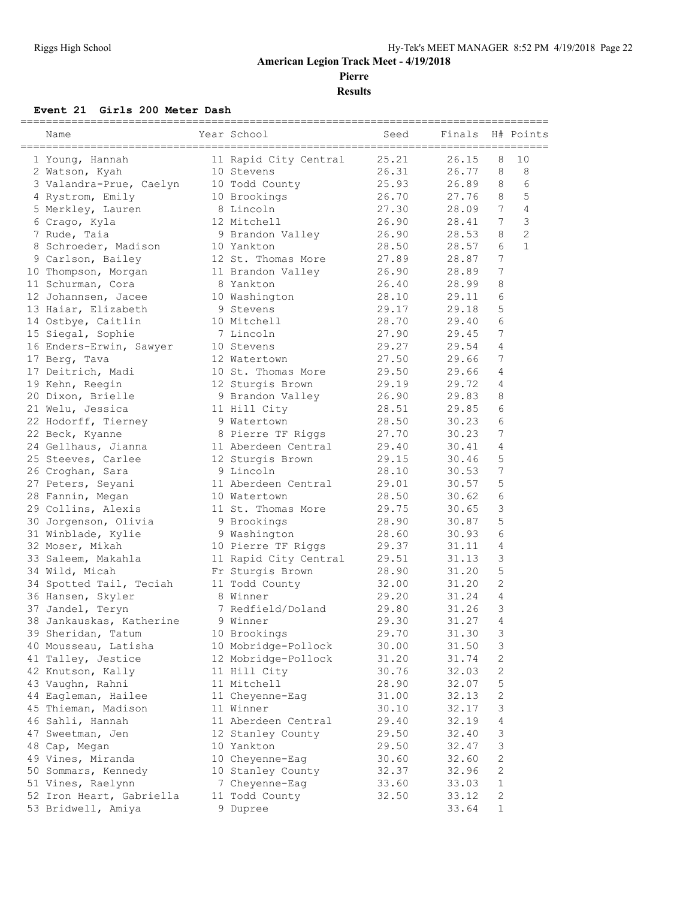**Pierre**

**Results**

#### **Event 21 Girls 200 Meter Dash**

| Name                     | Year School           | Seed  | Finals         |                 | H# Points      |
|--------------------------|-----------------------|-------|----------------|-----------------|----------------|
| 1 Young, Hannah          | 11 Rapid City Central | 25.21 | 26.15          | 8               | 10             |
| 2 Watson, Kyah           | 10 Stevens            | 26.31 | 26.77          | 8               | 8              |
| 3 Valandra-Prue, Caelyn  | 10 Todd County        | 25.93 | 26.89          | 8               | 6              |
| 4 Rystrom, Emily         | 10 Brookings          | 26.70 | 27.76          | 8               | 5              |
| 5 Merkley, Lauren        | 8 Lincoln             | 27.30 | 28.09          | $7\overline{ }$ | 4              |
| 6 Crago, Kyla            | 12 Mitchell           | 26.90 | 28.41          | 7               | 3              |
| 7 Rude, Taia             | 9 Brandon Valley      | 26.90 | 28.53          | 8               | $\overline{c}$ |
| 8 Schroeder, Madison     | 10 Yankton            | 28.50 | 28.57          | 6               | $\mathbf{1}$   |
| 9 Carlson, Bailey        | 12 St. Thomas More    | 27.89 | 28.87          | 7               |                |
| 10 Thompson, Morgan      | 11 Brandon Valley     | 26.90 | 28.89          | 7               |                |
| 11 Schurman, Cora        | 8 Yankton             | 26.40 | 28.99          | 8               |                |
| 12 Johannsen, Jacee      | 10 Washington         | 28.10 | 29.11          | 6               |                |
| 13 Haiar, Elizabeth      | 9 Stevens             | 29.17 | 29.18          | 5               |                |
| 14 Ostbye, Caitlin       | 10 Mitchell           | 28.70 | 29.40          | 6               |                |
| 15 Siegal, Sophie        | 7 Lincoln             | 27.90 | 29.45          | 7               |                |
| 16 Enders-Erwin, Sawyer  | 10 Stevens            | 29.27 | 29.54          | 4               |                |
| 17 Berg, Tava            | 12 Watertown          | 27.50 | 29.66          | 7               |                |
| 17 Deitrich, Madi        | 10 St. Thomas More    | 29.50 | 29.66          | 4               |                |
| 19 Kehn, Reegin          | 12 Sturgis Brown      | 29.19 | 29.72          | 4               |                |
| 20 Dixon, Brielle        | 9 Brandon Valley      | 26.90 | 29.83          | 8               |                |
| 21 Welu, Jessica         | 11 Hill City          | 28.51 | 29.85          | 6               |                |
| 22 Hodorff, Tierney      | 9 Watertown           | 28.50 | 30.23          | 6               |                |
| 22 Beck, Kyanne          | 8 Pierre TF Riggs     | 27.70 | 30.23          | 7               |                |
| 24 Gellhaus, Jianna      | 11 Aberdeen Central   | 29.40 | 30.41          | 4               |                |
| 25 Steeves, Carlee       | 12 Sturgis Brown      | 29.15 | 30.46          | 5               |                |
| 26 Croghan, Sara         | 9 Lincoln             | 28.10 | 30.53          | 7               |                |
| 27 Peters, Seyani        | 11 Aberdeen Central   | 29.01 | 30.57          | 5               |                |
| 28 Fannin, Megan         | 10 Watertown          | 28.50 | 30.62          | 6               |                |
| 29 Collins, Alexis       | 11 St. Thomas More    | 29.75 | 30.65          | 3               |                |
|                          |                       | 28.90 |                | 5               |                |
| 30 Jorgenson, Olivia     | 9 Brookings           |       | 30.87          | 6               |                |
| 31 Winblade, Kylie       | 9 Washington          | 28.60 | 30.93<br>31.11 | 4               |                |
| 32 Moser, Mikah          | 10 Pierre TF Riggs    | 29.37 |                |                 |                |
| 33 Saleem, Makahla       | 11 Rapid City Central | 29.51 | 31.13          | 3               |                |
| 34 Wild, Micah           | Fr Sturgis Brown      | 28.90 | 31.20          | 5               |                |
| 34 Spotted Tail, Teciah  | 11 Todd County        | 32.00 | 31.20          | 2               |                |
| 36 Hansen, Skyler        | 8 Winner              | 29.20 | 31.24          | 4               |                |
| 37 Jandel, Teryn         | 7 Redfield/Doland     | 29.80 | 31.26          | 3               |                |
| 38 Jankauskas, Katherine | 9 Winner              | 29.30 | 31.27          | 4               |                |
| 39 Sheridan, Tatum       | 10 Brookings          | 29.70 | 31.30          | 3               |                |
| 40 Mousseau, Latisha     | 10 Mobridge-Pollock   | 30.00 | 31.50          | 3               |                |
| 41 Talley, Jestice       | 12 Mobridge-Pollock   | 31.20 | 31.74          | 2               |                |
| 42 Knutson, Kally        | 11 Hill City          | 30.76 | 32.03          | 2               |                |
| 43 Vaughn, Rahni         | 11 Mitchell           | 28.90 | 32.07          | 5               |                |
| 44 Eagleman, Hailee      | 11 Cheyenne-Eag       | 31.00 | 32.13          | $\sqrt{2}$      |                |
| 45 Thieman, Madison      | 11 Winner             | 30.10 | 32.17          | 3               |                |
| 46 Sahli, Hannah         | 11 Aberdeen Central   | 29.40 | 32.19          | 4               |                |
| 47 Sweetman, Jen         | 12 Stanley County     | 29.50 | 32.40          | 3               |                |
| 48 Cap, Megan            | 10 Yankton            | 29.50 | 32.47          | 3               |                |
| 49 Vines, Miranda        | 10 Cheyenne-Eag       | 30.60 | 32.60          | $\mathbf{2}$    |                |
| 50 Sommars, Kennedy      | 10 Stanley County     | 32.37 | 32.96          | $\sqrt{2}$      |                |
| 51 Vines, Raelynn        | 7 Cheyenne-Eag        | 33.60 | 33.03          | $\mathbf 1$     |                |
| 52 Iron Heart, Gabriella | 11 Todd County        | 32.50 | 33.12          | $\sqrt{2}$      |                |
| 53 Bridwell, Amiya       | 9 Dupree              |       | 33.64          | $\mathbf 1$     |                |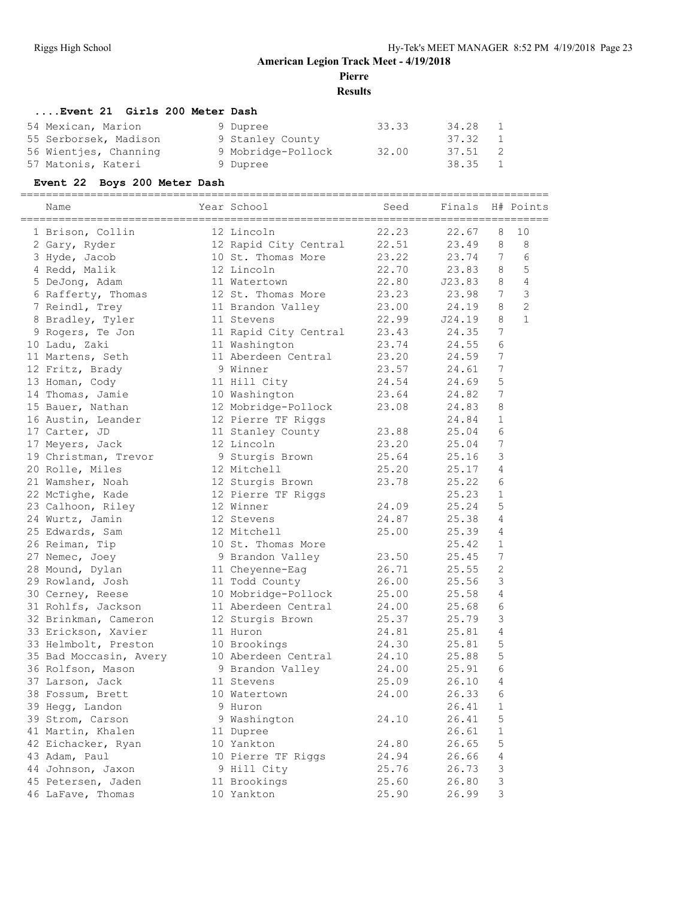**Pierre**

**Results**

# **....Event 21 Girls 200 Meter Dash**

| 54 Mexican, Marion    | 9 Dupree           | 33.33 | 34.28   | $\overline{1}$ |
|-----------------------|--------------------|-------|---------|----------------|
| 55 Serborsek, Madison | 9 Stanley County   |       | 37.32   | $\overline{1}$ |
| 56 Wientjes, Channing | 9 Mobridge-Pollock | 32.00 | 37.51 2 |                |
| 57 Matonis, Kateri    | 9 Dupree           |       | 38.35 1 |                |

#### **Event 22 Boys 200 Meter Dash**

=================================================================================== Name Year School Seed Finals H# Points

|  | Name                   | rear scnooi                  | seea  | rinais<br>======== |                | H# POINTS      |
|--|------------------------|------------------------------|-------|--------------------|----------------|----------------|
|  | 1 Brison, Collin       | 12 Lincoln                   | 22.23 | 22.67              | 8              | 10             |
|  | 2 Gary, Ryder          | 12 Rapid City Central        | 22.51 | 23.49              | 8              | 8              |
|  | 3 Hyde, Jacob          | 10 St. Thomas More           | 23.22 | 23.74              | 7              | 6              |
|  | 4 Redd, Malik          | 12 Lincoln                   | 22.70 | 23.83              | 8              | 5              |
|  | 5 DeJong, Adam         | 11 Watertown                 | 22.80 | J23.83             | 8              | 4              |
|  | 6 Rafferty, Thomas     | 12 St. Thomas More           | 23.23 | 23.98              | 7              | 3              |
|  | 7 Reindl, Trey         | 12 July<br>11 Brandon Valley | 23.00 | 24.19              | 8              | $\overline{c}$ |
|  | 8 Bradley, Tyler       | 11 Stevens                   | 22.99 | J24.19             | 8              | $\mathbf{1}$   |
|  | 9 Rogers, Te Jon       | 11 Rapid City Central        | 23.43 | 24.35              | 7              |                |
|  | 10 Ladu, Zaki          | 11 Washington                | 23.74 | 24.55              | 6              |                |
|  | 11 Martens, Seth       | 11 Aberdeen Central          | 23.20 | 24.59              | 7              |                |
|  | 12 Fritz, Brady        | 9 Winner                     | 23.57 | 24.61              | 7              |                |
|  | 13 Homan, Cody         | 11 Hill City                 | 24.54 | 24.69              | 5              |                |
|  | 14 Thomas, Jamie       | 10 Washington                | 23.64 | 24.82              | 7              |                |
|  | 15 Bauer, Nathan       | 12 Mobridge-Pollock          | 23.08 | 24.83              | 8              |                |
|  | 16 Austin, Leander     | 12 Pierre TF Riggs           |       | 24.84              | $\mathbf{1}$   |                |
|  | 17 Carter, JD          | 11 Stanley County            | 23.88 | 25.04              | 6              |                |
|  | 17 Meyers, Jack        | 12 Lincoln                   | 23.20 | 25.04              | 7              |                |
|  | 19 Christman, Trevor   | 9 Sturgis Brown              | 25.64 | 25.16              | 3              |                |
|  | 20 Rolle, Miles        | 12 Mitchell                  | 25.20 | 25.17              | 4              |                |
|  | 21 Wamsher, Noah       | 12 Sturgis Brown             | 23.78 | 25.22              | 6              |                |
|  | 22 McTighe, Kade       | 12 Pierre TF Riggs           |       | 25.23              | $\mathbf{1}$   |                |
|  | 23 Calhoon, Riley      | 12 Winner                    | 24.09 | 25.24              | 5              |                |
|  | 24 Wurtz, Jamin        | 12 Stevens                   | 24.87 | 25.38              | 4              |                |
|  | 25 Edwards, Sam        | 12 Mitchell                  | 25.00 | 25.39              | 4              |                |
|  | 26 Reiman, Tip         | 10 St. Thomas More           |       | 25.42              | 1              |                |
|  | 27 Nemec, Joey         | 9 Brandon Valley             | 23.50 | 25.45              | 7              |                |
|  | 28 Mound, Dylan        | 11 Cheyenne-Eag              | 26.71 | 25.55              | 2              |                |
|  | 29 Rowland, Josh       | 11 Todd County               | 26.00 | 25.56              | 3              |                |
|  | 30 Cerney, Reese       | 10 Mobridge-Pollock          | 25.00 | 25.58              | $\overline{4}$ |                |
|  | 31 Rohlfs, Jackson     | 11 Aberdeen Central          | 24.00 | 25.68              | 6              |                |
|  | 32 Brinkman, Cameron   | 12 Sturgis Brown             | 25.37 | 25.79              | 3              |                |
|  | 33 Erickson, Xavier    | 11 Huron                     | 24.81 | 25.81              | 4              |                |
|  | 33 Helmbolt, Preston   | 10 Brookings                 | 24.30 | 25.81              | 5              |                |
|  | 35 Bad Moccasin, Avery | 10 Aberdeen Central          | 24.10 | 25.88              | 5              |                |
|  | 36 Rolfson, Mason      | 9 Brandon Valley             | 24.00 | 25.91              | 6              |                |
|  | 37 Larson, Jack        | 11 Stevens                   | 25.09 | 26.10              | 4              |                |
|  | 38 Fossum, Brett       | 10 Watertown                 | 24.00 | 26.33              | 6              |                |
|  | 39 Hegg, Landon        | 9 Huron                      |       | 26.41              | 1              |                |
|  | 39 Strom, Carson       | 9 Washington                 | 24.10 | 26.41              | 5              |                |
|  | 41 Martin, Khalen      | 11 Dupree                    |       | 26.61              | $\mathbf{1}$   |                |
|  | 42 Eichacker, Ryan     | 10 Yankton                   | 24.80 | 26.65              | 5              |                |
|  | 43 Adam, Paul          | 10 Pierre TF Riggs           | 24.94 | 26.66              | 4              |                |
|  | 44 Johnson, Jaxon      | 9 Hill City                  | 25.76 | 26.73              | 3              |                |
|  | 45 Petersen, Jaden     | 11 Brookings                 | 25.60 | 26.80              | 3              |                |
|  | 46 LaFave, Thomas      | 10 Yankton                   | 25.90 | 26.99              | 3              |                |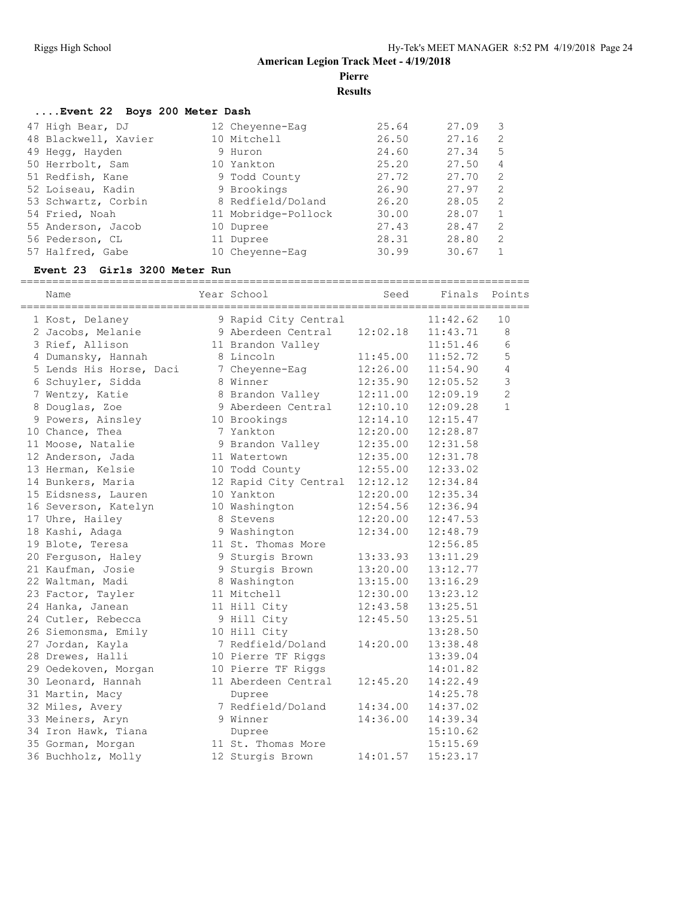**Pierre**

**Results**

#### **....Event 22 Boys 200 Meter Dash**

| 47 High Bear, DJ     | 12 Cheyenne-Eag     | 25.64 | 27.09 |               |
|----------------------|---------------------|-------|-------|---------------|
| 48 Blackwell, Xavier | 10 Mitchell         | 26.50 | 27.16 | 2             |
| 49 Hegg, Hayden      | 9 Huron             | 24.60 | 27.34 | 5             |
| 50 Herrbolt, Sam     | 10 Yankton          | 25.20 | 27.50 | 4             |
| 51 Redfish, Kane     | 9 Todd County       | 27.72 | 27.70 | -2            |
| 52 Loiseau, Kadin    | 9 Brookings         | 26.90 | 27.97 | 2             |
| 53 Schwartz, Corbin  | 8 Redfield/Doland   | 26.20 | 28.05 | 2             |
| 54 Fried, Noah       | 11 Mobridge-Pollock | 30.00 | 28.07 |               |
| 55 Anderson, Jacob   | 10 Dupree           | 27.43 | 28.47 | $\mathcal{L}$ |
| 56 Pederson, CL      | 11 Dupree           | 28.31 | 28.80 | 2             |
| 57 Halfred, Gabe     | 10 Chevenne-Eag     | 30.99 | 30.67 |               |

#### **Event 23 Girls 3200 Meter Run**

================================================================================ Seed Finals Points

| Name                    | Year School           | seed     | Fına⊥s   | Points         |
|-------------------------|-----------------------|----------|----------|----------------|
| 1 Kost, Delaney         | 9 Rapid City Central  |          | 11:42.62 | 10             |
| 2 Jacobs, Melanie       | 9 Aberdeen Central    | 12:02.18 | 11:43.71 | 8              |
| 3 Rief, Allison         | 11 Brandon Valley     |          | 11:51.46 | 6              |
| 4 Dumansky, Hannah      | 8 Lincoln             | 11:45.00 | 11:52.72 | 5              |
| 5 Lends His Horse, Daci | 7 Cheyenne-Eag        | 12:26.00 | 11:54.90 | $\overline{4}$ |
| 6 Schuyler, Sidda       | 8 Winner              | 12:35.90 | 12:05.52 | $\overline{3}$ |
| 7 Wentzy, Katie         | 8 Brandon Valley      | 12:11.00 | 12:09.19 | $\overline{c}$ |
| 8 Douglas, Zoe          | 9 Aberdeen Central    | 12:10.10 | 12:09.28 | $\mathbf{1}$   |
| 9 Powers, Ainsley       | 10 Brookings          | 12:14.10 | 12:15.47 |                |
| 10 Chance, Thea         | 7 Yankton             | 12:20.00 | 12:28.87 |                |
| 11 Moose, Natalie       | 9 Brandon Valley      | 12:35.00 | 12:31.58 |                |
| 12 Anderson, Jada       | 11 Watertown          | 12:35.00 | 12:31.78 |                |
| 13 Herman, Kelsie       | 10 Todd County        | 12:55.00 | 12:33.02 |                |
| 14 Bunkers, Maria       | 12 Rapid City Central | 12:12.12 | 12:34.84 |                |
| 15 Eidsness, Lauren     | 10 Yankton            | 12:20.00 | 12:35.34 |                |
| 16 Severson, Katelyn    | 10 Washington         | 12:54.56 | 12:36.94 |                |
| 17 Uhre, Hailey         | 8 Stevens             | 12:20.00 | 12:47.53 |                |
| 18 Kashi, Adaga         | 9 Washington          | 12:34.00 | 12:48.79 |                |
| 19 Blote, Teresa        | 11 St. Thomas More    |          | 12:56.85 |                |
| 20 Ferguson, Haley      | 9 Sturgis Brown       | 13:33.93 | 13:11.29 |                |
| 21 Kaufman, Josie       | 9 Sturgis Brown       | 13:20.00 | 13:12.77 |                |
| 22 Waltman, Madi        | 8 Washington          | 13:15.00 | 13:16.29 |                |
| 23 Factor, Tayler       | 11 Mitchell           | 12:30.00 | 13:23.12 |                |
| 24 Hanka, Janean        | 11 Hill City          | 12:43.58 | 13:25.51 |                |
| 24 Cutler, Rebecca      | 9 Hill City           | 12:45.50 | 13:25.51 |                |
| 26 Siemonsma, Emily     | 10 Hill City          |          | 13:28.50 |                |
| 27 Jordan, Kayla        | 7 Redfield/Doland     | 14:20.00 | 13:38.48 |                |
| 28 Drewes, Halli        | 10 Pierre TF Riggs    |          | 13:39.04 |                |
| 29 Oedekoven, Morgan    | 10 Pierre TF Riggs    |          | 14:01.82 |                |
| 30 Leonard, Hannah      | 11 Aberdeen Central   | 12:45.20 | 14:22.49 |                |
| 31 Martin, Macy         | Dupree                |          | 14:25.78 |                |
| 32 Miles, Avery         | 7 Redfield/Doland     | 14:34.00 | 14:37.02 |                |
| 33 Meiners, Aryn        | 9 Winner              | 14:36.00 | 14:39.34 |                |
| 34 Iron Hawk, Tiana     | Dupree                |          | 15:10.62 |                |
| 35 Gorman, Morgan       | 11 St. Thomas More    |          | 15:15.69 |                |
| 36 Buchholz, Molly      | 12 Sturgis Brown      | 14:01.57 | 15:23.17 |                |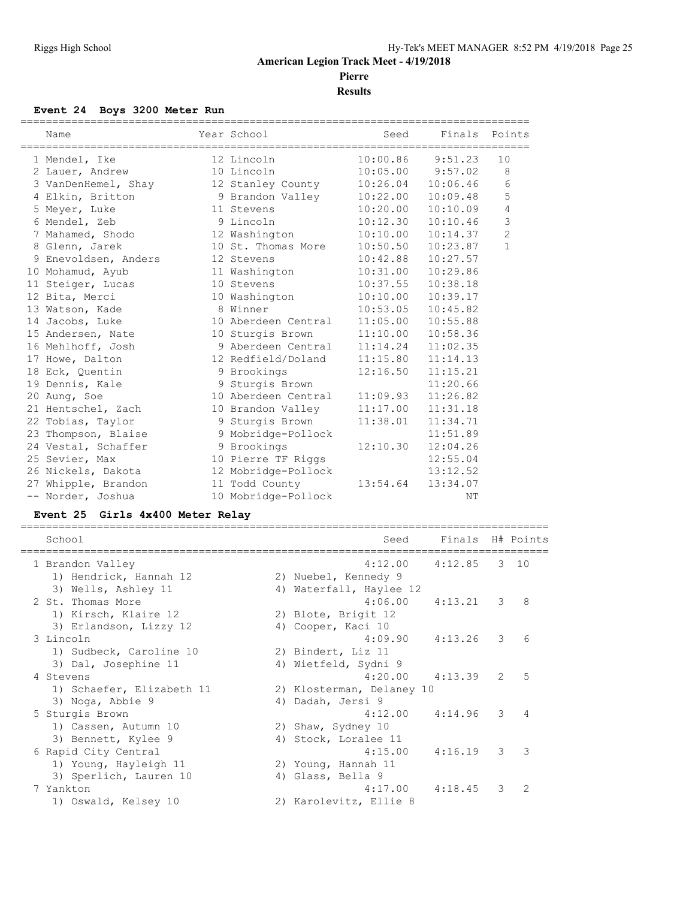**Results**

#### **Event 24 Boys 3200 Meter Run**

| Name                 | Year School         | Seed              |                       | Finals Points  |
|----------------------|---------------------|-------------------|-----------------------|----------------|
| 1 Mendel, Ike        | 12 Lincoln          |                   | $10:00.86$ 9:51.23    | 10             |
| 2 Lauer, Andrew      | 10 Lincoln          |                   | $10:05.00$ $9:57.02$  | - 8            |
| 3 VanDenHemel, Shay  | 12 Stanley County   | 10:26.04          | 10:06.46              | 6              |
| 4 Elkin, Britton     | 9 Brandon Valley    |                   | $10:22.00$ $10:09.48$ | 5              |
| 5 Meyer, Luke        | 11 Stevens          |                   | $10:20.00$ $10:10.09$ | $\sqrt{4}$     |
| 6 Mendel, Zeb        | 9 Lincoln           | 10:12.30          | 10:10.46              | 3              |
| 7 Mahamed, Shodo     | 12 Washington       | 10:10.00          | 10:14.37              | $\overline{c}$ |
| 8 Glenn, Jarek       | 10 St. Thomas More  | 10:50.50          | 10:23.87              | $\mathbf{1}$   |
| 9 Enevoldsen, Anders | 12 Stevens          | 10:42.88          | 10:27.57              |                |
| 10 Mohamud, Ayub     | 11 Washington       | 10:31.00          | 10:29.86              |                |
| 11 Steiger, Lucas    | 10 Stevens          | 10:37.55          | 10:38.18              |                |
| 12 Bita, Merci       | 10 Washington       | 10:10.00          | 10:39.17              |                |
| 13 Watson, Kade      | 8 Winner            | 10:53.05          | 10:45.82              |                |
| 14 Jacobs, Luke      | 10 Aberdeen Central | 11:05.00 10:55.88 |                       |                |
| 15 Andersen, Nate    | 10 Sturgis Brown    | 11:10.00          | 10:58.36              |                |
| 16 Mehlhoff, Josh    | 9 Aberdeen Central  | 11:14.24          | 11:02.35              |                |
| 17 Howe, Dalton      | 12 Redfield/Doland  | 11:15.80          | 11:14.13              |                |
| 18 Eck, Quentin      | 9 Brookings         | 12:16.50          | 11:15.21              |                |
| 19 Dennis, Kale      | 9 Sturgis Brown     |                   | 11:20.66              |                |
| 20 Aung, Soe         | 10 Aberdeen Central | 11:09.93          | 11:26.82              |                |
| 21 Hentschel, Zach   | 10 Brandon Valley   | 11:17.00          | 11:31.18              |                |
| 22 Tobias, Taylor    | 9 Sturgis Brown     | 11:38.01          | 11:34.71              |                |
| 23 Thompson, Blaise  | 9 Mobridge-Pollock  |                   | 11:51.89              |                |
| 24 Vestal, Schaffer  | 9 Brookings         | 12:10.30          | 12:04.26              |                |
| 25 Sevier, Max       | 10 Pierre TF Riggs  |                   | 12:55.04              |                |
| 26 Nickels, Dakota   | 12 Mobridge-Pollock |                   | 13:12.52              |                |
| 27 Whipple, Brandon  | 11 Todd County      | 13:54.64          | 13:34.07              |                |
| -- Norder, Joshua    | 10 Mobridge-Pollock |                   | NΤ                    |                |

# **Event 25 Girls 4x400 Meter Relay**

| School                    | Seed                      | Finals H# Points |               |               |
|---------------------------|---------------------------|------------------|---------------|---------------|
| 1 Brandon Valley          | 4:12.00                   | 4:12.85          |               | $3 \quad 10$  |
| 1) Hendrick, Hannah 12    | 2) Nuebel, Kennedy 9      |                  |               |               |
| 3) Wells, Ashley 11       | 4) Waterfall, Haylee 12   |                  |               |               |
| 2 St. Thomas More         | $4:06.00$ $4:13.21$       |                  | 3             | 8             |
| 1) Kirsch, Klaire 12      | 2) Blote, Brigit 12       |                  |               |               |
| 3) Erlandson, Lizzy 12    | 4) Cooper, Kaci 10        |                  |               |               |
| 3 Lincoln                 | 4:09.90                   | 4:13.26          | 3             | 6             |
| 1) Sudbeck, Caroline 10   | 2) Bindert, Liz 11        |                  |               |               |
| 3) Dal, Josephine 11      | 4) Wietfeld, Sydni 9      |                  |               |               |
| 4 Stevens                 | $4:20.00$ $4:13.39$       |                  | $\mathcal{L}$ | 5             |
| 1) Schaefer, Elizabeth 11 | 2) Klosterman, Delaney 10 |                  |               |               |
| 3) Noga, Abbie 9          | 4) Dadah, Jersi 9         |                  |               |               |
| 5 Sturgis Brown           | 4:12.00                   | 4:14.96          | 3             | 4             |
| 1) Cassen, Autumn 10      | 2) Shaw, Sydney 10        |                  |               |               |
| 3) Bennett, Kylee 9       | 4) Stock, Loralee 11      |                  |               |               |
| 6 Rapid City Central      | 4:15.00                   | 4:16.19          | $\mathcal{E}$ | 3             |
| 1) Young, Hayleigh 11     | 2) Young, Hannah 11       |                  |               |               |
| 3) Sperlich, Lauren 10    | 4) Glass, Bella 9         |                  |               |               |
| 7 Yankton                 | 4:17.00                   | 4:18.45          | 3             | $\mathcal{L}$ |
| 1) Oswald, Kelsey 10      | 2) Karolevitz, Ellie 8    |                  |               |               |
|                           |                           |                  |               |               |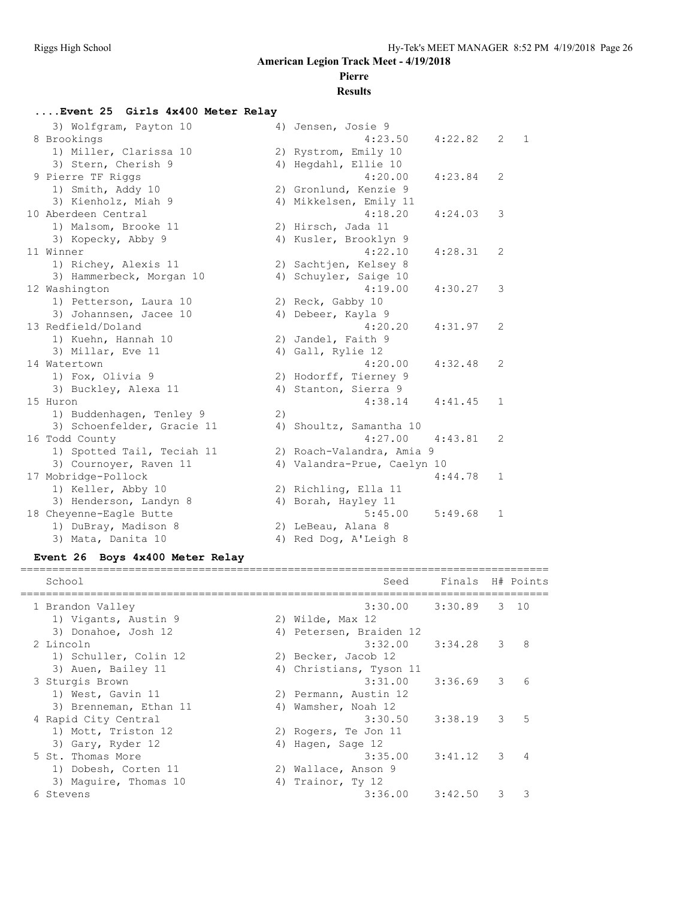# **Pierre**

#### **Results**

#### **....Event 25 Girls 4x400 Meter Relay** 3) Wolfgram, Payton 10 4) Jensen, Josie 9 8 Brookings 4:23.50 4:22.82 2 1 1) Miller, Clarissa 10 2) Rystrom, Emily 10 3) Stern, Cherish 9 4) Hegdahl, Ellie 10 9 Pierre TF Riggs 4:20.00 4:23.84 2 1) Smith, Addy 10 2) Gronlund, Kenzie 9 3) Kienholz, Miah 9 4) Mikkelsen, Emily 11 10 Aberdeen Central 4:18.20 4:24.03 3 1) Malsom, Brooke 11 2) Hirsch, Jada 11 3) Kopecky, Abby 9 4) Kusler, Brooklyn 9 11 Winner 4:22.10 4:28.31 2 1) Richey, Alexis 11 2) Sachtjen, Kelsey 8 3) Hammerbeck, Morgan 10 4) Schuyler, Saige 10 12 Washington 4:19.00 4:30.27 3 1) Petterson, Laura 10 2) Reck, Gabby 10 3) Johannsen, Jacee 10 4) Debeer, Kayla 9 13 Redfield/Doland 4:20.20 4:31.97 2 1) Kuehn, Hannah 10 2) Jandel, Faith 9 3) Millar, Eve 11 4) Gall, Rylie 12 14 Watertown 4:20.00 4:32.48 2 1) Fox, Olivia 9 2) Hodorff, Tierney 9 3) Buckley, Alexa 11 4) Stanton, Sierra 9 15 Huron 4:38.14 4:41.45 1 1) Buddenhagen, Tenley 9 (2) 3) Schoenfelder, Gracie 11 4) Shoultz, Samantha 10 16 Todd County 4:27.00 4:43.81 2 1) Spotted Tail, Teciah 11 2) Roach-Valandra, Amia 9 3) Cournoyer, Raven 11 4) Valandra-Prue, Caelyn 10 17 Mobridge-Pollock 4:44.78 1 1) Keller, Abby 10 2) Richling, Ella 11 3) Henderson, Landyn 8 4) Borah, Hayley 11 18 Cheyenne-Eagle Butte 5:45.00 5:49.68 1 1) DuBray, Madison 8 2) LeBeau, Alana 8 3) Mata, Danita 10 4) Red Dog, A'Leigh 8

#### **Event 26 Boys 4x400 Meter Relay**

| School                 | Seed                    | Finals H# Points |   |                |
|------------------------|-------------------------|------------------|---|----------------|
| 1 Brandon Valley       | $3:30.00$ $3:30.89$     |                  |   | $3 \quad 10$   |
| 1) Vigants, Austin 9   | 2) Wilde, Max 12        |                  |   |                |
| 3) Donahoe, Josh 12    | 4) Petersen, Braiden 12 |                  |   |                |
| 2 Lincoln              | $3:32.00$ $3:34.28$     |                  | 3 | 8              |
| 1) Schuller, Colin 12  | 2) Becker, Jacob 12     |                  |   |                |
| 3) Auen, Bailey 11     | 4) Christians, Tyson 11 |                  |   |                |
| 3 Sturgis Brown        | 3:31.00                 | $3:36.69$ 3      |   | 6              |
| 1) West, Gavin 11      | 2) Permann, Austin 12   |                  |   |                |
| 3) Brenneman, Ethan 11 | 4) Wamsher, Noah 12     |                  |   |                |
| 4 Rapid City Central   | 3:30.50                 | 3:38.19          | 3 | 5              |
| 1) Mott, Triston 12    | 2) Rogers, Te Jon 11    |                  |   |                |
| 3) Gary, Ryder 12      | 4) Hagen, Sage 12       |                  |   |                |
| 5 St. Thomas More      | 3:35.00                 | 3:41.12          | 3 | $\overline{4}$ |
| 1) Dobesh, Corten 11   | 2) Wallace, Anson 9     |                  |   |                |
| 3) Maguire, Thomas 10  | 4) Trainor, Ty 12       |                  |   |                |
| 6 Stevens              | 3:36.00                 | 3:42.50          | 3 | २              |
|                        |                         |                  |   |                |

===================================================================================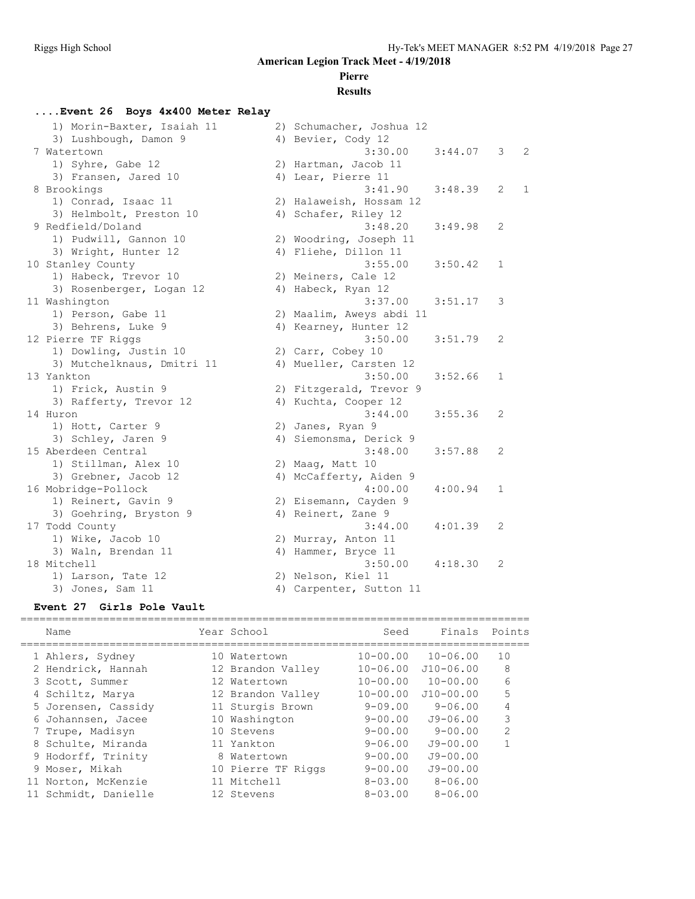================================================================================

**American Legion Track Meet - 4/19/2018**

## **Pierre**

#### **Results**

#### **....Event 26 Boys 4x400 Meter Relay**

| 1) Morin-Baxter, Isaiah 11 | 2) Schumacher, Joshua 12 |         |              |              |
|----------------------------|--------------------------|---------|--------------|--------------|
| 3) Lushbough, Damon 9      | 4) Bevier, Cody 12       |         |              |              |
| 7 Watertown                | 3:30.00                  | 3:44.07 | 3            | 2            |
| 1) Syhre, Gabe 12          | 2) Hartman, Jacob 11     |         |              |              |
| 3) Fransen, Jared 10       | 4) Lear, Pierre 11       |         |              |              |
| 8 Brookings                | 3:41.90                  | 3:48.39 | 2            | $\mathbf{1}$ |
| 1) Conrad, Isaac 11        | 2) Halaweish, Hossam 12  |         |              |              |
| 3) Helmbolt, Preston 10    | 4) Schafer, Riley 12     |         |              |              |
| 9 Redfield/Doland          | 3:48.20                  | 3:49.98 | 2            |              |
| 1) Pudwill, Gannon 10      | 2) Woodring, Joseph 11   |         |              |              |
| 3) Wright, Hunter 12       | 4) Fliehe, Dillon 11     |         |              |              |
| 10 Stanley County          | 3:55.00                  | 3:50.42 | $\mathbf{1}$ |              |
| 1) Habeck, Trevor 10       | 2) Meiners, Cale 12      |         |              |              |
| 3) Rosenberger, Logan 12   | 4) Habeck, Ryan 12       |         |              |              |
| 11 Washington              | 3:37.00                  | 3:51.17 | 3            |              |
| 1) Person, Gabe 11         | 2) Maalim, Aweys abdi 11 |         |              |              |
| 3) Behrens, Luke 9         | 4) Kearney, Hunter 12    |         |              |              |
| 12 Pierre TF Riggs         | 3:50.00                  | 3:51.79 | 2            |              |
| 1) Dowling, Justin 10      | 2) Carr, Cobey 10        |         |              |              |
| 3) Mutchelknaus, Dmitri 11 | 4) Mueller, Carsten 12   |         |              |              |
| 13 Yankton                 | 3:50.00                  | 3:52.66 | 1            |              |
| 1) Frick, Austin 9         | 2) Fitzgerald, Trevor 9  |         |              |              |
| 3) Rafferty, Trevor 12     | 4) Kuchta, Cooper 12     |         |              |              |
| 14 Huron                   | 3:44.00                  | 3:55.36 | 2            |              |
| 1) Hott, Carter 9          | 2) Janes, Ryan 9         |         |              |              |
| 3) Schley, Jaren 9         | 4) Siemonsma, Derick 9   |         |              |              |
| 15 Aberdeen Central        | 3:48.00                  | 3:57.88 | 2            |              |
| 1) Stillman, Alex 10       | 2) Maag, Matt 10         |         |              |              |
| 3) Grebner, Jacob 12       | 4) McCafferty, Aiden 9   |         |              |              |
| 16 Mobridge-Pollock        | 4:00.00                  | 4:00.94 | $\mathbf 1$  |              |
| 1) Reinert, Gavin 9        | 2) Eisemann, Cayden 9    |         |              |              |
| 3) Goehring, Bryston 9     | 4) Reinert, Zane 9       |         |              |              |
| 17 Todd County             | 3:44.00                  | 4:01.39 | 2            |              |
| 1) Wike, Jacob 10          | 2) Murray, Anton 11      |         |              |              |
| 3) Waln, Brendan 11        | 4) Hammer, Bryce 11      |         |              |              |
| 18 Mitchell                | 3:50.00                  | 4:18.30 | 2            |              |
| 1) Larson, Tate 12         | 2) Nelson, Kiel 11       |         |              |              |
| 3) Jones, Sam 11           | 4) Carpenter, Sutton 11  |         |              |              |

#### **Event 27 Girls Pole Vault**

| Name                 | Year School        | Seed           | Finals Points |                |
|----------------------|--------------------|----------------|---------------|----------------|
| 1 Ahlers, Sydney     | 10 Watertown       | $10 - 00.00$   | $10 - 06.00$  | 10             |
| 2 Hendrick, Hannah   | 12 Brandon Valley  | $10 - 06.00$   | $J10-06.00$   | 8              |
| 3 Scott, Summer      | 12 Watertown       | $10 - 00.00$   | $10 - 00.00$  | 6              |
| 4 Schiltz, Marya     | 12 Brandon Valley  | $10 - 00.00$   | $J10-00.00$   | 5              |
| 5 Jorensen, Cassidy  | 11 Sturgis Brown   | $9 - 09.00$    | $9 - 06.00$   | 4              |
| 6 Johannsen, Jacee   | 10 Washington      | $9 - 00.00$    | $J9 - 06.00$  | 3              |
| 7 Trupe, Madisyn     | 10 Stevens         | $9 - 00.00$    | $9 - 00.00$   | $\overline{2}$ |
| 8 Schulte, Miranda   | 11 Yankton         | $9 - 06.00$    | $J9 - 00.00$  |                |
| 9 Hodorff, Trinity   | 8 Watertown        | $9 - 00.00$    | $J9 - 00.00$  |                |
| 9 Moser, Mikah       | 10 Pierre TF Riggs | $9 - 00.00$    | $J9 - 00.00$  |                |
| 11 Norton, McKenzie  | 11 Mitchell        | $8 - 0.3$ , 00 | $8 - 06.00$   |                |
| 11 Schmidt, Danielle | 12 Stevens         | $8 - 0.3$ , 00 | $8 - 06.00$   |                |
|                      |                    |                |               |                |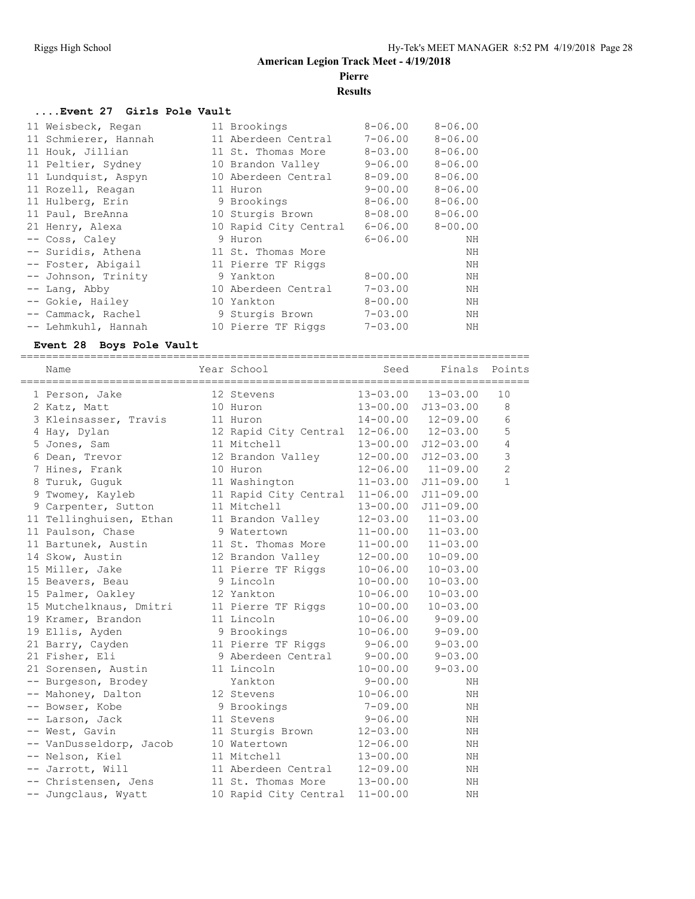================================================================================

#### **American Legion Track Meet - 4/19/2018 Pierre**

# **Results**

#### **....Event 27 Girls Pole Vault**

| 11 Weisbeck, Regan   | 11 Brookings          | $8 - 06.00$ | $8 - 06.00$ |
|----------------------|-----------------------|-------------|-------------|
| 11 Schmierer, Hannah | 11 Aberdeen Central   | $7 - 06.00$ | $8 - 06.00$ |
| 11 Houk, Jillian     | 11 St. Thomas More    | $8 - 03.00$ | $8 - 06.00$ |
| 11 Peltier, Sydney   | 10 Brandon Valley     | $9 - 06.00$ | $8 - 06.00$ |
| 11 Lundquist, Aspyn  | 10 Aberdeen Central   | $8 - 09.00$ | $8 - 06.00$ |
| 11 Rozell, Reagan    | 11 Huron              | $9 - 00.00$ | $8 - 06.00$ |
| 11 Hulberg, Erin     | 9 Brookings           | $8 - 06.00$ | $8 - 06.00$ |
| 11 Paul, BreAnna     | 10 Sturgis Brown      | $8 - 08.00$ | $8 - 06.00$ |
| 21 Henry, Alexa      | 10 Rapid City Central | 6-06.00     | $8 - 00.00$ |
| -- Coss, Caley       | 9 Huron               | $6 - 06.00$ | NΗ          |
| -- Suridis, Athena   | 11 St. Thomas More    |             | NH          |
| -- Foster, Abigail   | 11 Pierre TF Riggs    |             | NΗ          |
| -- Johnson, Trinity  | 9 Yankton             | $8 - 00.00$ | NΗ          |
| $--$ Lang, Abby      | 10 Aberdeen Central   | $7 - 03.00$ | NH          |
| -- Gokie, Hailey     | 10 Yankton            | $8 - 00.00$ | NΗ          |
| -- Cammack, Rachel   | 9 Sturgis Brown       | $7 - 03.00$ | NH          |
| -- Lehmkuhl, Hannah  | 10 Pierre TF Riggs    | $7 - 03.00$ | ΝH          |

#### **Event 28 Boys Pole Vault**

| Name                    | Year School           | Seed         | Finals        | Points         |
|-------------------------|-----------------------|--------------|---------------|----------------|
| 1 Person, Jake          | 12 Stevens            | $13 - 03.00$ | $13 - 03.00$  | 10             |
| 2 Katz, Matt            | 10 Huron              | $13 - 00.00$ | $J13 - 03.00$ | 8              |
| 3 Kleinsasser, Travis   | 11 Huron              | $14 - 00.00$ | $12 - 09.00$  | 6              |
| 4 Hay, Dylan            | 12 Rapid City Central | $12 - 06.00$ | $12 - 03.00$  | 5              |
| 5 Jones, Sam            | 11 Mitchell           | $13 - 00.00$ | $J12 - 03.00$ | 4              |
| 6 Dean, Trevor          | 12 Brandon Valley     | $12 - 00.00$ | $J12 - 03.00$ | 3              |
| 7 Hines, Frank          | 10 Huron              | $12 - 06.00$ | $11 - 09.00$  | $\overline{2}$ |
| 8 Turuk, Guguk          | 11 Washington         | $11 - 03.00$ | $J11 - 09.00$ | $\mathbf{1}$   |
| 9 Twomey, Kayleb        | 11 Rapid City Central | $11 - 06.00$ | $J11 - 09.00$ |                |
| 9 Carpenter, Sutton     | 11 Mitchell           | $13 - 00.00$ | $J11 - 09.00$ |                |
| 11 Tellinghuisen, Ethan | 11 Brandon Valley     | $12 - 03.00$ | $11 - 03.00$  |                |
| 11 Paulson, Chase       | 9 Watertown           | $11 - 00.00$ | $11 - 03.00$  |                |
| 11 Bartunek, Austin     | 11 St. Thomas More    | $11 - 00.00$ | $11 - 03.00$  |                |
| 14 Skow, Austin         | 12 Brandon Valley     | $12 - 00.00$ | $10 - 09.00$  |                |
| 15 Miller, Jake         | 11 Pierre TF Riggs    | $10 - 06.00$ | $10 - 03.00$  |                |
| 15 Beavers, Beau        | 9 Lincoln             | $10 - 00.00$ | $10 - 03.00$  |                |
| 15 Palmer, Oakley       | 12 Yankton            | $10 - 06.00$ | $10 - 03.00$  |                |
| 15 Mutchelknaus, Dmitri | 11 Pierre TF Riggs    | $10 - 00.00$ | $10 - 03.00$  |                |
| 19 Kramer, Brandon      | 11 Lincoln            | $10 - 06.00$ | $9 - 09.00$   |                |
| 19 Ellis, Ayden         | 9 Brookings           | $10 - 06.00$ | $9 - 09.00$   |                |
| 21 Barry, Cayden        | 11 Pierre TF Riggs    | $9 - 06.00$  | $9 - 03.00$   |                |
| 21 Fisher, Eli          | 9 Aberdeen Central    | $9 - 00.00$  | $9 - 03.00$   |                |
| 21 Sorensen, Austin     | 11 Lincoln            | $10 - 00.00$ | $9 - 03.00$   |                |
| -- Burgeson, Brodey     | Yankton               | $9 - 00.00$  | NH            |                |
| -- Mahoney, Dalton      | 12 Stevens            | $10 - 06.00$ | NH            |                |
| -- Bowser, Kobe         | 9 Brookings           | $7 - 09.00$  | NH            |                |
| -- Larson, Jack         | 11 Stevens            | $9 - 06.00$  | NH            |                |
| -- West, Gavin          | 11 Sturgis Brown      | $12 - 03.00$ | ΝH            |                |
| -- VanDusseldorp, Jacob | 10 Watertown          | $12 - 06.00$ | NH            |                |
| -- Nelson, Kiel         | 11 Mitchell           | $13 - 00.00$ | NH            |                |
| -- Jarrott, Will        | 11 Aberdeen Central   | $12 - 09.00$ | NH            |                |
| -- Christensen, Jens    | 11 St. Thomas More    | $13 - 00.00$ | ΝH            |                |
| -- Jungclaus, Wyatt     | 10 Rapid City Central | $11 - 00.00$ | NH            |                |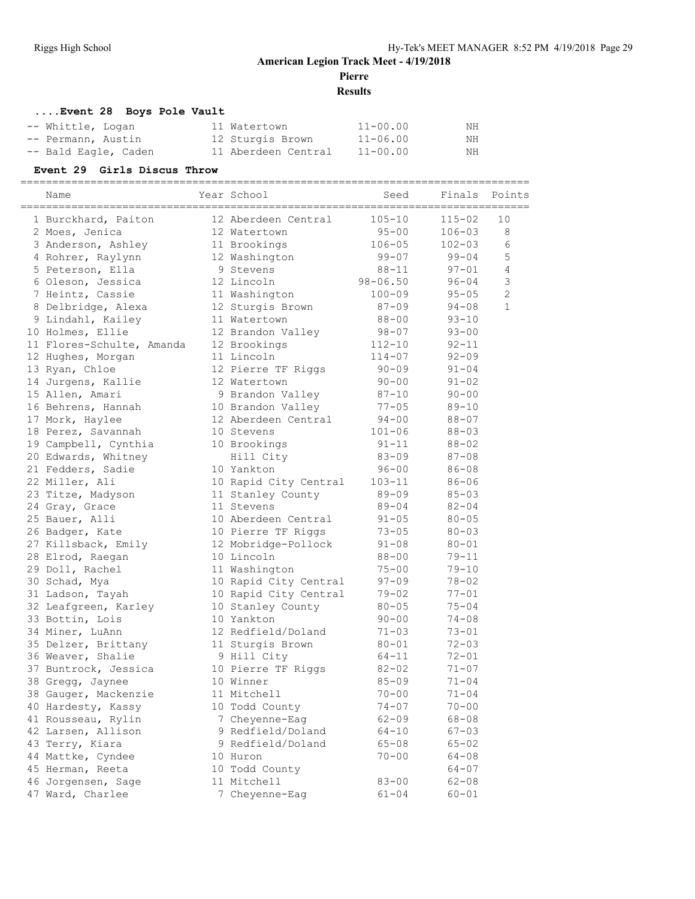**Pierre**

**Results**

================================================================================

#### **....Event 28 Boys Pole Vault** -- Whittle, Logan 11 Watertown 11-00.00 NH -- Permann, Austin 12 Sturgis Brown 11-06.00 NH -- Bald Eagle, Caden 11 Aberdeen Central 11-00.00 MH

#### **Event 29 Girls Discus Throw**

| Name                      | Year School           | Seed         | Finals     | Points         |
|---------------------------|-----------------------|--------------|------------|----------------|
| 1 Burckhard, Paiton       | 12 Aberdeen Central   | $105 - 10$   | $115 - 02$ | 10             |
| 2 Moes, Jenica            | 12 Watertown          | 95-00        | $106 - 03$ | 8              |
| 3 Anderson, Ashley        | 11 Brookings          | $106 - 05$   | $102 - 03$ | 6              |
| 4 Rohrer, Raylynn         | 12 Washington         | 99-07        | $99 - 04$  | 5              |
| 5 Peterson, Ella          | 9 Stevens             | $88 - 11$    | $97 - 01$  | $\overline{4}$ |
| 6 Oleson, Jessica         | 12 Lincoln            | $98 - 06.50$ | $96 - 04$  | $\mathsf 3$    |
| 7 Heintz, Cassie          | 11 Washington         | $100 - 09$   | $95 - 05$  | $\overline{c}$ |
| 8 Delbridge, Alexa        | 12 Sturgis Brown      | 87-09        | $94 - 08$  | $\mathbf{1}$   |
| 9 Lindahl, Kailey         | 11 Watertown          | $88 - 00$    | $93 - 10$  |                |
| 10 Holmes, Ellie          | 12 Brandon Valley     | $98 - 07$    | $93 - 00$  |                |
| 11 Flores-Schulte, Amanda | 12 Brookings          | $112 - 10$   | $92 - 11$  |                |
| 12 Hughes, Morgan         | 11 Lincoln            | $114 - 07$   | $92 - 09$  |                |
| 13 Ryan, Chloe            | 12 Pierre TF Riggs    | $90 - 09$    | $91 - 04$  |                |
| 14 Jurgens, Kallie        | 12 Watertown          | $90 - 00$    | $91 - 02$  |                |
| 15 Allen, Amari           | 9 Brandon Valley      | $87 - 10$    | $90 - 00$  |                |
| 16 Behrens, Hannah        | 10 Brandon Valley     | $77 - 05$    | $89 - 10$  |                |
| 17 Mork, Haylee           | 12 Aberdeen Central   | $94 - 00$    | $88 - 07$  |                |
| 18 Perez, Savannah        | 10 Stevens            | $101 - 06$   | $88 - 03$  |                |
| 19 Campbell, Cynthia      | 10 Brookings          | $91 - 11$    | $88 - 02$  |                |
| 20 Edwards, Whitney       | Hill City             | $83 - 09$    | $87 - 08$  |                |
| 21 Fedders, Sadie         | 10 Yankton            | $96 - 00$    | $86 - 08$  |                |
| 22 Miller, Ali            | 10 Rapid City Central | $103 - 11$   | $86 - 06$  |                |
| 23 Titze, Madyson         | 11 Stanley County     | $89 - 09$    | $85 - 03$  |                |
| 24 Gray, Grace            | 11 Stevens            | $89 - 04$    | $82 - 04$  |                |
| 25 Bauer, Alli            | 10 Aberdeen Central   | $91 - 05$    | $80 - 05$  |                |
| 26 Badger, Kate           | 10 Pierre TF Riggs    | $73 - 05$    | $80 - 03$  |                |
| 27 Killsback, Emily       | 12 Mobridge-Pollock   | $91 - 08$    | $80 - 01$  |                |
| 28 Elrod, Raegan          | 10 Lincoln            | $88 - 00$    | $79 - 11$  |                |
| 29 Doll, Rachel           | 11 Washington         | $75 - 00$    | $79 - 10$  |                |
| 30 Schad, Mya             | 10 Rapid City Central | 97-09        | $78 - 02$  |                |
| 31 Ladson, Tayah          | 10 Rapid City Central | $79 - 02$    | $77 - 01$  |                |
| 32 Leafgreen, Karley      | 10 Stanley County     | $80 - 05$    | $75 - 04$  |                |
| 33 Bottin, Lois           | 10 Yankton            | $90 - 00$    | $74 - 08$  |                |
| 34 Miner, LuAnn           | 12 Redfield/Doland    | $71 - 03$    | $73 - 01$  |                |
| 35 Delzer, Brittany       | 11 Sturgis Brown      | $80 - 01$    | $72 - 03$  |                |
| 36 Weaver, Shalie         | 9 Hill City           | 64-11        | $72 - 01$  |                |
| 37 Buntrock, Jessica      | 10 Pierre TF Riggs    | $82 - 02$    | $71 - 07$  |                |
| 38 Gregg, Jaynee          | 10 Winner             | $85 - 09$    | $71 - 04$  |                |
| 38 Gauger, Mackenzie      | 11 Mitchell           | $70 - 00$    | $71 - 04$  |                |
| 40 Hardesty, Kassy        | 10 Todd County        | $74 - 07$    | $70 - 00$  |                |
| 41 Rousseau, Rylin        | 7 Cheyenne-Eag        | $62 - 09$    | $68 - 08$  |                |
| 42 Larsen, Allison        | 9 Redfield/Doland     | $64 - 10$    | $67 - 03$  |                |
| 43 Terry, Kiara           | 9 Redfield/Doland     | $65 - 08$    | $65 - 02$  |                |
| 44 Mattke, Cyndee         | 10 Huron              | $70 - 00$    | $64 - 08$  |                |
| 45 Herman, Reeta          | 10 Todd County        |              | $64 - 07$  |                |
| 46 Jorgensen, Sage        | 11 Mitchell           | $83 - 00$    | $62 - 08$  |                |
| 47 Ward, Charlee          | 7 Cheyenne-Eag        | $61 - 04$    | $60 - 01$  |                |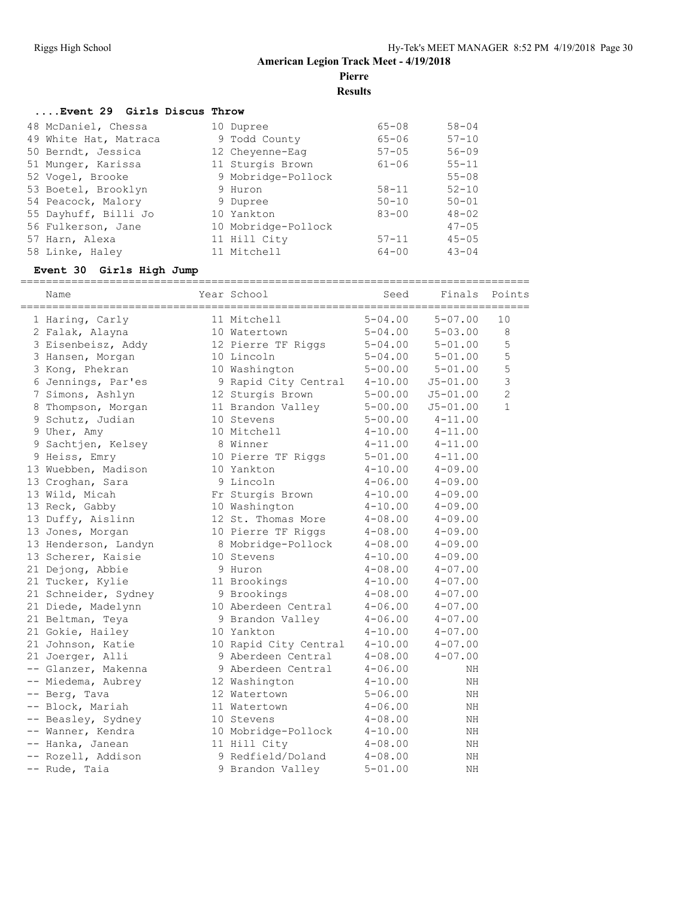**Pierre**

**Results**

#### **....Event 29 Girls Discus Throw**

| 48 McDaniel, Chessa   | 10 Dupree           | $65 - 08$ | $58 - 04$ |
|-----------------------|---------------------|-----------|-----------|
| 49 White Hat, Matraca | 9 Todd County       | $65 - 06$ | $57 - 10$ |
| 50 Berndt, Jessica    | 12 Cheyenne-Eag     | $57 - 05$ | $56 - 09$ |
| 51 Munger, Karissa    | 11 Sturgis Brown    | $61 - 06$ | $55 - 11$ |
| 52 Vogel, Brooke      | 9 Mobridge-Pollock  |           | $55 - 08$ |
| 53 Boetel, Brooklyn   | 9 Huron             | $58 - 11$ | $52 - 10$ |
| 54 Peacock, Malory    | 9 Dupree            | $50 - 10$ | $50 - 01$ |
| 55 Dayhuff, Billi Jo  | 10 Yankton          | $83 - 00$ | $48 - 02$ |
| 56 Fulkerson, Jane    | 10 Mobridge-Pollock |           | $47 - 05$ |
| 57 Harn, Alexa        | 11 Hill City        | $57 - 11$ | $45 - 05$ |
| 58 Linke, Haley       | 11 Mitchell         | $64 - 00$ | $43 - 04$ |

#### **Event 30 Girls High Jump**

| Name                 | Year School           | Seed        | Finals       | Points         |
|----------------------|-----------------------|-------------|--------------|----------------|
| 1 Haring, Carly      | 11 Mitchell           | $5 - 04.00$ | $5 - 07.00$  | 10             |
| 2 Falak, Alayna      | 10 Watertown          | $5 - 04.00$ | $5 - 03.00$  | 8              |
| 3 Eisenbeisz, Addy   | 12 Pierre TF Riggs    | $5 - 04.00$ | $5 - 01.00$  | 5              |
| 3 Hansen, Morgan     | 10 Lincoln            | $5 - 04.00$ | $5 - 01.00$  | 5              |
| 3 Kong, Phekran      | 10 Washington         | $5 - 00.00$ | $5 - 01.00$  | 5              |
| 6 Jennings, Par'es   | 9 Rapid City Central  | $4 - 10.00$ | $J5 - 01.00$ | 3              |
| 7 Simons, Ashlyn     | 12 Sturgis Brown      | $5 - 00.00$ | $J5 - 01.00$ | $\overline{c}$ |
| 8 Thompson, Morgan   | 11 Brandon Valley     | $5 - 00.00$ | $J5 - 01.00$ | $\mathbf{1}$   |
| 9 Schutz, Judian     | 10 Stevens            | $5 - 00.00$ | $4 - 11.00$  |                |
| 9 Uher, Amy          | 10 Mitchell           | $4 - 10.00$ | $4 - 11.00$  |                |
| 9 Sachtjen, Kelsey   | 8 Winner              | $4 - 11.00$ | $4 - 11.00$  |                |
| 9 Heiss, Emry        | 10 Pierre TF Riggs    | $5 - 01.00$ | $4 - 11.00$  |                |
| 13 Wuebben, Madison  | 10 Yankton            | $4 - 10.00$ | $4 - 09.00$  |                |
| 13 Croghan, Sara     | 9 Lincoln             | $4 - 06.00$ | $4 - 09.00$  |                |
| 13 Wild, Micah       | Fr Sturgis Brown      | $4 - 10.00$ | $4 - 09.00$  |                |
| 13 Reck, Gabby       | 10 Washington         | $4 - 10.00$ | $4 - 09.00$  |                |
| 13 Duffy, Aislinn    | 12 St. Thomas More    | $4 - 08.00$ | $4 - 09.00$  |                |
| 13 Jones, Morgan     | 10 Pierre TF Riggs    | $4 - 08.00$ | $4 - 09.00$  |                |
| 13 Henderson, Landyn | 8 Mobridge-Pollock    | $4 - 08.00$ | $4 - 09.00$  |                |
| 13 Scherer, Kaisie   | 10 Stevens            | $4 - 10.00$ | $4 - 09.00$  |                |
| 21 Dejong, Abbie     | 9 Huron               | $4 - 08.00$ | $4 - 07.00$  |                |
| 21 Tucker, Kylie     | 11 Brookings          | $4 - 10.00$ | $4 - 07.00$  |                |
| 21 Schneider, Sydney | 9 Brookings           | $4 - 08.00$ | $4 - 07.00$  |                |
| 21 Diede, Madelynn   | 10 Aberdeen Central   | $4 - 06.00$ | $4 - 07.00$  |                |
| 21 Beltman, Teya     | 9 Brandon Valley      | $4 - 06.00$ | $4 - 07.00$  |                |
| 21 Gokie, Hailey     | 10 Yankton            | $4 - 10.00$ | $4 - 07.00$  |                |
| 21 Johnson, Katie    | 10 Rapid City Central | $4 - 10.00$ | $4 - 07.00$  |                |
| 21 Joerger, Alli     | 9 Aberdeen Central    | $4 - 08.00$ | $4 - 07.00$  |                |
| -- Glanzer, Makenna  | 9 Aberdeen Central    | $4 - 06.00$ | NH           |                |
| -- Miedema, Aubrey   | 12 Washington         | $4 - 10.00$ | ΝH           |                |
| -- Berg, Tava        | 12 Watertown          | $5 - 06.00$ | NH           |                |
| -- Block, Mariah     | 11 Watertown          | $4 - 06.00$ | NH           |                |
| -- Beasley, Sydney   | 10 Stevens            | $4 - 08.00$ | NΗ           |                |
| -- Wanner, Kendra    | 10 Mobridge-Pollock   | $4 - 10.00$ | NH           |                |
| -- Hanka, Janean     | 11 Hill City          | $4 - 08.00$ | NH           |                |
| -- Rozell, Addison   | 9 Redfield/Doland     | $4 - 08.00$ | ΝH           |                |
| -- Rude, Taia        | 9 Brandon Valley      | $5 - 01.00$ | NΗ           |                |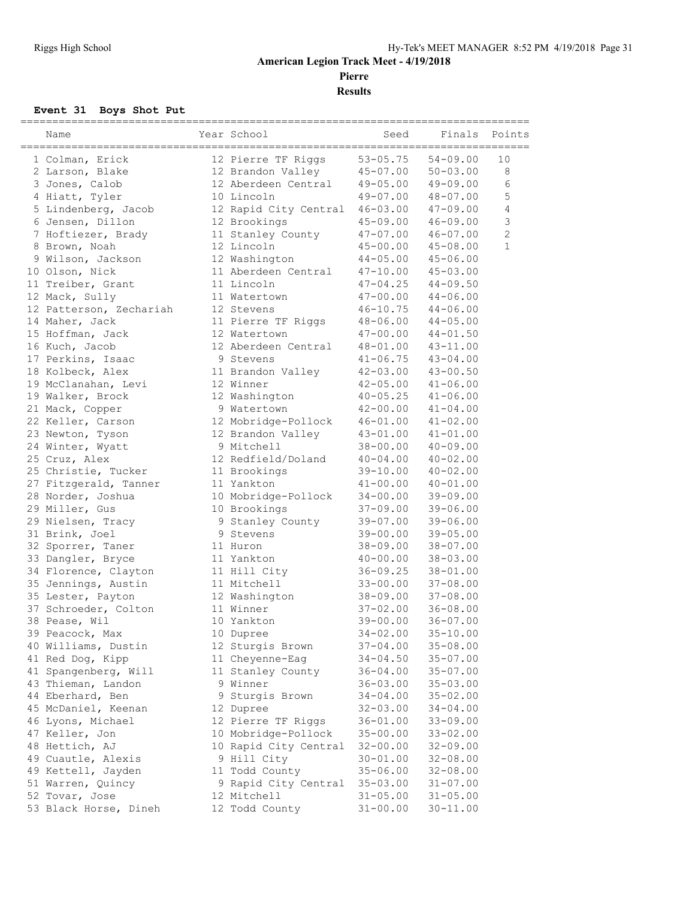**Pierre**

**Results**

# **Event 31 Boys Shot Put**

| Name                                   | Year School           | Seed                         | Finals                       | Points         |
|----------------------------------------|-----------------------|------------------------------|------------------------------|----------------|
| 1 Colman, Erick                        | 12 Pierre TF Riggs    | $53 - 05.75$                 | $54 - 09.00$                 | 10             |
| 2 Larson, Blake                        | 12 Brandon Valley     | $45 - 07.00$                 | $50 - 03.00$                 | $\,8\,$        |
| 3 Jones, Calob                         | 12 Aberdeen Central   | $49 - 05.00$                 | $49 - 09.00$                 | 6              |
| 4 Hiatt, Tyler                         | 10 Lincoln            | $49 - 07.00$                 | $48 - 07.00$                 | 5              |
| 5 Lindenberg, Jacob                    | 12 Rapid City Central | $46 - 03.00$                 | $47 - 09.00$                 | $\overline{4}$ |
| 6 Jensen, Dillon                       | 12 Brookings          | 45-09.00                     | $46 - 09.00$                 | $\mathcal{S}$  |
| 7 Hoftiezer, Brady                     | 11 Stanley County     | $47 - 07.00$                 | $46 - 07.00$                 | $\overline{2}$ |
| 8 Brown, Noah                          | 12 Lincoln            | $45 - 00.00$                 | $45 - 08.00$                 | $\mathbf{1}$   |
| 9 Wilson, Jackson                      | 12 Washington         | $44 - 05.00$                 | $45 - 06.00$                 |                |
| 10 Olson, Nick                         | 11 Aberdeen Central   | $47 - 10.00$                 | $45 - 03.00$                 |                |
| 11 Treiber, Grant                      | 11 Lincoln            | $47 - 04.25$                 | $44 - 09.50$                 |                |
| 12 Mack, Sully                         | 11 Watertown          | 47-00.00                     | $44 - 06.00$                 |                |
| 12 Patterson, Zechariah                | 12 Stevens            | $46 - 10.75$                 | $44 - 06.00$                 |                |
| 14 Maher, Jack                         | 11 Pierre TF Riggs    | $48 - 06.00$                 | $44 - 05.00$                 |                |
| 15 Hoffman, Jack                       | 12 Watertown          | 47-00.00                     | $44 - 01.50$                 |                |
| 16 Kuch, Jacob                         | 12 Aberdeen Central   | $48 - 01.00$                 | $43 - 11.00$                 |                |
| 17 Perkins, Isaac                      | 9 Stevens             | $41 - 06.75$                 | $43 - 04.00$                 |                |
| 18 Kolbeck, Alex                       | 11 Brandon Valley     | $42 - 03.00$                 | $43 - 00.50$                 |                |
| 19 McClanahan, Levi                    | 12 Winner             | $42 - 05.00$                 | $41 - 06.00$                 |                |
| 19 Walker, Brock                       | 12 Washington         | $40 - 05.25$                 | $41 - 06.00$                 |                |
| 21 Mack, Copper                        | 9 Watertown           | $42 - 00.00$                 | $41 - 04.00$                 |                |
| 22 Keller, Carson                      | 12 Mobridge-Pollock   | $46 - 01.00$                 | $41 - 02.00$                 |                |
| 23 Newton, Tyson                       | 12 Brandon Valley     | $43 - 01.00$                 | $41 - 01.00$                 |                |
| 24 Winter, Wyatt                       | 9 Mitchell            | 38-00.00                     | $40 - 09.00$                 |                |
| 25 Cruz, Alex                          | 12 Redfield/Doland    | $40 - 04.00$                 | $40 - 02.00$                 |                |
| 25 Christie, Tucker                    | 11 Brookings          | $39 - 10.00$                 | $40 - 02.00$                 |                |
| 27 Fitzgerald, Tanner                  | 11 Yankton            | $41 - 00.00$                 | $40 - 01.00$                 |                |
| 28 Norder, Joshua                      | 10 Mobridge-Pollock   | $34 - 00.00$                 | $39 - 09.00$                 |                |
| 29 Miller, Gus                         | 10 Brookings          | 37-09.00                     | $39 - 06.00$                 |                |
| 29 Nielsen, Tracy<br>31 Brink, Joel    | 9 Stanley County      | 39-07.00                     | $39 - 06.00$                 |                |
|                                        | 9 Stevens<br>11 Huron | $39 - 00.00$<br>$38 - 09.00$ | $39 - 05.00$<br>$38 - 07.00$ |                |
| 32 Sporrer, Taner<br>33 Dangler, Bryce | 11 Yankton            | $40 - 00.00$                 | $38 - 03.00$                 |                |
| 34 Florence, Clayton                   | 11 Hill City          | $36 - 09.25$                 | $38 - 01.00$                 |                |
| 35 Jennings, Austin                    | 11 Mitchell           | $33 - 00.00$                 | $37 - 08.00$                 |                |
| 35 Lester, Payton                      | 12 Washington         | $38 - 09.00$                 | $37 - 08.00$                 |                |
| 37 Schroeder, Colton                   | 11 Winner             | $37 - 02.00$                 | $36 - 08.00$                 |                |
| 38 Pease, Wil                          | 10 Yankton            | $39 - 00.00$                 | $36 - 07.00$                 |                |
| 39 Peacock, Max                        | 10 Dupree             | $34 - 02.00$                 | $35 - 10.00$                 |                |
| 40 Williams, Dustin                    | 12 Sturgis Brown      | $37 - 04.00$                 | $35 - 08.00$                 |                |
| 41 Red Dog, Kipp                       | 11 Cheyenne-Eag       | $34 - 04.50$                 | $35 - 07.00$                 |                |
| 41 Spangenberg, Will                   | 11 Stanley County     | $36 - 04.00$                 | $35 - 07.00$                 |                |
| 43 Thieman, Landon                     | 9 Winner              | $36 - 03.00$                 | $35 - 03.00$                 |                |
| 44 Eberhard, Ben                       | 9 Sturgis Brown       | $34 - 04.00$                 | $35 - 02.00$                 |                |
| 45 McDaniel, Keenan                    | 12 Dupree             | $32 - 03.00$                 | $34 - 04.00$                 |                |
| 46 Lyons, Michael                      | 12 Pierre TF Riggs    | $36 - 01.00$                 | $33 - 09.00$                 |                |
| 47 Keller, Jon                         | 10 Mobridge-Pollock   | $35 - 00.00$                 | 33-02.00                     |                |
| 48 Hettich, AJ                         | 10 Rapid City Central | $32 - 00.00$                 | $32 - 09.00$                 |                |
| 49 Cuautle, Alexis                     | 9 Hill City           | $30 - 01.00$                 | $32 - 08.00$                 |                |
| 49 Kettell, Jayden                     | 11 Todd County        | $35 - 06.00$                 | $32 - 08.00$                 |                |
| 51 Warren, Quincy                      | 9 Rapid City Central  | $35 - 03.00$                 | $31 - 07.00$                 |                |
| 52 Tovar, Jose                         | 12 Mitchell           | $31 - 05.00$                 | $31 - 05.00$                 |                |
| 53 Black Horse, Dineh                  | 12 Todd County        | $31 - 00.00$                 | $30 - 11.00$                 |                |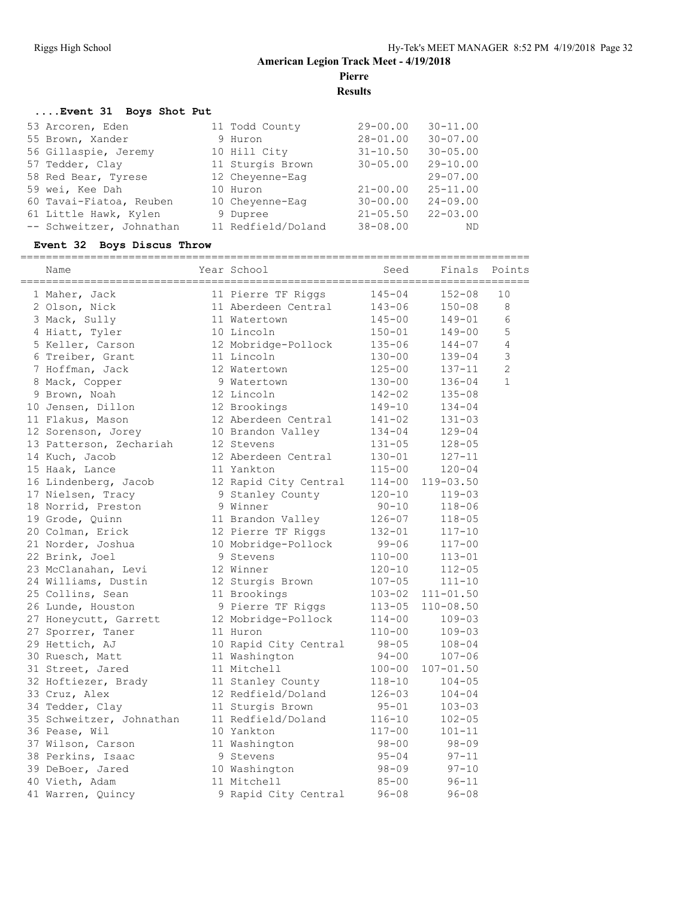**Results**

#### **....Event 31 Boys Shot Put**

| 53 Arcoren, Eden         | 11 Todd County     | $29 - 00.00$ | $30 - 11.00$ |
|--------------------------|--------------------|--------------|--------------|
| 55 Brown, Xander         | 9 Huron            | $28 - 01.00$ | $30 - 07.00$ |
| 56 Gillaspie, Jeremy     | 10 Hill City       | $31 - 10.50$ | $30 - 05.00$ |
| 57 Tedder, Clay          | 11 Sturgis Brown   | $30 - 05.00$ | $29 - 10.00$ |
| 58 Red Bear, Tyrese      | 12 Chevenne-Eag    |              | $29 - 07.00$ |
| 59 wei, Kee Dah          | 10 Huron           | $21 - 00.00$ | $25 - 11.00$ |
| 60 Tavai-Fiatoa, Reuben  | 10 Chevenne-Eag    | $30 - 00.00$ | $24 - 09.00$ |
| 61 Little Hawk, Kylen    | 9 Dupree           | $21 - 05.50$ | $22 - 03.00$ |
| -- Schweitzer, Johnathan | 11 Redfield/Doland | $38 - 08.00$ | ND           |

#### **Event 32 Boys Discus Throw**

| =============<br>Name    | Year School           | Seed       | Finals        | Points         |
|--------------------------|-----------------------|------------|---------------|----------------|
| 1 Maher, Jack            | 11 Pierre TF Riggs    | $145 - 04$ | $152 - 08$    | 10             |
| 2 Olson, Nick            | 11 Aberdeen Central   | $143 - 06$ | $150 - 08$    | 8              |
| 3 Mack, Sully            | 11 Watertown          | $145 - 00$ | $149 - 01$    | 6              |
| 4 Hiatt, Tyler           | 10 Lincoln            | $150 - 01$ | $149 - 00$    | 5              |
| 5 Keller, Carson         | 12 Mobridge-Pollock   | $135 - 06$ | $144 - 07$    | 4              |
| 6 Treiber, Grant         | 11 Lincoln            | $130 - 00$ | $139 - 04$    | 3              |
| 7 Hoffman, Jack          | 12 Watertown          | $125 - 00$ | 137-11        | $\overline{2}$ |
| 8 Mack, Copper           | 9 Watertown           | $130 - 00$ | $136 - 04$    | $\mathbf{1}$   |
| 9 Brown, Noah            | 12 Lincoln            | $142 - 02$ | $135 - 08$    |                |
| 10 Jensen, Dillon        | 12 Brookings          | 149-10     | $134 - 04$    |                |
| 11 Flakus, Mason         | 12 Aberdeen Central   | $141 - 02$ | $131 - 03$    |                |
| 12 Sorenson, Jorey       | 10 Brandon Valley     | $134 - 04$ | $129 - 04$    |                |
| 13 Patterson, Zechariah  | 12 Stevens            | $131 - 05$ | $128 - 05$    |                |
| 14 Kuch, Jacob           | 12 Aberdeen Central   | $130 - 01$ | $127 - 11$    |                |
| 15 Haak, Lance           | 11 Yankton            | $115 - 00$ | $120 - 04$    |                |
| 16 Lindenberg, Jacob     | 12 Rapid City Central | $114 - 00$ | $119 - 03.50$ |                |
| 17 Nielsen, Tracy        | 9 Stanley County      | $120 - 10$ | $119 - 03$    |                |
| 18 Norrid, Preston       | 9 Winner              | $90 - 10$  | $118 - 06$    |                |
| 19 Grode, Quinn          | 11 Brandon Valley     | $126 - 07$ | $118 - 05$    |                |
| 20 Colman, Erick         | 12 Pierre TF Riggs    | $132 - 01$ | $117 - 10$    |                |
| 21 Norder, Joshua        | 10 Mobridge-Pollock   | $99 - 06$  | $117 - 00$    |                |
| 22 Brink, Joel           | 9 Stevens             | $110 - 00$ | $113 - 01$    |                |
| 23 McClanahan, Levi      | 12 Winner             | $120 - 10$ | $112 - 05$    |                |
| 24 Williams, Dustin      | 12 Sturgis Brown      | $107 - 05$ | $111 - 10$    |                |
| 25 Collins, Sean         | 11 Brookings          | $103 - 02$ | $111 - 01.50$ |                |
| 26 Lunde, Houston        | 9 Pierre TF Riggs     | $113 - 05$ | $110 - 08.50$ |                |
| 27 Honeycutt, Garrett    | 12 Mobridge-Pollock   | $114 - 00$ | $109 - 03$    |                |
| 27 Sporrer, Taner        | 11 Huron              | $110 - 00$ | $109 - 03$    |                |
| 29 Hettich, AJ           | 10 Rapid City Central | $98 - 05$  | $108 - 04$    |                |
| 30 Ruesch, Matt          | 11 Washington         | $94 - 00$  | $107 - 06$    |                |
| 31 Street, Jared         | 11 Mitchell           | $100 - 00$ | $107 - 01.50$ |                |
| 32 Hoftiezer, Brady      | 11 Stanley County     | $118 - 10$ | $104 - 05$    |                |
| 33 Cruz, Alex            | 12 Redfield/Doland    | $126 - 03$ | $104 - 04$    |                |
| 34 Tedder, Clay          | 11 Sturgis Brown      | $95 - 01$  | $103 - 03$    |                |
| 35 Schweitzer, Johnathan | 11 Redfield/Doland    | $116 - 10$ | $102 - 05$    |                |
| 36 Pease, Wil            | 10 Yankton            | $117 - 00$ | $101 - 11$    |                |
| 37 Wilson, Carson        | 11 Washington         | $98 - 00$  | $98 - 09$     |                |
| 38 Perkins, Isaac        | 9 Stevens             | $95 - 04$  | $97 - 11$     |                |
| 39 DeBoer, Jared         | 10 Washington         | $98 - 09$  | $97 - 10$     |                |
| 40 Vieth, Adam           | 11 Mitchell           | $85 - 00$  | $96 - 11$     |                |
| 41 Warren, Quincy        | 9 Rapid City Central  | $96 - 08$  | $96 - 08$     |                |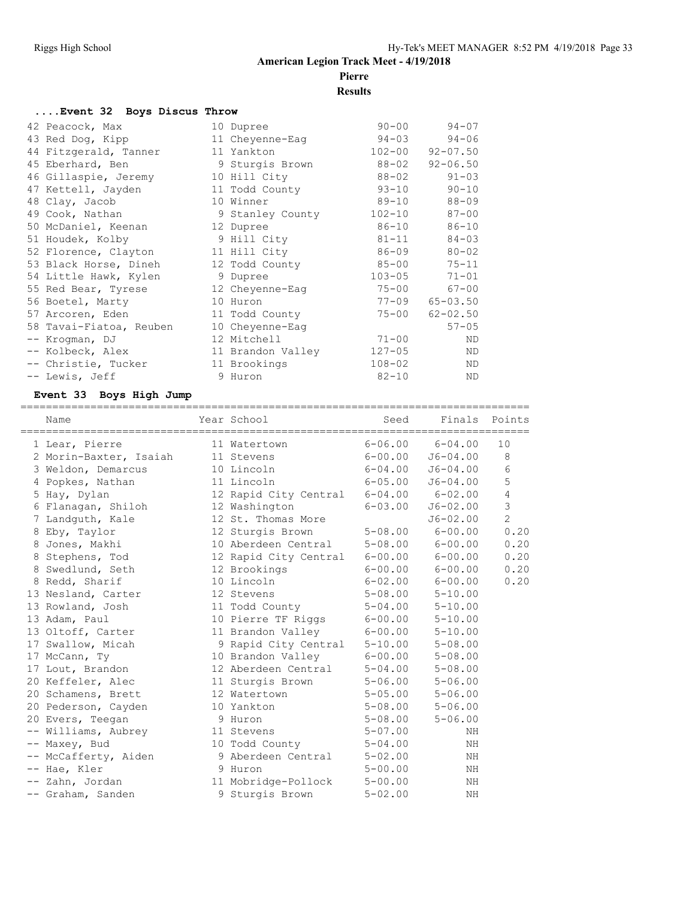# **Pierre**

# **Results**

| Event 32 Boys Discus Throw |                   |            |                        |
|----------------------------|-------------------|------------|------------------------|
| 42 Peacock, Max            | 10 Dupree         | $90 - 00$  | $94 - 07$              |
| 43 Red Dog, Kipp           | 11 Cheyenne-Eag   | $94 - 03$  | $94 - 06$              |
| 44 Fitzgerald, Tanner      | 11 Yankton        | $102 - 00$ | $92 - 07.50$           |
| 45 Eberhard, Ben           | 9 Sturgis Brown   | 88-02      | $92 - 06.50$           |
| 46 Gillaspie, Jeremy       | 10 Hill City      | $88 - 02$  | $91 - 03$              |
| 47 Kettell, Jayden         | 11 Todd County    | $93 - 10$  | $90 - 10$              |
| 48 Clay, Jacob             | 10 Winner         | 89-10      | $88 - 09$              |
| 49 Cook, Nathan            | 9 Stanley County  | $102 - 10$ | $87 - 00$              |
| 50 McDaniel, Keenan        | 12 Dupree         | 86-10      | $86 - 10$              |
| 51 Houdek, Kolby           | 9 Hill City       | $81 - 11$  | $84 - 03$              |
| 52 Florence, Clayton       | 11 Hill City      | $86 - 09$  | $80 - 02$              |
| 53 Black Horse, Dineh      | 12 Todd County    | $85 - 00$  | $75 - 11$              |
| 54 Little Hawk, Kylen      | 9 Dupree          | $103 - 05$ | $71 - 01$              |
| 55 Red Bear, Tyrese        | 12 Cheyenne-Eag   | $75 - 00$  | $67 - 00$              |
| 56 Boetel, Marty           | 10 Huron          |            | $77 - 09$ $65 - 03.50$ |
| 57 Arcoren, Eden           | 11 Todd County    | 75-00      | $62 - 02.50$           |
| 58 Tavai-Fiatoa, Reuben    | 10 Cheyenne-Eag   |            | $57 - 05$              |
| -- Kroqman, DJ             | 12 Mitchell       | $71 - 00$  | ND.                    |
| -- Kolbeck, Alex           | 11 Brandon Valley | $127 - 05$ | ND                     |
| -- Christie, Tucker        | 11 Brookings      | $108 - 02$ | <b>ND</b>              |
| -- Lewis, Jeff             | 9 Huron           | $82 - 10$  | ΝD                     |

# **Event 33 Boys High Jump**

| Name                   | Year School                           | Seed        | Finals                  | Points         |
|------------------------|---------------------------------------|-------------|-------------------------|----------------|
| 1 Lear, Pierre         | 11 Watertown                          |             | $6 - 06.00$ $6 - 04.00$ | 10             |
| 2 Morin-Baxter, Isaiah | 11 Stevens                            | $6 - 00.00$ | $J6 - 04.00$            | 8              |
| 3 Weldon, Demarcus     | 10 Lincoln                            | $6 - 04.00$ | $J6 - 04.00$            | 6              |
| 4 Popkes, Nathan       | 11 Lincoln                            | $6 - 05.00$ | $J6 - 04.00$            | 5              |
| 5 Hay, Dylan           | 12 Rapid City Central 6-04.00 6-02.00 |             |                         | $\overline{4}$ |
| 6 Flanagan, Shiloh     | 12 Washington                         | $6 - 03.00$ | $J6 - 02.00$            | $\overline{3}$ |
| 7 Landquth, Kale       | 12 St. Thomas More                    |             | $J6 - 02.00$            | $\overline{2}$ |
| 8 Eby, Taylor          | 12 Sturgis Brown                      | $5 - 08.00$ | $6 - 00.00$             | 0.20           |
| 8 Jones, Makhi         | 10 Aberdeen Central                   | $5 - 08.00$ | $6 - 00.00$             | 0.20           |
| 8 Stephens, Tod        | 12 Rapid City Central                 |             | $6 - 00.00$ $6 - 00.00$ | 0.20           |
| 8 Swedlund, Seth       | 12 Brookings                          |             | $6 - 00.00$ $6 - 00.00$ | 0.20           |
| 8 Redd, Sharif         | 10 Lincoln                            |             | $6 - 02.00$ $6 - 00.00$ | 0.20           |
| 13 Nesland, Carter     | 12 Stevens                            | $5 - 08.00$ | $5 - 10.00$             |                |
| 13 Rowland, Josh       | 11 Todd County                        | $5 - 04.00$ | $5 - 10.00$             |                |
| 13 Adam, Paul          | 10 Pierre TF Riggs                    | $6 - 00.00$ | $5 - 10.00$             |                |
| 13 Oltoff, Carter      | 11 Brandon Valley                     | $6 - 00.00$ | $5 - 10.00$             |                |
| 17 Swallow, Micah      | 9 Rapid City Central                  | $5 - 10.00$ | $5 - 08.00$             |                |
| 17 McCann, Ty          | 10 Brandon Valley                     | $6 - 00.00$ | $5 - 08.00$             |                |
| 17 Lout, Brandon       | 12 Aberdeen Central                   | $5 - 04.00$ | $5 - 08.00$             |                |
| 20 Keffeler, Alec      | 11 Sturgis Brown                      | $5 - 06.00$ | $5 - 06.00$             |                |
| 20 Schamens, Brett     | 12 Watertown                          | $5 - 05.00$ | $5 - 06.00$             |                |
| 20 Pederson, Cayden    | 10 Yankton                            |             | $5 - 08.00$ $5 - 06.00$ |                |
| 20 Evers, Teegan       | 9 Huron                               | $5 - 08.00$ | $5 - 06.00$             |                |
| -- Williams, Aubrey    | 11 Stevens                            | $5 - 07.00$ | NH                      |                |
| -- Maxey, Bud          | 10 Todd County                        | $5 - 04.00$ | NH                      |                |
| -- McCafferty, Aiden   | 9 Aberdeen Central                    | $5 - 02.00$ | NH                      |                |
| -- Hae, Kler           | 9 Huron                               | $5 - 00.00$ | ΝH                      |                |
| -- Zahn, Jordan        | 11 Mobridge-Pollock                   | $5 - 00.00$ | NH                      |                |
| -- Graham, Sanden      | 9 Sturgis Brown                       | $5 - 02.00$ | NH                      |                |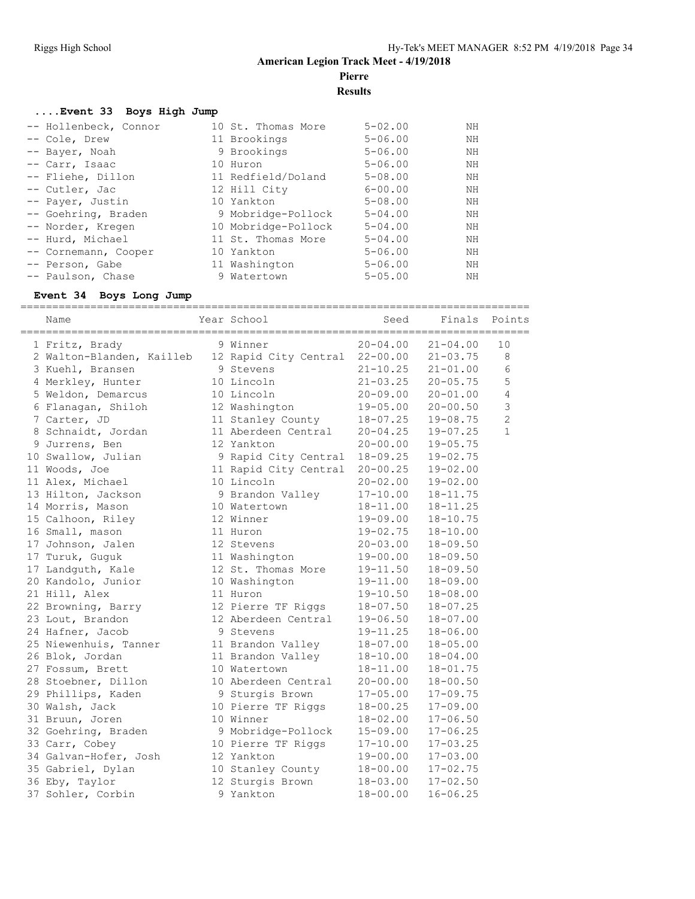**Results**

#### **....Event 33 Boys High Jump**

| -- Hollenbeck, Connor | 10 St. Thomas More  | $5 - 02.00$ | ΝH |
|-----------------------|---------------------|-------------|----|
| -- Cole, Drew         | 11 Brookings        | $5 - 06.00$ | NH |
| -- Bayer, Noah        | 9 Brookings         | $5 - 06.00$ | NH |
| -- Carr, Isaac        | 10 Huron            | $5 - 06.00$ | NH |
| -- Fliehe, Dillon     | 11 Redfield/Doland  | $5 - 08.00$ | NH |
| -- Cutler, Jac        | 12 Hill City        | $6 - 00.00$ | ΝH |
| -- Payer, Justin      | 10 Yankton          | $5 - 08.00$ | ΝH |
| -- Goehring, Braden   | 9 Mobridge-Pollock  | $5 - 04.00$ | NH |
| -- Norder, Kregen     | 10 Mobridge-Pollock | $5 - 04.00$ | ΝH |
| -- Hurd, Michael      | 11 St. Thomas More  | $5 - 04.00$ | ΝH |
| -- Cornemann, Cooper  | 10 Yankton          | $5 - 06.00$ | ΝH |
| -- Person, Gabe       | 11 Washington       | $5 - 06.00$ | NH |
| -- Paulson, Chase     | 9 Watertown         | $5 - 05.00$ | ΝH |

#### **Event 34 Boys Long Jump**

| Name                      | Year School           | Seed         | Finals       | Points         |
|---------------------------|-----------------------|--------------|--------------|----------------|
| 1 Fritz, Brady            | 9 Winner              | $20 - 04.00$ | $21 - 04.00$ | 10             |
| 2 Walton-Blanden, Kailleb | 12 Rapid City Central | $22 - 00.00$ | $21 - 03.75$ | 8              |
| 3 Kuehl, Bransen          | 9 Stevens             | $21 - 10.25$ | $21 - 01.00$ | $\sqrt{6}$     |
| 4 Merkley, Hunter         | 10 Lincoln            | $21 - 03.25$ | $20 - 05.75$ | 5              |
| 5 Weldon, Demarcus        | 10 Lincoln            | $20 - 09.00$ | $20 - 01.00$ | 4              |
| 6 Flanagan, Shiloh        | 12 Washington         | $19 - 05.00$ | $20 - 00.50$ | 3              |
| 7 Carter, JD              | 11 Stanley County     | $18 - 07.25$ | $19 - 08.75$ | $\overline{2}$ |
| 8 Schnaidt, Jordan        | 11 Aberdeen Central   | $20 - 04.25$ | $19 - 07.25$ | $\mathbf{1}$   |
| 9 Jurrens, Ben            | 12 Yankton            | $20 - 00.00$ | $19 - 05.75$ |                |
| 10 Swallow, Julian        | 9 Rapid City Central  | $18 - 09.25$ | $19 - 02.75$ |                |
| 11 Woods, Joe             | 11 Rapid City Central | $20 - 00.25$ | $19 - 02.00$ |                |
| 11 Alex, Michael          | 10 Lincoln            | $20 - 02.00$ | $19 - 02.00$ |                |
| 13 Hilton, Jackson        | 9 Brandon Valley      | $17 - 10.00$ | $18 - 11.75$ |                |
| 14 Morris, Mason          | 10 Watertown          | $18 - 11.00$ | $18 - 11.25$ |                |
| 15 Calhoon, Riley         | 12 Winner             | $19 - 09.00$ | $18 - 10.75$ |                |
| 16 Small, mason           | 11 Huron              | 19-02.75     | $18 - 10.00$ |                |
| 17 Johnson, Jalen         | 12 Stevens            | $20 - 03.00$ | $18 - 09.50$ |                |
| 17 Turuk, Guguk           | 11 Washington         | 19-00.00     | $18 - 09.50$ |                |
| 17 Landguth, Kale         | 12 St. Thomas More    | $19 - 11.50$ | $18 - 09.50$ |                |
| 20 Kandolo, Junior        | 10 Washington         | $19 - 11.00$ | $18 - 09.00$ |                |
| 21 Hill, Alex             | 11 Huron              | $19 - 10.50$ | $18 - 08.00$ |                |
| 22 Browning, Barry        | 12 Pierre TF Riggs    | $18 - 07.50$ | $18 - 07.25$ |                |
| 23 Lout, Brandon          | 12 Aberdeen Central   | 19-06.50     | $18 - 07.00$ |                |
| 24 Hafner, Jacob          | 9 Stevens             | 19-11.25     | $18 - 06.00$ |                |
| 25 Niewenhuis, Tanner     | 11 Brandon Valley     | $18 - 07.00$ | $18 - 05.00$ |                |
| 26 Blok, Jordan           | 11 Brandon Valley     | $18 - 10.00$ | $18 - 04.00$ |                |
| 27 Fossum, Brett          | 10 Watertown          | $18 - 11.00$ | $18 - 01.75$ |                |
| 28 Stoebner, Dillon       | 10 Aberdeen Central   | $20 - 00.00$ | $18 - 00.50$ |                |
| 29 Phillips, Kaden        | 9 Sturgis Brown       | $17 - 05.00$ | $17 - 09.75$ |                |
| 30 Walsh, Jack            | 10 Pierre TF Riggs    | $18 - 00.25$ | $17 - 09.00$ |                |
| 31 Bruun, Joren           | 10 Winner             | $18 - 02.00$ | $17 - 06.50$ |                |
| 32 Goehring, Braden       | 9 Mobridge-Pollock    | $15 - 09.00$ | $17 - 06.25$ |                |
| 33 Carr, Cobey            | 10 Pierre TF Riggs    | $17 - 10.00$ | $17 - 03.25$ |                |
| 34 Galvan-Hofer, Josh     | 12 Yankton            | $19 - 00.00$ | $17 - 03.00$ |                |
| 35 Gabriel, Dylan         | 10 Stanley County     | $18 - 00.00$ | $17 - 02.75$ |                |
| 36 Eby, Taylor            | 12 Sturgis Brown      | $18 - 03.00$ | $17 - 02.50$ |                |
| 37 Sohler, Corbin         | 9 Yankton             | $18 - 00.00$ | $16 - 06.25$ |                |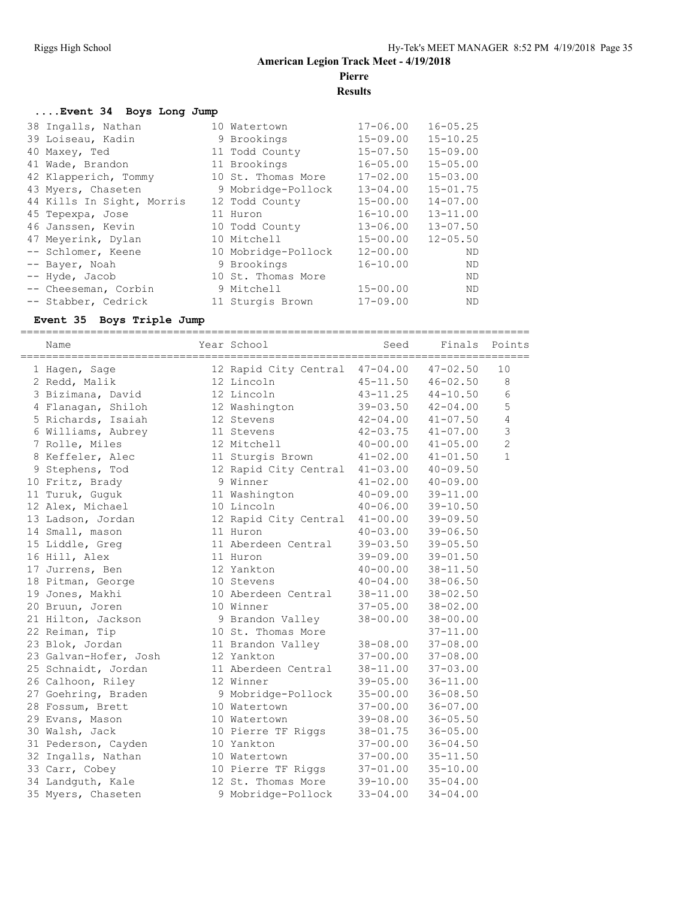**Results**

#### **....Event 34 Boys Long Jump**

| 38 Ingalls, Nathan        | 10 Watertown        | $17 - 06.00$ | $16 - 05.25$ |
|---------------------------|---------------------|--------------|--------------|
| 39 Loiseau, Kadin         | 9 Brookings         | $15 - 09.00$ | $15 - 10.25$ |
| 40 Maxey, Ted             | 11 Todd County      | $15 - 07.50$ | $15 - 09.00$ |
| 41 Wade, Brandon          | 11 Brookings        | $16 - 05.00$ | $15 - 05.00$ |
| 42 Klapperich, Tommy      | 10 St. Thomas More  | $17 - 02.00$ | $15 - 03.00$ |
| 43 Myers, Chaseten        | 9 Mobridge-Pollock  | $13 - 04.00$ | $15 - 01.75$ |
| 44 Kills In Sight, Morris | 12 Todd County      | $15 - 00.00$ | $14 - 07.00$ |
| 45 Tepexpa, Jose          | 11 Huron            | $16 - 10.00$ | $13 - 11.00$ |
| 46 Janssen, Kevin         | 10 Todd County      | $13 - 06.00$ | $13 - 07.50$ |
| 47 Meyerink, Dylan        | 10 Mitchell         | $15 - 00.00$ | $12 - 05.50$ |
| -- Schlomer, Keene        | 10 Mobridge-Pollock | $12 - 00.00$ | ND           |
| -- Bayer, Noah            | 9 Brookings         | $16 - 10.00$ | ND           |
| -- Hyde, Jacob            | 10 St. Thomas More  |              | <b>ND</b>    |
| -- Cheeseman, Corbin      | 9 Mitchell          | $15 - 00.00$ | <b>ND</b>    |
| -- Stabber, Cedrick       | 11 Sturgis Brown    | $17 - 09.00$ | <b>ND</b>    |

#### **Event 35 Boys Triple Jump**

================================================================================

| Name                  | Year School           | Seed         | Finals       | Points         |
|-----------------------|-----------------------|--------------|--------------|----------------|
| 1 Haqen, Saqe         | 12 Rapid City Central | $47 - 04.00$ | $47 - 02.50$ | 10             |
| 2 Redd, Malik         | 12 Lincoln            | $45 - 11.50$ | $46 - 02.50$ | 8              |
| 3 Bizimana, David     | 12 Lincoln            | $43 - 11.25$ | $44 - 10.50$ | 6              |
| 4 Flanagan, Shiloh    | 12 Washington         | $39 - 03.50$ | $42 - 04.00$ | 5              |
| 5 Richards, Isaiah    | 12 Stevens            | $42 - 04.00$ | $41 - 07.50$ | 4              |
| 6 Williams, Aubrey    | 11 Stevens            | $42 - 03.75$ | $41 - 07.00$ | 3              |
| 7 Rolle, Miles        | 12 Mitchell           | $40 - 00.00$ | $41 - 05.00$ | $\overline{2}$ |
| 8 Keffeler, Alec      | 11 Sturgis Brown      | $41 - 02.00$ | $41 - 01.50$ | $\mathbf{1}$   |
| 9 Stephens, Tod       | 12 Rapid City Central | $41 - 03.00$ | $40 - 09.50$ |                |
| 10 Fritz, Brady       | 9 Winner              | $41 - 02.00$ | $40 - 09.00$ |                |
| 11 Turuk, Guguk       | 11 Washington         | $40 - 09.00$ | $39 - 11.00$ |                |
| 12 Alex, Michael      | 10 Lincoln            | $40 - 06.00$ | $39 - 10.50$ |                |
| 13 Ladson, Jordan     | 12 Rapid City Central | $41 - 00.00$ | $39 - 09.50$ |                |
| 14 Small, mason       | 11 Huron              | $40 - 03.00$ | $39 - 06.50$ |                |
| 15 Liddle, Greg       | 11 Aberdeen Central   | $39 - 03.50$ | $39 - 05.50$ |                |
| 16 Hill, Alex         | 11 Huron              | 39-09.00     | $39 - 01.50$ |                |
| 17 Jurrens, Ben       | 12 Yankton            | $40 - 00.00$ | $38 - 11.50$ |                |
| 18 Pitman, George     | 10 Stevens            | $40 - 04.00$ | $38 - 06.50$ |                |
| 19 Jones, Makhi       | 10 Aberdeen Central   | 38-11.00     | $38 - 02.50$ |                |
| 20 Bruun, Joren       | 10 Winner             | $37 - 05.00$ | $38 - 02.00$ |                |
| 21 Hilton, Jackson    | 9 Brandon Valley      | $38 - 00.00$ | $38 - 00.00$ |                |
| 22 Reiman, Tip        | 10 St. Thomas More    |              | $37 - 11.00$ |                |
| 23 Blok, Jordan       | 11 Brandon Valley     | 38-08.00     | $37 - 08.00$ |                |
| 23 Galvan-Hofer, Josh | 12 Yankton            | $37 - 00.00$ | $37 - 08.00$ |                |
| 25 Schnaidt, Jordan   | 11 Aberdeen Central   | 38-11.00     | $37 - 03.00$ |                |
| 26 Calhoon, Riley     | 12 Winner             | $39 - 05.00$ | $36 - 11.00$ |                |
| 27 Goehring, Braden   | 9 Mobridge-Pollock    | $35 - 00.00$ | $36 - 08.50$ |                |
| 28 Fossum, Brett      | 10 Watertown          | $37 - 00.00$ | $36 - 07.00$ |                |
| 29 Evans, Mason       | 10 Watertown          | $39 - 08.00$ | $36 - 05.50$ |                |
| 30 Walsh, Jack        | 10 Pierre TF Riggs    | $38 - 01.75$ | $36 - 05.00$ |                |
| 31 Pederson, Cayden   | 10 Yankton            | $37 - 00.00$ | $36 - 04.50$ |                |
| 32 Ingalls, Nathan    | 10 Watertown          | $37 - 00.00$ | $35 - 11.50$ |                |
| 33 Carr, Cobey        | 10 Pierre TF Riggs    | $37 - 01.00$ | $35 - 10.00$ |                |
| 34 Landguth, Kale     | 12 St. Thomas More    | $39 - 10.00$ | $35 - 04.00$ |                |
| 35 Myers, Chaseten    | 9 Mobridge-Pollock    | $33 - 04.00$ | $34 - 04.00$ |                |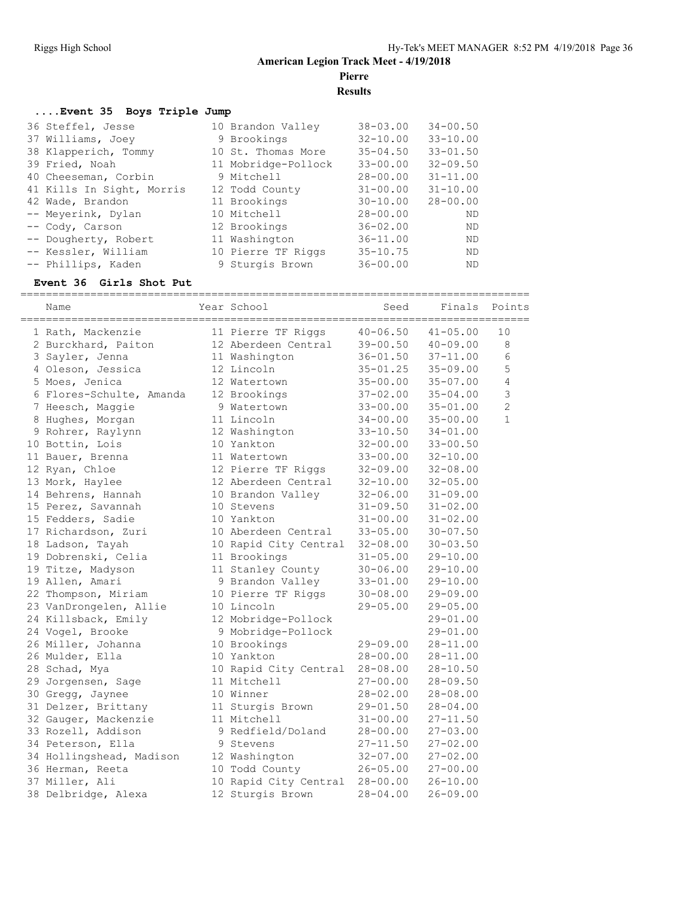**Results**

#### **....Event 35 Boys Triple Jump**

| 36 Steffel, Jesse         | 10 Brandon Valley   | $38 - 03.00$ | $34 - 00.50$ |
|---------------------------|---------------------|--------------|--------------|
| 37 Williams, Joey         | 9 Brookings         | $32 - 10.00$ | $33 - 10.00$ |
| 38 Klapperich, Tommy      | 10 St. Thomas More  | $35 - 04.50$ | $33 - 01.50$ |
| 39 Fried, Noah            | 11 Mobridge-Pollock | $33 - 00.00$ | $32 - 09.50$ |
| 40 Cheeseman, Corbin      | 9 Mitchell          | $28 - 00.00$ | $31 - 11.00$ |
| 41 Kills In Sight, Morris | 12 Todd County      | $31 - 00.00$ | $31 - 10.00$ |
| 42 Wade, Brandon          | 11 Brookings        | $30 - 10.00$ | $28 - 00.00$ |
| -- Meyerink, Dylan        | 10 Mitchell         | $28 - 00.00$ | ND           |
| -- Cody, Carson           | 12 Brookings        | $36 - 02.00$ | ND           |
| -- Dougherty, Robert      | 11 Washington       | $36 - 11.00$ | ND           |
| -- Kessler, William       | 10 Pierre TF Riggs  | $35 - 10.75$ | ND           |
| -- Phillips, Kaden        | 9 Sturgis Brown     | $36 - 00.00$ | ND           |

#### **Event 36 Girls Shot Put**

| Name                     | Year School           | Seed         | Finals       | Points         |
|--------------------------|-----------------------|--------------|--------------|----------------|
| 1 Rath, Mackenzie        | 11 Pierre TF Riggs    | $40 - 06.50$ | $41 - 05.00$ | 10             |
| 2 Burckhard, Paiton      | 12 Aberdeen Central   | 39-00.50     | $40 - 09.00$ | 8              |
| 3 Sayler, Jenna          | 11 Washington         | $36 - 01.50$ | $37 - 11.00$ | 6              |
| 4 Oleson, Jessica        | 12 Lincoln            | $35 - 01.25$ | $35 - 09.00$ | 5              |
| 5 Moes, Jenica           | 12 Watertown          | $35 - 00.00$ | $35 - 07.00$ | 4              |
| 6 Flores-Schulte, Amanda | 12 Brookings          | $37 - 02.00$ | $35 - 04.00$ | 3              |
| 7 Heesch, Maggie         | 9 Watertown           | $33 - 00.00$ | $35 - 01.00$ | $\overline{c}$ |
| 8 Hughes, Morgan         | 11 Lincoln            | $34 - 00.00$ | $35 - 00.00$ | $\mathbf{1}$   |
| 9 Rohrer, Raylynn        | 12 Washington         | $33 - 10.50$ | $34 - 01.00$ |                |
| 10 Bottin, Lois          | 10 Yankton            | $32 - 00.00$ | $33 - 00.50$ |                |
| 11 Bauer, Brenna         | 11 Watertown          | $33 - 00.00$ | $32 - 10.00$ |                |
| 12 Ryan, Chloe           | 12 Pierre TF Riggs    | $32 - 09.00$ | $32 - 08.00$ |                |
| 13 Mork, Haylee          | 12 Aberdeen Central   | $32 - 10.00$ | $32 - 05.00$ |                |
| 14 Behrens, Hannah       | 10 Brandon Valley     | $32 - 06.00$ | $31 - 09.00$ |                |
| 15 Perez, Savannah       | 10 Stevens            | $31 - 09.50$ | $31 - 02.00$ |                |
| 15 Fedders, Sadie        | 10 Yankton            | $31 - 00.00$ | $31 - 02.00$ |                |
| 17 Richardson, Zuri      | 10 Aberdeen Central   | $33 - 05.00$ | $30 - 07.50$ |                |
| 18 Ladson, Tayah         | 10 Rapid City Central | $32 - 08.00$ | $30 - 03.50$ |                |
| 19 Dobrenski, Celia      | 11 Brookings          | $31 - 05.00$ | $29 - 10.00$ |                |
| 19 Titze, Madyson        | 11 Stanley County     | $30 - 06.00$ | $29 - 10.00$ |                |
| 19 Allen, Amari          | 9 Brandon Valley      | $33 - 01.00$ | $29 - 10.00$ |                |
| 22 Thompson, Miriam      | 10 Pierre TF Riggs    | $30 - 08.00$ | $29 - 09.00$ |                |
| 23 VanDrongelen, Allie   | 10 Lincoln            | 29-05.00     | $29 - 05.00$ |                |
| 24 Killsback, Emily      | 12 Mobridge-Pollock   |              | $29 - 01.00$ |                |
| 24 Vogel, Brooke         | 9 Mobridge-Pollock    |              | $29 - 01.00$ |                |
| 26 Miller, Johanna       | 10 Brookings          | $29 - 09.00$ | $28 - 11.00$ |                |
| 26 Mulder, Ella          | 10 Yankton            | $28 - 00.00$ | $28 - 11.00$ |                |
| 28 Schad, Mya            | 10 Rapid City Central | 28-08.00     | $28 - 10.50$ |                |
| 29 Jorgensen, Sage       | 11 Mitchell           | 27-00.00     | $28 - 09.50$ |                |
| 30 Gregg, Jaynee         | 10 Winner             | 28-02.00     | $28 - 08.00$ |                |
| 31 Delzer, Brittany      | 11 Sturgis Brown      | 29-01.50     | $28 - 04.00$ |                |
| 32 Gauger, Mackenzie     | 11 Mitchell           | $31 - 00.00$ | $27 - 11.50$ |                |
| 33 Rozell, Addison       | 9 Redfield/Doland     | 28-00.00     | $27 - 03.00$ |                |
| 34 Peterson, Ella        | 9 Stevens             | 27-11.50     | $27 - 02.00$ |                |
| 34 Hollingshead, Madison | 12 Washington         | $32 - 07.00$ | $27 - 02.00$ |                |
| 36 Herman, Reeta         | 10 Todd County        | $26 - 05.00$ | $27 - 00.00$ |                |
| 37 Miller, Ali           | 10 Rapid City Central | $28 - 00.00$ | $26 - 10.00$ |                |
| 38 Delbridge, Alexa      | 12 Sturgis Brown      | $28 - 04.00$ | $26 - 09.00$ |                |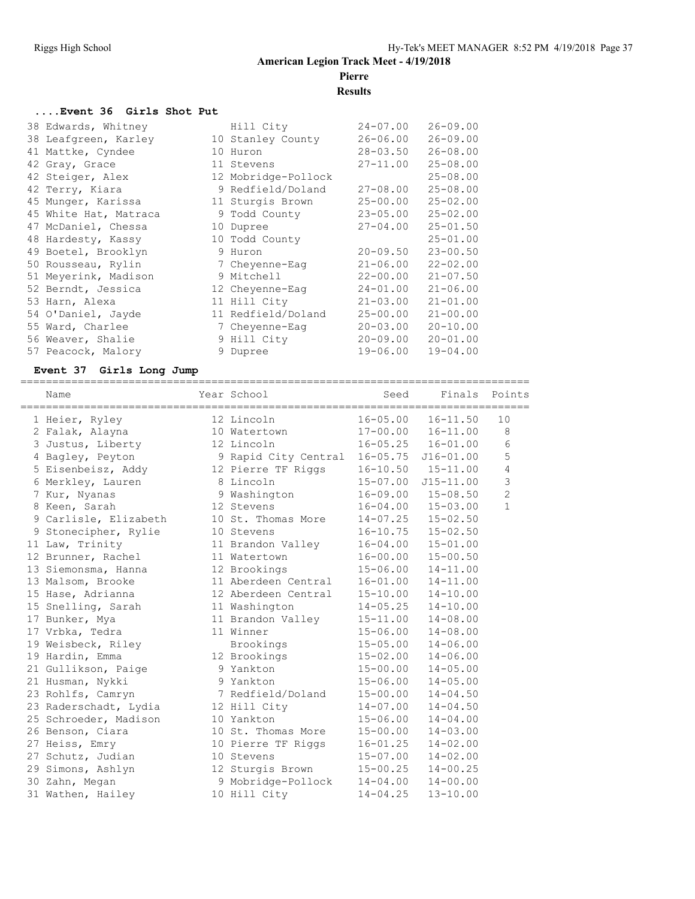#### **Results**

#### **....Event 36 Girls Shot Put**

| 38 Edwards, Whitney   | Hill City           | $24 - 07.00$ | $26 - 09.00$ |
|-----------------------|---------------------|--------------|--------------|
| 38 Leafgreen, Karley  | 10 Stanley County   | $26 - 06.00$ | $26 - 09.00$ |
| 41 Mattke, Cyndee     | 10 Huron            | $28 - 03.50$ | $26 - 08.00$ |
| 42 Gray, Grace        | 11 Stevens          | $27 - 11.00$ | $25 - 08.00$ |
| 42 Steiger, Alex      | 12 Mobridge-Pollock |              | $25 - 08.00$ |
| 42 Terry, Kiara       | 9 Redfield/Doland   | $27 - 08.00$ | $25 - 08.00$ |
| 45 Munger, Karissa    | 11 Sturgis Brown    | $25 - 00.00$ | $25 - 02.00$ |
| 45 White Hat, Matraca | 9 Todd County       | $23 - 05.00$ | $25 - 02.00$ |
| 47 McDaniel, Chessa   | 10 Dupree           | $27 - 04.00$ | $25 - 01.50$ |
| 48 Hardesty, Kassy    | 10 Todd County      |              | $25 - 01.00$ |
| 49 Boetel, Brooklyn   | 9 Huron             | $20 - 09.50$ | $23 - 00.50$ |
| 50 Rousseau, Rylin    | 7 Cheyenne-Eag      | $21 - 06.00$ | $22 - 02.00$ |
| 51 Meyerink, Madison  | 9 Mitchell          | $22 - 00.00$ | $21 - 07.50$ |
| 52 Berndt, Jessica    | 12 Cheyenne-Eag     | $24 - 01.00$ | $21 - 06.00$ |
| 53 Harn, Alexa        | 11 Hill City        | $21 - 03.00$ | $21 - 01.00$ |
| 54 O'Daniel, Jayde    | 11 Redfield/Doland  | $25 - 00.00$ | $21 - 00.00$ |
| 55 Ward, Charlee      | 7 Cheyenne-Eaq      | $20 - 03.00$ | $20 - 10.00$ |
| 56 Weaver, Shalie     | 9 Hill City         | $20 - 09.00$ | $20 - 01.00$ |
| 57 Peacock, Malory    | 9 Dupree            | $19 - 06.00$ | $19 - 04.00$ |

# **Event 37 Girls Long Jump**

| Name                  | Year School                             | Seed         |                           | Finals Points  |
|-----------------------|-----------------------------------------|--------------|---------------------------|----------------|
| 1 Heier, Ryley        | 12 Lincoln                              | $16 - 05.00$ | $16 - 11.50$              | 10             |
| 2 Falak, Alayna       | 10 Watertown                            |              | $17 - 00.00$ $16 - 11.00$ | 8              |
| 3 Justus, Liberty     | 12 Lincoln                              |              | $16 - 05.25$ $16 - 01.00$ | 6              |
| 4 Bagley, Peyton      | 9 Rapid City Central 16-05.75 J16-01.00 |              |                           | 5              |
| 5 Eisenbeisz, Addy    | 12 Pierre TF Riggs                      | $16 - 10.50$ | $15 - 11.00$              | $\overline{4}$ |
| 6 Merkley, Lauren     | 8 Lincoln                               | $15 - 07.00$ | $J15 - 11.00$             | 3              |
| 7 Kur, Nyanas         | 9 Washington                            |              | $16 - 09.00$ $15 - 08.50$ | $\overline{c}$ |
| 8 Keen, Sarah         | 12 Stevens                              | $16 - 04.00$ | $15 - 03.00$              | $\mathbf{1}$   |
| 9 Carlisle, Elizabeth | 10 St. Thomas More                      | $14 - 07.25$ | $15 - 02.50$              |                |
| 9 Stonecipher, Rylie  | 10 Stevens                              | $16 - 10.75$ | $15 - 02.50$              |                |
| 11 Law, Trinity       | 11 Brandon Valley                       | $16 - 04.00$ | $15 - 01.00$              |                |
| 12 Brunner, Rachel    | 11 Watertown                            | $16 - 00.00$ | $15 - 00.50$              |                |
| 13 Siemonsma, Hanna   | 12 Brookings                            | $15 - 06.00$ | $14 - 11.00$              |                |
| 13 Malsom, Brooke     | 11 Aberdeen Central                     | $16 - 01.00$ | $14 - 11.00$              |                |
| 15 Hase, Adrianna     | 12 Aberdeen Central                     | $15 - 10.00$ | $14 - 10.00$              |                |
| 15 Snelling, Sarah    | 11 Washington                           | $14 - 05.25$ | $14 - 10.00$              |                |
| 17 Bunker, Mya        | 11 Brandon Valley                       | $15 - 11.00$ | $14 - 08.00$              |                |
| 17 Vrbka, Tedra       | 11 Winner                               | $15 - 06.00$ | $14 - 08.00$              |                |
| 19 Weisbeck, Riley    | Brookings                               | $15 - 05.00$ | $14 - 06.00$              |                |
| 19 Hardin, Emma       | 12 Brookings                            | $15 - 02.00$ | $14 - 06.00$              |                |
| 21 Gullikson, Paige   | 9 Yankton                               | $15 - 00.00$ | $14 - 05.00$              |                |
| 21 Husman, Nykki      | 9 Yankton                               | $15 - 06.00$ | $14 - 05.00$              |                |
| 23 Rohlfs, Camryn     | 7 Redfield/Doland                       | $15 - 00.00$ | $14 - 04.50$              |                |
| 23 Raderschadt, Lydia | 12 Hill City                            | 14-07.00     | $14 - 04.50$              |                |
| 25 Schroeder, Madison | 10 Yankton                              | $15 - 06.00$ | $14 - 04.00$              |                |
| 26 Benson, Ciara      | 10 St. Thomas More                      | $15 - 00.00$ | $14 - 03.00$              |                |
| 27 Heiss, Emry        | 10 Pierre TF Riggs                      | $16 - 01.25$ | $14 - 02.00$              |                |
| 27 Schutz, Judian     | 10 Stevens                              | $15 - 07.00$ | $14 - 02.00$              |                |
| 29 Simons, Ashlyn     | 12 Sturgis Brown                        | $15 - 00.25$ | $14 - 00.25$              |                |
| 30 Zahn, Megan        | 9 Mobridge-Pollock                      | $14 - 04.00$ | $14 - 00.00$              |                |
| 31 Wathen, Hailey     | 10 Hill City                            | $14 - 04.25$ | $13 - 10.00$              |                |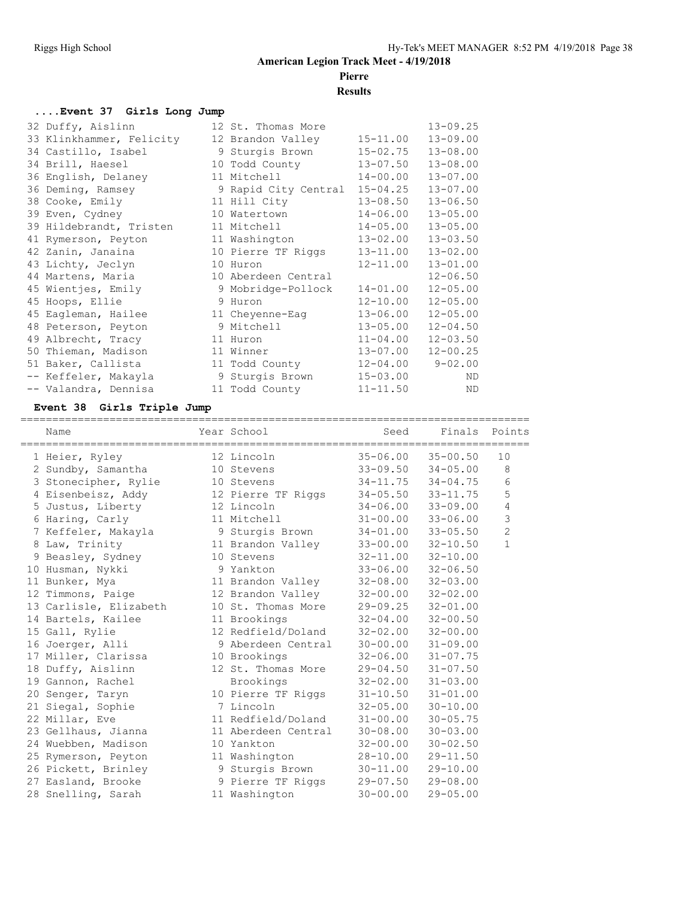#### **Results**

#### **....Event 37 Girls Long Jump**

| 32 Duffy, Aislinn        | 12 St. Thomas More   |              | $13 - 09.25$ |
|--------------------------|----------------------|--------------|--------------|
| 33 Klinkhammer, Felicity | 12 Brandon Valley    | $15 - 11.00$ | $13 - 09.00$ |
| 34 Castillo, Isabel      | 9 Sturgis Brown      | $15 - 02.75$ | $13 - 08.00$ |
| 34 Brill, Haesel         | 10 Todd County       | $13 - 07.50$ | $13 - 08.00$ |
| 36 English, Delaney      | 11 Mitchell          | $14 - 00.00$ | $13 - 07.00$ |
| 36 Deming, Ramsey        | 9 Rapid City Central | $15 - 04.25$ | $13 - 07.00$ |
| 38 Cooke, Emily          | 11 Hill City         | $13 - 08.50$ | $13 - 06.50$ |
| 39 Even, Cydney          | 10 Watertown         | $14 - 06.00$ | $13 - 05.00$ |
| 39 Hildebrandt, Tristen  | 11 Mitchell          | $14 - 05.00$ | $13 - 05.00$ |
| 41 Rymerson, Peyton      | 11 Washington        | $13 - 02.00$ | $13 - 03.50$ |
| 42 Zanin, Janaina        | 10 Pierre TF Riggs   | $13 - 11.00$ | $13 - 02.00$ |
| 43 Lichty, Jeclyn        | 10 Huron             | $12 - 11.00$ | $13 - 01.00$ |
| 44 Martens, Maria        | 10 Aberdeen Central  |              | $12 - 06.50$ |
| 45 Wientjes, Emily       | 9 Mobridge-Pollock   | $14 - 01.00$ | $12 - 05.00$ |
| 45 Hoops, Ellie          | 9 Huron              | $12 - 10.00$ | $12 - 05.00$ |
| 45 Eagleman, Hailee      | 11 Cheyenne-Eag      | $13 - 06.00$ | $12 - 05.00$ |
| 48 Peterson, Peyton      | 9 Mitchell           | $13 - 05.00$ | $12 - 04.50$ |
| 49 Albrecht, Tracy       | 11 Huron             | $11 - 04.00$ | $12 - 03.50$ |
| 50 Thieman, Madison      | 11 Winner            | $13 - 07.00$ | $12 - 00.25$ |
| 51 Baker, Callista       | 11 Todd County       | $12 - 04.00$ | $9 - 02.00$  |
| -- Keffeler, Makayla     | 9 Sturgis Brown      | $15 - 03.00$ | ND           |
| -- Valandra, Dennisa     | 11 Todd County       | $11 - 11.50$ | ND           |

#### **Event 38 Girls Triple Jump**

================================================================================ Name **Name** Year School Seed Finals Points ================================================================================ 1 Heier, Ryley 12 Lincoln 35-06.00 35-00.50 10 2 Sundby, Samantha 10 Stevens 33-09.50 34-05.00 8 3 Stonecipher, Rylie 10 Stevens 34-11.75 34-04.75 6 4 Eisenbeisz, Addy 12 Pierre TF Riggs 34-05.50 33-11.75 5 5 Justus, Liberty 12 Lincoln 34-06.00 33-09.00 4 6 Haring, Carly 11 Mitchell 31-00.00 33-06.00 3 7 Keffeler, Makayla 9 Sturgis Brown 34-01.00 33-05.50 2 8 Law, Trinity 11 Brandon Valley 33-00.00 32-10.50 1 9 Beasley, Sydney 10 Stevens 32-11.00 32-10.00 10 Husman, Nykki 9 Yankton 33-06.00 32-06.50 11 Bunker, Mya 11 Brandon Valley 32-08.00 32-03.00 12 Timmons, Paige 12 Brandon Valley 32-00.00 32-02.00 13 Carlisle, Elizabeth 10 St. Thomas More 29-09.25 32-01.00 14 Bartels, Kailee 11 Brookings 32-04.00 32-00.50 15 Gall, Rylie 12 Redfield/Doland 32-02.00 32-00.00 16 Joerger, Alli 9 Aberdeen Central 30-00.00 31-09.00 17 Miller, Clarissa 10 Brookings 32-06.00 31-07.75 18 Duffy, Aislinn 12 St. Thomas More 29-04.50 31-07.50 19 Gannon, Rachel Brookings 32-02.00 31-03.00 20 Senger, Taryn 10 Pierre TF Riggs 31-10.50 31-01.00 21 Siegal, Sophie 7 Lincoln 32-05.00 30-10.00 22 Millar, Eve 11 Redfield/Doland 31-00.00 30-05.75 23 Gellhaus, Jianna 11 Aberdeen Central 30-08.00 30-03.00 24 Wuebben, Madison 10 Yankton 32-00.00 30-02.50 25 Rymerson, Peyton 11 Washington 28-10.00 29-11.50 26 Pickett, Brinley 9 Sturgis Brown 30-11.00 29-10.00 27 Easland, Brooke 9 Pierre TF Riggs 29-07.50 29-08.00 28 Snelling, Sarah 11 Washington 30-00.00 29-05.00